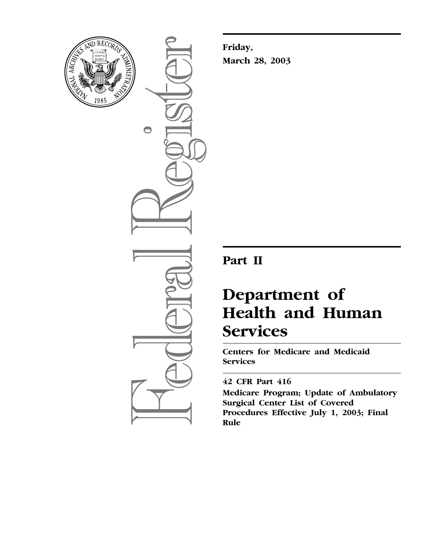

 $\bigcirc$ 

**Friday, March 28, 2003**

## **Part II**

# **Department of Health and Human Services**

**Centers for Medicare and Medicaid Services** 

## **42 CFR Part 416**

**Medicare Program; Update of Ambulatory Surgical Center List of Covered Procedures Effective July 1, 2003; Final Rule**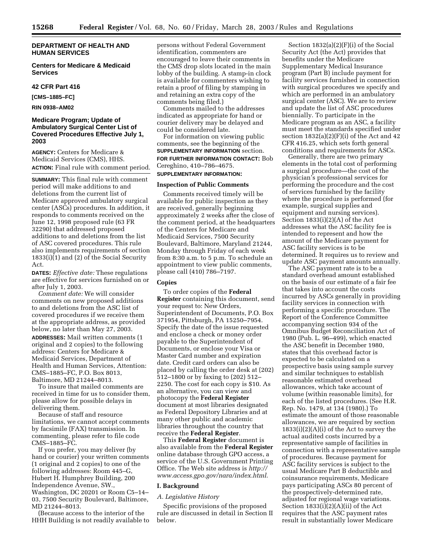#### **DEPARTMENT OF HEALTH AND HUMAN SERVICES**

#### **Centers for Medicare & Medicaid Services**

#### **42 CFR Part 416**

**[CMS–1885–FC]** 

**RIN 0938–AM02** 

#### **Medicare Program; Update of Ambulatory Surgical Center List of Covered Procedures Effective July 1, 2003**

**AGENCY:** Centers for Medicare & Medicaid Services (CMS), HHS. **ACTION:** Final rule with comment period.

**SUMMARY:** This final rule with comment period will make additions to and deletions from the current list of Medicare approved ambulatory surgical center (ASCs) procedures. In addition, it responds to comments received on the June 12, 1998 proposed rule (63 FR 32290) that addressed proposed additions to and deletions from the list of ASC covered procedures. This rule also implements requirements of section 1833(i)(1) and (2) of the Social Security Act.

**DATES:** *Effective date:* These regulations are effective for services furnished on or after July 1, 2003.

*Comment date:* We will consider comments on new proposed additions to and deletions from the ASC list of covered procedures if we receive them at the appropriate address, as provided below, no later than May 27, 2003. **ADDRESSES:** Mail written comments (1 original and 2 copies) to the following address: Centers for Medicare & Medicaid Services, Department of Health and Human Services, Attention: CMS–1885–FC, P.O. Box 8013, Baltimore, MD 21244–8013.

To insure that mailed comments are received in time for us to consider them, please allow for possible delays in delivering them.

Because of staff and resource limitations, we cannot accept comments by facsimile (FAX) transmission. In commenting, please refer to file code CMS–1885–FC.

If you prefer, you may deliver (by hand or courier) your written comments (1 original and 2 copies) to one of the following addresses: Room 445–G, Hubert H. Humphrey Building, 200 Independence Avenue, SW., Washington, DC 20201 or Room C5–14– 03, 7500 Security Boulevard, Baltimore, MD 21244–8013.

(Because access to the interior of the HHH Building is not readily available to persons without Federal Government identification, commenters are encouraged to leave their comments in the CMS drop slots located in the main lobby of the building. A stamp-in clock is available for commenters wishing to retain a proof of filing by stamping in and retaining an extra copy of the comments being filed.)

Comments mailed to the addresses indicated as appropriate for hand or courier delivery may be delayed and could be considered late.

For information on viewing public comments, see the beginning of the **SUPPLEMENTARY INFORMATION** section. **FOR FURTHER INFORMATION CONTACT:** Bob Cereghino, 410–786–4675. **SUPPLEMENTARY INFORMATION:** 

#### **Inspection of Public Comments**

Comments received timely will be available for public inspection as they are received, generally beginning approximately 2 weeks after the close of the comment period, at the headquarters of the Centers for Medicare and Medicaid Services, 7500 Security Boulevard, Baltimore, Maryland 21244, Monday through Friday of each week from 8:30 a.m. to 5 p.m. To schedule an appointment to view public comments, please call (410) 786–7197.

#### **Copies**

To order copies of the **Federal Register** containing this document, send your request to: New Orders, Superintendent of Documents, P.O. Box 371954, Pittsburgh, PA 15250–7954. Specify the date of the issue requested and enclose a check or money order payable to the Superintendent of Documents, or enclose your Visa or Master Card number and expiration date. Credit card orders can also be placed by calling the order desk at (202) 512–1800 or by faxing to (202) 512– 2250. The cost for each copy is \$10. As an alternative, you can view and photocopy the **Federal Register** document at most libraries designated as Federal Depository Libraries and at many other public and academic libraries throughout the country that receive the **Federal Register**.

This **Federal Register** document is also available from the **Federal Register** online database through GPO access, a service of the U.S. Government Printing Office. The Web site address is *http:// [www.access.gpo.gov/nara/index.html](http://www.access.gpo.gov/nara/index.html)*.

#### **I. Background**

#### *A. Legislative History*

Specific provisions of the proposed rule are discussed in detail in Section II below.

Section 1832(a)(2)(F)(i) of the Social Security Act (the Act) provides that benefits under the Medicare Supplementary Medical Insurance program (Part B) include payment for facility services furnished in connection with surgical procedures we specify and which are performed in an ambulatory surgical center (ASC). We are to review and update the list of ASC procedures biennially. To participate in the Medicare program as an ASC, a facility must meet the standards specified under section  $1832(a)(2)(F)(i)$  of the Act and 42 CFR 416.25, which sets forth general conditions and requirements for ASCs.

Generally, there are two primary elements in the total cost of performing a surgical procedure—the cost of the physician's professional services for performing the procedure and the cost of services furnished by the facility where the procedure is performed (for example, surgical supplies and equipment and nursing services). Section 1833(i)(2)(A) of the Act addresses what the ASC facility fee is intended to represent and how the amount of the Medicare payment for ASC facility services is to be determined. It requires us to review and update ASC payment amounts annually.

The ASC payment rate is to be a standard overhead amount established on the basis of our estimate of a fair fee that takes into account the costs incurred by ASCs generally in providing facility services in connection with performing a specific procedure. The Report of the Conference Committee accompanying section 934 of the Omnibus Budget Reconciliation Act of 1980 (Pub. L. 96–499), which enacted the ASC benefit in December 1980, states that this overhead factor is expected to be calculated on a prospective basis using sample survey and similar techniques to establish reasonable estimated overhead allowances, which take account of volume (within reasonable limits), for each of the listed procedures. (See H.R. Rep. No. 1479, at 134 (1980).) To estimate the amount of those reasonable allowances, we are required by section 1833(i)(2)(A)(i) of the Act to survey the actual audited costs incurred by a representative sample of facilities in connection with a representative sample of procedures. Because payment for ASC facility services is subject to the usual Medicare Part B deductible and coinsurance requirements, Medicare pays participating ASCs 80 percent of the prospectively-determined rate, adjusted for regional wage variations. Section 1833(i)(2)(A)(ii) of the Act requires that the ASC payment rates result in substantially lower Medicare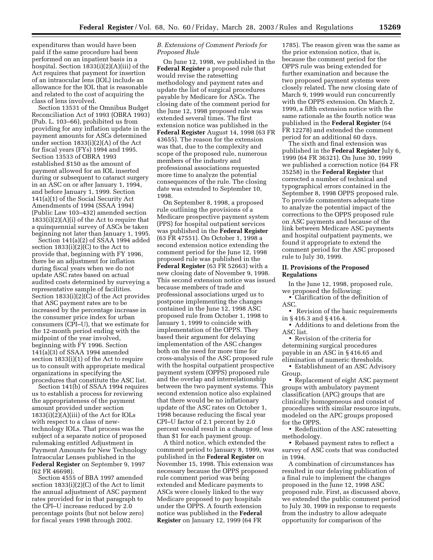expenditures than would have been paid if the same procedure had been performed on an inpatient basis in a hospital. Section 1833(i)(2)(A)(iii) of the Act requires that payment for insertion of an intraocular lens (IOL) include an allowance for the IOL that is reasonable and related to the cost of acquiring the class of lens involved.

Section 13531 of the Omnibus Budget Reconciliation Act of 1993 (OBRA 1993) (Pub. L. 103–66), prohibited us from providing for any inflation update in the payment amounts for ASCs determined under section 1833(i)(2)(A) of the Act for fiscal years (FYs) 1994 and 1995. Section 13533 of OBRA 1993 established \$150 as the amount of payment allowed for an IOL inserted during or subsequent to cataract surgery in an ASC on or after January 1, 1994, and before January 1, 1999. Section 141(a)(1) of the Social Security Act Amendments of 1994 (SSAA 1994) (Public Law 103–432) amended section  $1833(i)(2)(A)(i)$  of the Act to require that a quinquennial survey of ASCs be taken beginning not later than January 1, 1995.

Section 141(a)(2) of SSAA 1994 added section 1833(i)(2)(C) to the Act to provide that, beginning with FY 1996, there be an adjustment for inflation during fiscal years when we do not update ASC rates based on actual audited costs determined by surveying a representative sample of facilities. Section 1833(i)(2)(C) of the Act provides that ASC payment rates are to be increased by the percentage increase in the consumer price index for urban consumers (CPI–U), that we estimate for the 12-month period ending with the midpoint of the year involved, beginning with FY 1996. Section 141(a)(3) of SSAA 1994 amended section 1833(i)(1) of the Act to require us to consult with appropriate medical organizations in specifying the procedures that constitute the ASC list.

Section 141(b) of SSAA 1994 requires us to establish a process for reviewing the appropriateness of the payment amount provided under section 1833(i)(2)(A)(iii) of the Act for IOLs with respect to a class of newtechnology IOLs. That process was the subject of a separate notice of proposed rulemaking entitled Adjustment in Payment Amounts for New Technology Intraocular Lenses published in the **Federal Register** on September 9, 1997 (62 FR 46698).

Section 4555 of BBA 1997 amended section  $1833(i)(2)(C)$  of the Act to limit the annual adjustment of ASC payment rates provided for in that paragraph to the CPI–U increase reduced by 2.0 percentage points (but not below zero) for fiscal years 1998 through 2002.

#### *B. Extensions of Comment Periods for Proposed Rule*

On June 12, 1998, we published in the **Federal Register** a proposed rule that would revise the ratesetting methodology and payment rates and update the list of surgical procedures payable by Medicare for ASCs. The closing date of the comment period for the June 12, 1998 proposed rule was extended several times. The first extension notice was published in the **Federal Register** August 14, 1998 (63 FR 43655). The reason for the extension was that, due to the complexity and scope of the proposed rule, numerous members of the industry and professional associations requested more time to analyze the potential consequences of the rule. The closing date was extended to September 10, 1998.

On September 8, 1998, a proposed rule outlining the provisions of a Medicare prospective payment system (PPS) for hospital outpatient services was published in the **Federal Register** (63 FR 47551). On October 1, 1998 a second extension notice extending the comment period for the June 12, 1998 proposed rule was published in the **Federal Register** (63 FR 52663) with a new closing date of November 9, 1998. This second extension notice was issued because members of trade and professional associations urged us to postpone implementing the changes contained in the June 12, 1998 ASC proposed rule from October 1, 1998 to January 1, 1999 to coincide with implementation of the OPPS. They based their argument for delaying implementation of the ASC changes both on the need for more time for cross-analysis of the ASC proposed rule with the hospital outpatient prospective payment system (OPPS) proposed rule and the overlap and interrelationship between the two payment systems. This second extension notice also explained that there would be no inflationary update of the ASC rates on October 1, 1998 because reducing the fiscal year CPI–U factor of 2.1 percent by 2.0 percent would result in a change of less than \$1 for each payment group.

A third notice, which extended the comment period to January 8, 1999, was published in the **Federal Register** on November 15, 1998. This extension was necessary because the OPPS proposed rule comment period was being extended and Medicare payments to ASCs were closely linked to the way Medicare proposed to pay hospitals under the OPPS. A fourth extension notice was published in the **Federal Register** on January 12, 1999 (64 FR

1785). The reason given was the same as the prior extension notice, that is, because the comment period for the OPPS rule was being extended for further examination and because the two proposed payment systems were closely related. The new closing date of March 9, 1999 would run concurrently with the OPPS extension. On March 2, 1999, a fifth extension notice with the same rationale as the fourth notice was published in the **Federal Register** (64 FR 12278) and extended the comment period for an additional 60 days.

The sixth and final extension was published in the **Federal Register** July 6, 1999 (64 FR 36321). On June 30, 1999 we published a correction notice (64 FR 35258) in the **Federal Register** that corrected a number of technical and typographical errors contained in the September 8, 1998 OPPS proposed rule. To provide commenters adequate time to analyze the potential impact of the corrections to the OPPS proposed rule on ASC payments and because of the link between Medicare ASC payments and hospital outpatient payments, we found it appropriate to extend the comment period for the ASC proposed rule to July 30, 1999.

#### **II. Provisions of the Proposed Regulations**

In the June 12, 1998, proposed rule, we proposed the following:

• Clarification of the definition of ASC.

• Revision of the basic requirements in § 416.3 and § 416.4.

• Additions to and deletions from the ASC list.

• Revision of the criteria for determining surgical procedures payable in an ASC in § 416.65 and elimination of numeric thresholds.

• Establishment of an ASC Advisory Group.

• Replacement of eight ASC payment groups with ambulatory payment classification (APC) groups that are clinically homogeneous and consist of procedures with similar resource inputs, modeled on the APC groups proposed for the OPPS.

• Redefinition of the ASC ratesetting methodology.

• Rebased payment rates to reflect a survey of ASC costs that was conducted in 1994.

A combination of circumstances has resulted in our delaying publication of a final rule to implement the changes proposed in the June 12, 1998 ASC proposed rule. First, as discussed above, we extended the public comment period to July 30, 1999 in response to requests from the industry to allow adequate opportunity for comparison of the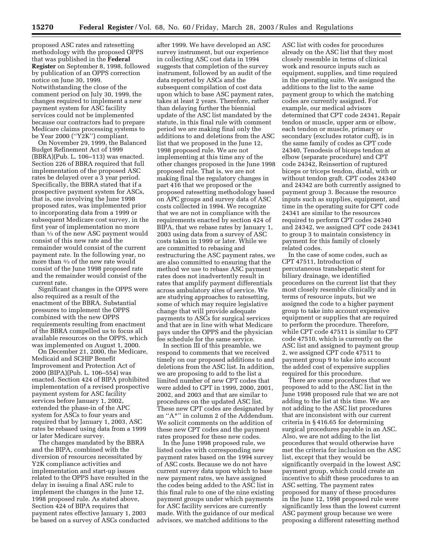proposed ASC rates and ratesetting methodology with the proposed OPPS that was published in the **Federal Register** on September 8, 1998, followed by publication of an OPPS correction notice on June 30, 1999. Notwithstanding the close of the comment period on July 30, 1999, the changes required to implement a new payment system for ASC facility services could not be implemented because our contractors had to prepare Medicare claims processing systems to be Year 2000 (''Y2K'') compliant.

On November 29, 1999, the Balanced Budget Refinement Act of 1999 (BBRA)(Pub. L. 106–113) was enacted. Section 226 of BBRA required that full implementation of the proposed ASC rates be delayed over a 3 year period. Specifically, the BBRA stated that if a prospective payment system for ASCs, that is, one involving the June 1998 proposed rates, was implemented prior to incorporating data from a 1999 or subsequent Medicare cost survey, in the first year of implementation no more than 1⁄3 of the new ASC payment would consist of this new rate and the remainder would consist of the current payment rate. In the following year, no more than 2⁄3 of the new rate would consist of the June 1998 proposed rate and the remainder would consist of the current rate.

Significant changes in the OPPS were also required as a result of the enactment of the BBRA. Substantial pressures to implement the OPPS combined with the new OPPS requirements resulting from enactment of the BBRA compelled us to focus all available resources on the OPPS, which was implemented on August 1, 2000.

On December 21, 2000, the Medicare, Medicaid and SCHIP Benefit Improvement and Protection Act of 2000 (BIPA)(Pub. L. 106–554) was enacted. Section 424 of BIPA prohibited implementation of a revised prospective payment system for ASC facility services before January 1, 2002, extended the phase-in of the APC system for ASCs to four years and required that by January 1, 2003, ASC rates be rebased using data from a 1999 or later Medicare survey.

The changes mandated by the BBRA and the BIPA, combined with the diversion of resources necessitated by Y2K compliance activities and implementation and start-up issues related to the OPPS have resulted in the delay in issuing a final ASC rule to implement the changes in the June 12, 1998 proposed rule. As stated above, Section 424 of BIPA requires that payment rates effective January 1, 2003 be based on a survey of ASCs conducted

after 1999. We have developed an ASC survey instrument, but our experience in collecting ASC cost data in 1994 suggests that completion of the survey instrument, followed by an audit of the data reported by ASCs and the subsequent compilation of cost data upon which to base ASC payment rates, takes at least 2 years. Therefore, rather than delaying further the biennial update of the ASC list mandated by the statute, in this final rule with comment period we are making final only the additions to and deletions from the ASC list that we proposed in the June 12, 1998 proposed rule. We are not implementing at this time any of the other changes proposed in the June 1998 proposed rule. That is, we are not making final the regulatory changes in part 416 that we proposed or the proposed ratesetting methodology based on APC groups and survey data of ASC costs collected in 1994. We recognize that we are not in compliance with the requirements enacted by section 424 of BIPA, that we rebase rates by January 1, 2003 using data from a survey of ASC costs taken in 1999 or later. While we are committed to rebasing and restructuring the ASC payment rates, we are also committed to ensuring that the method we use to rebase ASC payment rates does not inadvertently result in rates that amplify payment differentials across ambulatory sites of service. We are studying approaches to ratesetting, some of which may require legislative change that will provide adequate payments to ASCs for surgical services and that are in line with what Medicare pays under the OPPS and the physician fee schedule for the same service.

In section III of this preamble, we respond to comments that we received timely on our proposed additions to and deletions from the ASC list. In addition, we are proposing to add to the list a limited number of new CPT codes that were added to CPT in 1999, 2000, 2001, 2002, and 2003 and that are similar to procedures on the updated ASC list. These new CPT codes are designated by an ''A\*'' in column 2 of the Addendum. We solicit comments on the addition of these new CPT codes and the payment rates proposed for these new codes.

In the June 1998 proposed rule, we listed codes with corresponding new payment rates based on the 1994 survey of ASC costs. Because we do not have current survey data upon which to base new payment rates, we have assigned the codes being added to the ASC list in this final rule to one of the nine existing payment groups under which payments for ASC facility services are currently made. With the guidance of our medical advisors, we matched additions to the

ASC list with codes for procedures already on the ASC list that they most closely resemble in terms of clinical work and resource inputs such as equipment, supplies, and time required in the operating suite. We assigned the additions to the list to the same payment group to which the matching codes are currently assigned. For example, our medical advisors determined that CPT code 24341, Repair tendon or muscle, upper arm or elbow, each tendon or muscle, primary or secondary (excludes rotator cuff), is in the same family of codes as CPT code 24340, Tenodesis of biceps tendon at elbow (separate procedure) and CPT code 24342, Reinsertion of ruptured biceps or triceps tendon, distal, with or without tendon graft. CPT codes 24340 and 24342 are both currently assigned to payment group 3. Because the resource inputs such as supplies, equipment, and time in the operating suite for CPT code 24341 are similar to the resources required to perform CPT codes 24340 and 24342, we assigned CPT code 24341 to group 3 to maintain consistency in payment for this family of closely related codes.

In the case of some codes, such as CPT 47511, Introduction of percutaneous transhepatic stent for biliary drainage, we identified procedures on the current list that they most closely resemble clinically and in terms of resource inputs, but we assigned the code to a higher payment group to take into account expensive equipment or supplies that are required to perform the procedure. Therefore, while CPT code 47511 is similar to CPT code 47510, which is currently on the ASC list and assigned to payment group 2, we assigned CPT code 47511 to payment group 9 to take into account the added cost of expensive supplies required for this procedure.

There are some procedures that we proposed to add to the ASC list in the June 1998 proposed rule that we are not adding to the list at this time. We are not adding to the ASC list procedures that are inconsistent with our current criteria in § 416.65 for determining surgical procedures payable in an ASC. Also, we are not adding to the list procedures that would otherwise have met the criteria for inclusion on the ASC list, except that they would be significantly overpaid in the lowest ASC payment group, which could create an incentive to shift these procedures to an ASC setting. The payment rates proposed for many of these procedures in the June 12, 1998 proposed rule were significantly less than the lowest current ASC payment group because we were proposing a different ratesetting method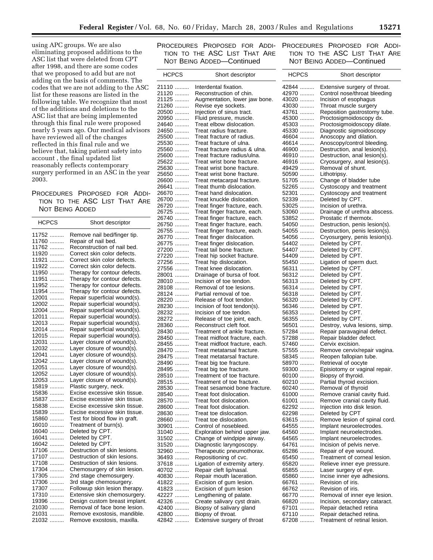using APC groups. We are also eliminating proposed additions to the ASC list that were deleted from CPT after 1998, and there are some codes that we proposed to add but are not adding on the basis of comments. The codes that we are not adding to the ASC list for these reasons are listed in the following table. We recognize that most of the additions and deletions to the ASC list that are being implemented through this final rule were proposed nearly 5 years ago. Our medical advisors have reviewed all of the changes reflected in this final rule and we believe that, taking patient safety into account , the final updated list reasonably reflects contemporary surgery performed in an ASC in the year 2003.

#### PROCEDURES PROPOSED FOR ADDI-TION TO THE ASC LIST THAT ARE NOT BEING ADDED

| HCPCS      | Short descriptor              |
|------------|-------------------------------|
| 11752<br>. | Remove nail bed/finger tip.   |
| 11760<br>. | Repair of nail bed.           |
| 11762<br>. | Reconstruction of nail bed.   |
| 11920<br>. | Correct skin color defects.   |
| 11921<br>. | Correct skin color defects.   |
| 11922<br>. | Correct skin color defects.   |
| 11950<br>. | Therapy for contour defects.  |
| 11951<br>. | Therapy for contour defects.  |
| 11952<br>. | Therapy for contour defects.  |
| 11954<br>. | Therapy for contour defects.  |
| 12001      | Repair superficial wound(s).  |
| .<br>12002 |                               |
| .          | Repair superficial wound(s).  |
| 12004<br>. | Repair superficial wound(s).  |
| 12011<br>. | Repair superficial wound(s).  |
| 12013<br>. | Repair superficial wound(s).  |
| 12014<br>. | Repair superficial wound(s).  |
| 12015<br>. | Repair superficial wound(s).  |
| 12031<br>. | Layer closure of wound(s).    |
| 12032<br>. | Layer closure of wound(s).    |
| 12041<br>. | Layer closure of wound(s).    |
| 12042<br>. | Layer closure of wound(s).    |
| 12051<br>. | Layer closure of wound(s).    |
| 12052<br>. | Layer closure of wound(s).    |
| 12053<br>. | Layer closure of wound(s).    |
| 15819<br>. | Plastic surgery, neck.        |
| 15836<br>. | Excise excessive skin tissue. |
| 15837<br>. | Excise excessive skin tissue. |
| 15838<br>. | Excise excessive skin tissue. |
| 15839<br>. | Excise excessive skin tissue. |
| 15860<br>. | Test for blood flow in graft. |
| 16010<br>. | Treatment of burn(s).         |
| 16040<br>. | Deleted by CPT.               |
| 16041<br>. | Deleted by CPT.               |
| 16042<br>. | Deleted by CPT.               |
| 17106<br>. | Destruction of skin lesions.  |
| 17107<br>. | Destruction of skin lesions.  |
| 17108<br>. | Destruction of skin lesions.  |
| 17304      |                               |
| .<br>17305 | Chemosurgery of skin lesion.  |
| .          | 2nd stage chemosurgery.       |
| 17306<br>. | 3rd stage chemosurgery.       |
| 17307<br>. | Followup skin lesion therapy. |
| 17310<br>. | Extensive skin chemosurgery.  |
| 19396<br>. | Design custom breast implant. |
| 21030<br>. | Removal of face bone lesion.  |
| 21031<br>. | Remove exostosis, mandible.   |
| 21032<br>. | Remove exostosis, maxilla.    |
|            |                               |

#### PROCEDURES PROPOSED FOR ADDI-TION TO THE ASC LIST THAT ARE NOT BEING ADDED—Continued

| <b>HCPCS</b>   | Short descriptor                                       |
|----------------|--------------------------------------------------------|
| 21110          | Interdental fixation.                                  |
| 21120          | Reconstruction of chin.                                |
| 21125          | Augmentation, lower jaw bone.                          |
| 21260          | Revise eye sockets.                                    |
| 20500          | Injection of sinus tract.                              |
| 20950          | Fluid pressure, muscle.                                |
| 24640          | Treat elbow dislocation.                               |
| 24650          | Treat radius fracture.                                 |
| 25500          | Treat fracture of radius.                              |
| 25530          | Treat fracture of ulna.                                |
| 25560          | Treat fracture radius & ulna.                          |
| 25600          | Treat fracture radius/ulna.                            |
| 25622          | Treat wrist bone fracture.                             |
| 25630          | Treat wrist bone fracture.                             |
| 25650          | Treat wrist bone fracture.                             |
| 26600          | Treat metacarpal fracture.                             |
| 26641<br>26670 | Treat thumb dislocation.<br>Treat hand dislocation.    |
| 26700          | Treat knuckle dislocation.                             |
| 26720          | Treat finger fracture, each.                           |
| 26725          | Treat finger fracture, each.                           |
| 26740          | Treat finger fracture, each.                           |
| 26750          | Treat finger fracture, each.                           |
| 26755          | Treat finger fracture, each.                           |
| 26770          | Treat finger dislocation.                              |
| 26775          | Treat finger dislocation.                              |
| 27200          | Treat tail bone fracture.                              |
| 27220          | Treat hip socket fracture.                             |
| 27256          | Treat hip dislocation.                                 |
| 27556          | Treat knee dislocation.                                |
| 28001          | Drainage of bursa of foot.                             |
| 28010          | Incision of toe tendon.                                |
| 28108          | Removal of toe lesions.                                |
| 28124          | Partial removal of toe.                                |
| 28220          | Release of foot tendon.                                |
| 28230          | Incision of foot tendon(s).                            |
| 28232<br>28272 | Incision of toe tendon.<br>Release of toe joint, each. |
| 28360          | Reconstruct cleft foot.                                |
| 28430          | Treatment of ankle fracture.                           |
| 28450          | Treat midfoot fracture, each.                          |
| 28455          | Treat midfoot fracture, each.                          |
| 28470          | Treat metatarsal fracture.                             |
| 28475          | Treat metatarsal fracture.                             |
| 28490          | Treat big toe fracture.                                |
| 28495          | Treat big toe fracture.                                |
| 28510          | Treatment of toe fracture.                             |
| 28515          | Treatment of toe fracture.                             |
| 28530          | Treat sesamoid bone fracture                           |
| 28540          | Treat foot dislocation.                                |
| 28570          | Treat foot dislocation.                                |
| 28600          | Treat foot dislocation.                                |
| 28630<br>28660 | Treat toe dislocation.<br>Treat toe dislocation.       |
| 30901<br>.     | Control of nosebleed.                                  |
| 31040<br>.     | Exploration behind upper jaw.                          |
| 31502<br>.     | Change of windpipe airway.                             |
| 31520<br>.     | Diagnostic laryngoscopy.                               |
| 32960<br>.     | Therapeutic pneumothorax.                              |
| 36493<br>.     | Repositioning of cvc.                                  |
| 37618<br>.     | Ligation of extremity artery.                          |
| 40702<br>.     | Repair cleft lip/nasal.                                |
| 40830<br>.     | Repair mouth laceration.                               |
| 41822<br>.     | Excision of gum lesion.                                |
| 41823          | Excision of gum lesion                                 |
| 42227          | Lengthening of palate.                                 |
| 42326          | Create salivary cyst drain.                            |
| 42400          | Biopsy of salivary gland                               |
| 42800          | Biopsy of throat.                                      |
| 42842          | Extensive surgery of throat                            |

#### PROCEDURES PROPOSED FOR ADDI-TION TO THE ASC LIST THAT ARE NOT BEING ADDED—Continued

| <b>HCPCS</b>                       | Short descriptor                                      |
|------------------------------------|-------------------------------------------------------|
| 42844                              | Extensive surgery of throat.                          |
| 42970<br>.                         | Control nose/throat bleeding                          |
| 43020                              | Incision of esophagus                                 |
| 43030                              | Throat muscle surgery                                 |
| 43761<br>.                         | Reposition gastrostomy tube.                          |
| 45300                              | Proctosigmoidoscopy dx.                               |
| 45303                              | Proctosigmoidoscopy dilate.                           |
| 45330                              | Diagnostic sigmoidoscopy                              |
| 46604                              | Anoscopy and dilation.                                |
| 46614<br>.                         | Anoscopy/control bleeding.                            |
| 46900<br>.                         | Destruction, anal lesion(s).                          |
| 46910<br>.                         | Destruction, anal lesion(s).                          |
| 46916<br>.                         | Cryosurgery, anal lesion(s).                          |
| 49429<br>.                         | Removal of shunt.                                     |
| 50590<br>1.1.1.1.1.1<br>51705<br>. | Lithotripsy.<br>Change of bladder tube                |
| 52265<br>.                         | Cystoscopy and treatment                              |
| 52301<br>.                         | Cystoscopy and treatment                              |
| 52339<br>.                         | Deleted by CPT.                                       |
| 53025                              | Incision of urethra.                                  |
| 53060<br>.                         | Drainage of urethra abscess.                          |
| 53852<br>.                         | Prostatic rf thermotx.                                |
| 54050                              | Destruction, penis lesion(s).                         |
| 54055                              | Destruction, penis lesion(s).                         |
| 54056<br>.                         | Cryosurgery, penis lesion(s).                         |
| 54402<br>.                         | Deleted by CPT.                                       |
| 54407<br>.                         | Deleted by CPT.                                       |
| 54409                              | Deleted by CPT.                                       |
| 55450                              | Ligation of sperm duct.                               |
| 56311<br>.                         | Deleted by CPT.                                       |
| 56312<br>.                         | Deleted by CPT.                                       |
| 56313                              | Deleted by CPT.                                       |
| 56314<br>.                         | Deleted by CPT.                                       |
| 56318<br>.                         | Deleted by CPT.                                       |
| 56320<br>.                         | Deleted by CPT.                                       |
| 56346<br>.                         | Deleted by CPT.                                       |
| 56353<br>.<br>56355                | Deleted by CPT.                                       |
| .<br>56501<br>.                    | Deleted by CPT.<br>Destroy, vulva lesions, simp.      |
| 57284<br>.                         | Repair paravaginal defect.                            |
| 57288<br>.                         | Repair bladder defect.                                |
| 57460<br>.                         | Cervix excision.                                      |
| 57555<br>.                         | Remove cervix/repair vagina.                          |
| 58345<br>.                         | Reopen fallopian tube.                                |
| 58970<br>.                         | Retrieval of oocyte                                   |
| 59300<br>.                         | Episiotomy or vaginal repair.                         |
| 60100<br>1.1.1.1.1.1               | Biopsy of thyroid.                                    |
| 60210<br>.                         | Partial thyroid excision.                             |
| 60240<br>.                         | Removal of thyroid                                    |
| 61000                              | Remove cranial cavity fluid.                          |
| 61001<br>.                         | Remove cranial cavity fluid.                          |
| 62292<br>.                         | Injection into disk lesion.                           |
| 62298                              | Deleted by CPT                                        |
| 63615<br>.                         | Remove lesion of spinal cord.                         |
| 64555                              | Implant neuroelectrodes.                              |
| 64560<br>64565                     | Implant neuroelectrodes.                              |
| 64761<br>.                         | Implant neuroelectrodes.<br>Incision of pelvis nerve. |
| 65286<br>.                         | Repair of eye wound.                                  |
| 65450<br>.                         | Treatment of corneal lesion.                          |
| 65820                              | Relieve inner eye pressure.                           |
| 65855<br>.                         | Laser surgery of eye.                                 |
| 65860                              | Incise inner eye adhesions.                           |
| 66761<br>.                         | Revision of iris.                                     |
| 66762<br>.                         | Revision of iris.                                     |
| 66770<br>.                         | Removal of inner eye lesion.                          |
| 66820<br>1.1.1.1.1.1               | Incision, secondary cataract.                         |
| 67101<br>.                         | Repair detached retina                                |
| 67110                              | Repair detached retina.                               |
| 67208                              | Treatment of retinal lesion.                          |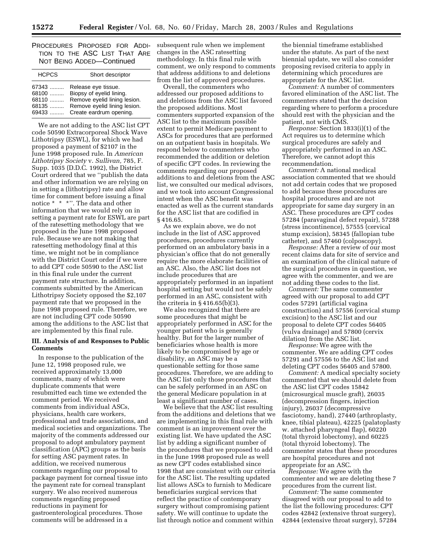PROCEDURES PROPOSED FOR ADDI-TION TO THE ASC LIST THAT ARE NOT BEING ADDED—Continued

| <b>HCPCS</b> | Short descriptor             |
|--------------|------------------------------|
| 67343        | Release eye tissue.          |
| 68100        | Biopsy of eyelid lining.     |
| 68110        | Remove eyelid lining lesion. |
| $68135$      | Remove eyelid lining lesion. |
| 69433        | Create eardrum opening.      |

We are not adding to the ASC list CPT code 50590 Extracorporeal Shock Wave Lithotripsy (ESWL), for which we had proposed a payment of \$2107 in the June 1998 proposed rule. In *American Lithotripsy Society* v. *Sullivan,* 785, F. Supp. 1035 (D.D.C. 1992), the District Court ordered that we ''publish the data and other information we are relying on in setting a (lithotripsy) rate and allow time for comment before issuing a final notice \* \* \*''. The data and other information that we would rely on in setting a payment rate for ESWL are part of the ratesetting methodology that we proposed in the June 1998 proposed rule. Because we are not making that ratesetting methodology final at this time, we might not be in compliance with the District Court order if we were to add CPT code 50590 to the ASC list in this final rule under the current payment rate structure. In addition, comments submitted by the American Lithotripsy Society opposed the \$2,107 payment rate that we proposed in the June 1998 proposed rule. Therefore, we are not including CPT code 50590 among the additions to the ASC list that are implemented by this final rule.

#### **III. Analysis of and Responses to Public Comments**

In response to the publication of the June 12, 1998 proposed rule, we received approximately 13,000 comments, many of which were duplicate comments that were resubmitted each time we extended the comment period. We received comments from individual ASCs, physicians, health care workers, professional and trade associations, and medical societies and organizations. The majority of the comments addressed our proposal to adopt ambulatory payment classification (APC) groups as the basis for setting ASC payment rates. In addition, we received numerous comments regarding our proposal to package payment for corneal tissue into the payment rate for corneal transplant surgery. We also received numerous comments regarding proposed reductions in payment for gastroenterological procedures. Those comments will be addressed in a

subsequent rule when we implement changes in the ASC ratesetting methodology. In this final rule with comment, we only respond to comments that address additions to and deletions from the list of approved procedures.

Overall, the commenters who addressed our proposed additions to and deletions from the ASC list favored the proposed additions. Most commenters supported expansion of the ASC list to the maximum possible extent to permit Medicare payment to ASCs for procedures that are performed on an outpatient basis in hospitals. We respond below to commenters who recommended the addition or deletion of specific CPT codes. In reviewing the comments regarding our proposed additions to and deletions from the ASC list, we consulted our medical advisors, and we took into account Congressional intent when the ASC benefit was enacted as well as the current standards for the ASC list that are codified in § 416.65.

As we explain above, we do not include in the list of ASC approved procedures, procedures currently performed on an ambulatory basis in a physician's office that do not generally require the more elaborate facilities of an ASC. Also, the ASC list does not include procedures that are appropriately performed in an inpatient hospital setting but would not be safely performed in an ASC, consistent with the criteria in  $\S 416.65(b)(3)$ .

We also recognized that there are some procedures that might be appropriately performed in ASC for the younger patient who is generally healthy. But for the larger number of beneficiaries whose health is more likely to be compromised by age or disability, an ASC may be a questionable setting for those same procedures. Therefore, we are adding to the ASC list only those procedures that can be safely performed in an ASC on the general Medicare population in at least a significant number of cases.

We believe that the ASC list resulting from the additions and deletions that we are implementing in this final rule with comment is an improvement over the existing list. We have updated the ASC list by adding a significant number of the procedures that we proposed to add in the June 1998 proposed rule as well as new CPT codes established since 1998 that are consistent with our criteria for the ASC list. The resulting updated list allows ASCs to furnish to Medicare beneficiaries surgical services that reflect the practice of contemporary surgery without compromising patient safety. We will continue to update the list through notice and comment within

the biennial timeframe established under the statute. As part of the next biennial update, we will also consider proposing revised criteria to apply in determining which procedures are appropriate for the ASC list.

*Comment:* A number of commenters favored elimination of the ASC list. The commenters stated that the decision regarding where to perform a procedure should rest with the physician and the patient, not with CMS.

*Response:* Section 1833(i)(1) of the Act requires us to determine which surgical procedures are safely and appropriately performed in an ASC. Therefore, we cannot adopt this recommendation.

*Comment:* A national medical association commented that we should not add certain codes that we proposed to add because these procedures are hospital procedures and are not appropriate for same day surgery in an ASC. These procedures are CPT codes 57284 (paravaginal defect repair), 57288 (stress incontinence), 57555 (cervical stump excision), 58345 (fallopian tube catheter), and 57460 (colposcopy).

*Response:* After a review of our most recent claims data for site of service and an examination of the clinical nature of the surgical procedures in question, we agree with the commenter, and we are not adding these codes to the list.

*Comment:* The same commenter agreed with our proposal to add CPT codes 57291 (artificial vagina construction) and 57556 (cervical stump excision) to the ASC list and our proposal to delete CPT codes 56405 (vulva drainage) and 57800 (cervix dilation) from the ASC list.

*Response:* We agree with the commenter. We are adding CPT codes 57291 and 57556 to the ASC list and deleting CPT codes 56405 and 57800.

*Comment:* A medical specialty society commented that we should delete from the ASC list CPT codes 15842 (microsurgical muscle graft), 26035 (decompression fingers, injection injury), 26037 (decompressive fasciotomy, hand), 27440 (arthroplasty, knee, tibial plateau), 42225 (palatoplasty w. attached pharyngeal flap), 60220 (total thyroid lobectomy), and 60225 (total thyroid lobectomy). The commenter states that these procedures are hospital procedures and not appropriate for an ASC.

*Response:* We agree with the commenter and we are deleting these 7 procedures from the current list.

*Comment:* The same commenter disagreed with our proposal to add to the list the following procedures: CPT codes 42842 (extensive throat surgery), 42844 (extensive throat surgery), 57284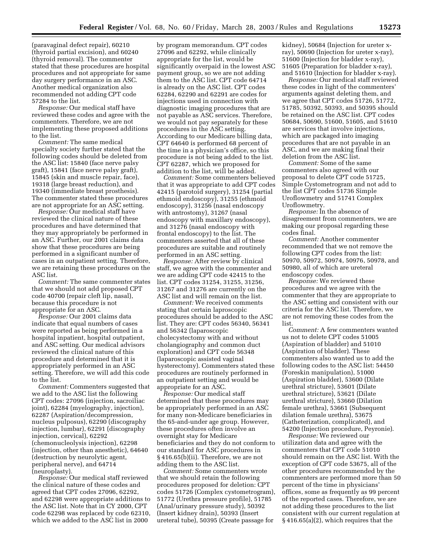(paravaginal defect repair), 60210 (thyroid partial excision), and 60240 (thyroid removal). The commenter stated that these procedures are hospital procedures and not appropriate for same day surgery performance in an ASC. Another medical organization also recommended not adding CPT code 57284 to the list.

*Response:* Our medical staff have reviewed these codes and agree with the commenters. Therefore, we are not implementing these proposed additions to the list.

*Comment:* The same medical specialty society further stated that the following codes should be deleted from the ASC list: 15840 (face nerve palsy graft), 15841 (face nerve palsy graft), 15845 (skin and muscle repair, face), 19318 (large breast reduction), and 19340 (immediate breast prosthesis). The commenter stated these procedures are not appropriate for an ASC setting.

*Response:* Our medical staff have reviewed the clinical nature of these procedures and have determined that they may appropriately be performed in an ASC. Further, our 2001 claims data show that these procedures are being performed in a significant number of cases in an outpatient setting. Therefore, we are retaining these procedures on the ASC list.

*Comment:* The same commenter states that we should not add proposed CPT code 40700 (repair cleft lip, nasal), because this procedure is not appropriate for an ASC.

*Response:* Our 2001 claims data indicate that equal numbers of cases were reported as being performed in a hospital inpatient, hospital outpatient, and ASC setting. Our medical advisors reviewed the clinical nature of this procedure and determined that it is appropriately performed in an ASC setting. Therefore, we will add this code to the list.

*Comment:* Commenters suggested that we add to the ASC list the following CPT codes: 27096 (injection, sacroiliac joint), 62284 (myelography, injection), 62287 (Aspiration/decompression, nucleus pulposus), 62290 (discography injection, lumbar), 62291 (discography injection, cervical), 62292 (chemonucleolysis injection), 62298 (injection, other than anesthetic), 64640 (destruction by neurolytic agent, peripheral nerve), and 64714 (neuroplasty).

*Response:* Our medical staff reviewed the clinical nature of these codes and agreed that CPT codes 27096, 62292, and 62298 were appropriate additions to the ASC list. Note that in CY 2000, CPT code 62298 was replaced by code 62310, which we added to the ASC list in 2000

by program memorandum. CPT codes 27096 and 62292, while clinically appropriate for the list, would be significantly overpaid in the lowest ASC payment group, so we are not adding them to the ASC list. CPT code 64714 is already on the ASC list. CPT codes 62284, 62290 and 62291 are codes for injections used in connection with diagnostic imaging procedures that are not payable as ASC services. Therefore, we would not pay separately for these procedures in the ASC setting. According to our Medicare billing data, CPT 64640 is performed 68 percent of the time in a physician's office, so this procedure is not being added to the list. CPT 62287, which we proposed for addition to the list, will be added.

*Comment:* Some commenters believed that it was appropriate to add CPT codes 42415 (parotoid surgery), 31254 (partial ethmoid endoscopy), 31255 (ethmoid endoscopy), 31256 (nasal endoscopy with antrostomy), 31267 (nasal endoscopy with maxillary endoscopy), and 31276 (nasal endoscopy with frontal endoscopy) to the list. The commenters asserted that all of these procedures are suitable and routinely performed in an ASC setting.

*Response:* After review by clinical staff, we agree with the commenter and we are adding CPT code 42415 to the list. CPT codes 31254, 31255, 31256, 31267 and 31276 are currently on the ASC list and will remain on the list.

*Comment:* We received comments stating that certain laproscopic procedures should be added to the ASC list. They are: CPT codes 56340, 56341 and 56342 (laparoscopic cholecystectomy with and without cholangiography and common duct exploration) and CPT code 56348 (laparoscopic assisted vaginal hysterectomy). Commenters stated these procedures are routinely performed in an outpatient setting and would be appropriate for an ASC.

*Response:* Our medical staff determined that these procedures may be appropriately performed in an ASC for many non-Medicare beneficiaries in the 65-and-under age group. However, these procedures often involve an overnight stay for Medicare beneficiaries and they do not conform to our standard for ASC procedures in § 416.65(b)(ii). Therefore, we are not adding them to the ASC list.

*Comment:* Some commenters wrote that we should retain the following procedures proposed for deletion: CPT codes 51726 (Complex cystometrogram), 51772 (Urethra pressure profile), 51785 (Anal/urinary pressure study), 50392 (Insert kidney drain), 50393 (Insert ureteral tube), 50395 (Create passage for

kidney), 50684 (Injection for ureter xray), 50690 (Injection for ureter x-ray), 51600 (Injection for bladder x-ray), 51605 (Preparation for bladder x-ray), and 51610 (Injection for bladder x-ray).

*Response:* Our medical staff reviewed these codes in light of the commenters' arguments against deleting them, and we agree that CPT codes 51726, 51772, 51785, 50392, 50393, and 50395 should be retained on the ASC list. CPT codes 50684, 50690, 51600, 51605, and 51610 are services that involve injections, which are packaged into imaging procedures that are not payable in an ASC, and we are making final their deletion from the ASC list.

*Comment:* Some of the same commenters also agreed with our proposal to delete CPT code 51725, Simple Cystometrogram and not add to the list CPT codes 51736 Simple Uroflowmetry and 51741 Complex Uroflowmetry.

*Response:* In the absence of disagreement from commenters, we are making our proposal regarding these codes final.

*Comment:* Another commenter recommended that we not remove the following CPT codes from the list: 50970, 50972, 50974, 50976, 50978, and 50980, all of which are ureteral endoscopy codes.

*Response:* We reviewed these procedures and we agree with the commenter that they are appropriate to the ASC setting and consistent with our criteria for the ASC list. Therefore, we are not removing these codes from the list.

*Comment:* A few commenters wanted us not to delete CPT codes 51005 (Aspiration of bladder) and 51010 (Aspiration of bladder). These commenters also wanted us to add the following codes to the ASC list: 54450 (Foreskin manipulation), 51000 (Aspiration bladder), 53600 (Dilate urethral stricture), 53601 (Dilate urethral stricture), 53621 (Dilate urethral stricture), 53660 (Dilation female urethra), 53661 (Subsequent dilation female urethra), 53675 (Catheterization, complicated), and 54200 (Injection procedure, Peyronie).

*Response:* We reviewed our utilization data and agree with the commenters that CPT code 51010 should remain on the ASC list. With the exception of CPT code 53675, all of the other procedures recommended by the commenters are performed more than 50 percent of the time in physicians' offices, some as frequently as 99 percent of the reported cases. Therefore, we are not adding these procedures to the list consistent with our current regulation at § 416.65(a)(2), which requires that the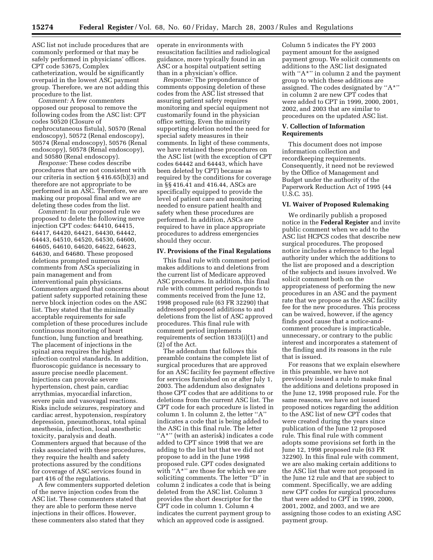ASC list not include procedures that are commonly performed or that may be safely performed in physicians' offices. CPT code 53675, Complex catheterization, would be significantly overpaid in the lowest ASC payment group. Therefore, we are not adding this procedure to the list.

*Comment:* A few commenters opposed our proposal to remove the following codes from the ASC list: CPT codes 50520 (Closure of nephrocutaneous fistula), 50570 (Renal endoscopy), 50572 (Renal endoscopy), 50574 (Renal endoscopy), 50576 (Renal endoscopy), 50578 (Renal endoscopy), and 50580 (Renal endoscopy).

*Response:* These codes describe procedures that are not consistent with our criteria in section § 416.65(b)(3) and therefore are not appropriate to be performed in an ASC. Therefore, we are making our proposal final and we are deleting these codes from the list.

*Comment:* In our proposed rule we proposed to delete the following nerve injection CPT codes: 64410, 64415, 64417, 64420, 64421, 64430, 64442, 64443, 64510, 64520, 64530, 64600, 64605, 64610, 64620, 64622, 64623, 64630, and 64680. These proposed deletions prompted numerous comments from ASCs specializing in pain management and from interventional pain physicians. Commenters argued that concerns about patient safety supported retaining these nerve block injection codes on the ASC list. They stated that the minimally acceptable requirements for safe completion of these procedures include continuous monitoring of heart function, lung function and breathing. The placement of injections in the spinal area requires the highest infection control standards. In addition, fluoroscopic guidance is necessary to assure precise needle placement. Injections can provoke severe hypertension, chest pain, cardiac arrythmias, myocardial infarction, severe pain and vasovagal reactions. Risks include seizures, respiratory and cardiac arrest, hypotension, respiratory depression, pneumothorax, total spinal anesthesia, infection, local anesthetic toxicity, paralysis and death. Commenters argued that because of the risks associated with these procedures, they require the health and safety protections assured by the conditions for coverage of ASC services found in part 416 of the regulations.

A few commenters supported deletion of the nerve injection codes from the ASC list. These commenters stated that they are able to perform these nerve injections in their offices. However, these commenters also stated that they

operate in environments with resuscitation facilities and radiological guidance, more typically found in an ASC or a hospital outpatient setting than in a physician's office.

*Response:* The preponderance of comments opposing deletion of these codes from the ASC list stressed that assuring patient safety requires monitoring and special equipment not customarily found in the physician office setting. Even the minority supporting deletion noted the need for special safety measures in their comments. In light of these comments, we have retained these procedures on the ASC list (with the exception of CPT codes 64442 and 64443, which have been deleted by CPT) because as required by the conditions for coverage in §§ 416.41 and 416.44, ASCs are specifically equipped to provide the level of patient care and monitoring needed to ensure patient health and safety when these procedures are performed. In addition, ASCs are required to have in place appropriate procedures to address emergencies should they occur.

#### **IV. Provisions of the Final Regulations**

This final rule with comment period makes additions to and deletions from the current list of Medicare approved ASC procedures. In addition, this final rule with comment period responds to comments received from the June 12, 1998 proposed rule (63 FR 32290) that addressed proposed additions to and deletions from the list of ASC approved procedures. This final rule with comment period implements requirements of section 1833(i)(1) and (2) of the Act.

The addendum that follows this preamble contains the complete list of surgical procedures that are approved for an ASC facility fee payment effective for services furnished on or after July 1, 2003. The addendum also designates those CPT codes that are additions to or deletions from the current ASC list. The CPT code for each procedure is listed in column 1. In column 2, the letter ''A'' indicates a code that is being added to the ASC in this final rule. The letter "A\*" (with an asterisk) indicates a code added to CPT since 1998 that we are adding to the list but that we did not propose to add in the June 1998 proposed rule. CPT codes designated with "A\*" are those for which we are soliciting comments. The letter ''D'' in column 2 indicates a code that is being deleted from the ASC list. Column 3 provides the short descriptor for the CPT code in column 1. Column 4 indicates the current payment group to which an approved code is assigned.

Column 5 indicates the FY 2003 payment amount for the assigned payment group. We solicit comments on additions to the ASC list designated with "A\*" in column 2 and the payment group to which these additions are assigned. The codes designated by ''A\*'' in column 2 are new CPT codes that were added to CPT in 1999, 2000, 2001, 2002, and 2003 that are similar to procedures on the updated ASC list.

#### **V. Collection of Information Requirements**

This document does not impose information collection and recordkeeping requirements. Consequently, it need not be reviewed by the Office of Management and Budget under the authority of the Paperwork Reduction Act of 1995 (44 U.S.C. 35).

#### **VI. Waiver of Proposed Rulemaking**

We ordinarily publish a proposed notice in the **Federal Register** and invite public comment when we add to the ASC list HCPCS codes that describe new surgical procedures. The proposed notice includes a reference to the legal authority under which the additions to the list are proposed and a description of the subjects and issues involved. We solicit comment both on the appropriateness of performing the new procedures in an ASC and the payment rate that we propose as the ASC facility fee for the new procedures. This process can be waived, however, if the agency finds good cause that a notice-andcomment procedure is impracticable, unnecessary, or contrary to the public interest and incorporates a statement of the finding and its reasons in the rule that is issued.

For reasons that we explain elsewhere in this preamble, we have not previously issued a rule to make final the additions and deletions proposed in the June 12, 1998 proposed rule. For the same reasons, we have not issued proposed notices regarding the addition to the ASC list of new CPT codes that were created during the years since publication of the June 12 proposed rule. This final rule with comment adopts some provisions set forth in the June 12, 1998 proposed rule (63 FR 32290). In this final rule with comment, we are also making certain additions to the ASC list that were not proposed in the June 12 rule and that are subject to comment. Specifically, we are adding new CPT codes for surgical procedures that were added to CPT in 1999, 2000, 2001, 2002, and 2003, and we are assigning those codes to an existing ASC payment group.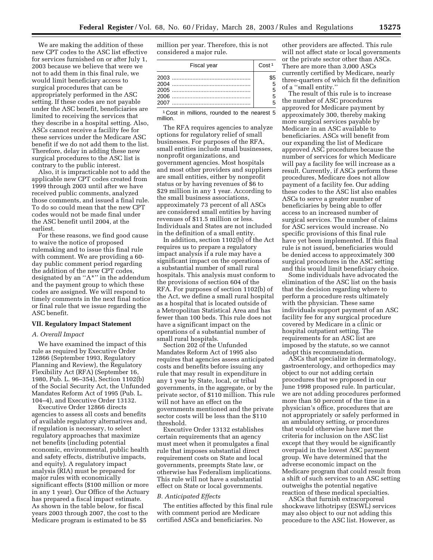We are making the addition of these new CPT codes to the ASC list effective for services furnished on or after July 1, 2003 because we believe that were we not to add them in this final rule, we would limit beneficiary access to surgical procedures that can be appropriately performed in the ASC setting. If these codes are not payable under the ASC benefit, beneficiaries are limited to receiving the services that they describe in a hospital setting. Also, ASCs cannot receive a facility fee for these services under the Medicare ASC benefit if we do not add them to the list. Therefore, delay in adding these new surgical procedures to the ASC list is contrary to the public interest.

Also, it is impracticable not to add the applicable new CPT codes created from 1999 through 2003 until after we have received public comments, analyzed those comments, and issued a final rule. To do so could mean that the new CPT codes would not be made final under the ASC benefit until 2004, at the earliest.

For these reasons, we find good cause to waive the notice of proposed rulemaking and to issue this final rule with comment. We are providing a 60 day public comment period regarding the addition of the new CPT codes, designated by an ''A\*'' in the addendum and the payment group to which these codes are assigned. We will respond to timely comments in the next final notice or final rule that we issue regarding the ASC benefit.

#### **VII. Regulatory Impact Statement**

#### *A. Overall Impact*

We have examined the impact of this rule as required by Executive Order 12866 (September 1993, Regulatory Planning and Review), the Regulatory Flexibility Act (RFA) (September 16, 1980, Pub. L. 96–354), Section 1102(b) of the Social Security Act, the Unfunded Mandates Reform Act of 1995 (Pub. L. 104–4), and Executive Order 13132.

Executive Order 12866 directs agencies to assess all costs and benefits of available regulatory alternatives and, if regulation is necessary, to select regulatory approaches that maximize net benefits (including potential economic, environmental, public health and safety effects, distributive impacts, and equity). A regulatory impact analysis (RIA) must be prepared for major rules with economically significant effects (\$100 million or more in any 1 year). Our Office of the Actuary has prepared a fiscal impact estimate. As shown in the table below, for fiscal years 2003 through 2007, the cost to the Medicare program is estimated to be \$5

million per year. Therefore, this is not considered a major rule.

| Fiscal year | Cost <sup>1</sup> |
|-------------|-------------------|
|             | \$5               |

1 Cost in millions, rounded to the nearest 5 million.

The RFA requires agencies to analyze options for regulatory relief of small businesses. For purposes of the RFA, small entities include small businesses, nonprofit organizations, and government agencies. Most hospitals and most other providers and suppliers are small entities, either by nonprofit status or by having revenues of \$6 to \$29 million in any 1 year. According to the small business associations, approximately 73 percent of all ASCs are considered small entities by having revenues of \$11.5 million or less. Individuals and States are not included in the definition of a small entity.

In addition, section 1102(b) of the Act requires us to prepare a regulatory impact analysis if a rule may have a significant impact on the operations of a substantial number of small rural hospitals. This analysis must conform to the provisions of section 604 of the RFA. For purposes of section 1102(b) of the Act, we define a small rural hospital as a hospital that is located outside of a Metropolitan Statistical Area and has fewer than 100 beds. This rule does not have a significant impact on the operations of a substantial number of small rural hospitals.

Section 202 of the Unfunded Mandates Reform Act of 1995 also requires that agencies assess anticipated costs and benefits before issuing any rule that may result in expenditure in any 1 year by State, local, or tribal governments, in the aggregate, or by the private sector, of \$110 million. This rule will not have an effect on the governments mentioned and the private sector costs will be less than the \$110 threshold.

Executive Order 13132 establishes certain requirements that an agency must meet when it promulgates a final rule that imposes substantial direct requirement costs on State and local governments, preempts State law, or otherwise has Federalism implications. This rule will not have a substantial effect on State or local governments.

#### *B. Anticipated Effects*

The entities affected by this final rule with comment period are Medicare certified ASCs and beneficiaries. No

other providers are affected. This rule will not affect state or local governments or the private sector other than ASCs. There are more than 3,000 ASCs currently certified by Medicare, nearly three-quarters of which fit the definition of a ''small entity.''

The result of this rule is to increase the number of ASC procedures approved for Medicare payment by approximately 300, thereby making more surgical services payable by Medicare in an ASC available to beneficiaries. ASCs will benefit from our expanding the list of Medicare approved ASC procedures because the number of services for which Medicare will pay a facility fee will increase as a result. Currently, if ASCs perform these procedures, Medicare does not allow payment of a facility fee. Our adding these codes to the ASC list also enables ASCs to serve a greater number of beneficiaries by being able to offer access to an increased number of surgical services. The number of claims for ASC services would increase. No specific provisions of this final rule have yet been implemented. If this final rule is not issued, beneficiaries would be denied access to approximately 300 surgical procedures in the ASC setting and this would limit beneficiary choice.

Some individuals have advocated the elimination of the ASC list on the basis that the decision regarding where to perform a procedure rests ultimately with the physician. These same individuals support payment of an ASC facility fee for any surgical procedure covered by Medicare in a clinic or hospital outpatient setting. The requirements for an ASC list are imposed by the statute, so we cannot adopt this recommendation.

ASCs that specialize in dermatology, gastroenterology, and orthopedics may object to our not adding certain procedures that we proposed in our June 1998 proposed rule. In particular, we are not adding procedures performed more than 50 percent of the time in a physician's office, procedures that are not appropriately or safely performed in an ambulatory setting, or procedures that would otherwise have met the criteria for inclusion on the ASC list except that they would be significantly overpaid in the lowest ASC payment group. We have determined that the adverse economic impact on the Medicare program that could result from a shift of such services to an ASC setting outweighs the potential negative reaction of these medical specialties.

ASCs that furnish extracorporeal shockwave lithotripsy (ESWL) services may also object to our not adding this procedure to the ASC list. However, as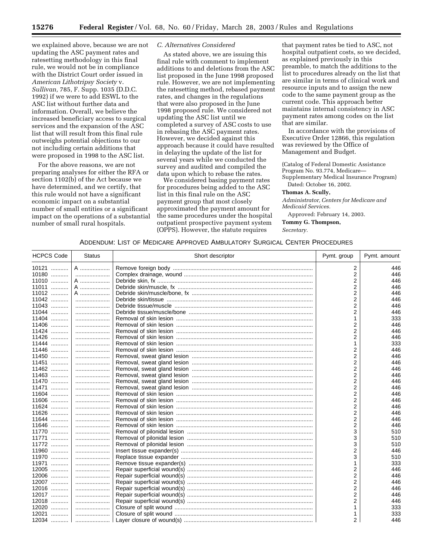we explained above, because we are not updating the ASC payment rates and ratesetting methodology in this final rule, we would not be in compliance with the District Court order issued in *American Lithotripsy Society* v. *Sullivan,* 785, F. Supp. 1035 (D.D.C. 1992) if we were to add ESWL to the ASC list without further data and information. Overall, we believe the increased beneficiary access to surgical services and the expansion of the ASC list that will result from this final rule outweighs potential objections to our not including certain additions that were proposed in 1998 to the ASC list.

For the above reasons, we are not preparing analyses for either the RFA or section 1102(b) of the Act because we have determined, and we certify, that this rule would not have a significant economic impact on a substantial number of small entities or a significant impact on the operations of a substantial number of small rural hospitals.

#### *C. Alternatives Considered*

As stated above, we are issuing this final rule with comment to implement additions to and deletions from the ASC list proposed in the June 1998 proposed rule. However, we are not implementing the ratesetting method, rebased payment rates, and changes in the regulations that were also proposed in the June 1998 proposed rule. We considered not updating the ASC list until we completed a survey of ASC costs to use in rebasing the ASC payment rates. However, we decided against this approach because it could have resulted in delaying the update of the list for several years while we conducted the survey and audited and compiled the data upon which to rebase the rates.

We considered basing payment rates for procedures being added to the ASC list in this final rule on the ASC payment group that most closely approximated the payment amount for the same procedures under the hospital outpatient prospective payment system (OPPS). However, the statute requires

that payment rates be tied to ASC, not hospital outpatient costs, so we decided, as explained previously in this preamble, to match the additions to the list to procedures already on the list that are similar in terms of clinical work and resource inputs and to assign the new code to the same payment group as the current code. This approach better maintains internal consistency in ASC payment rates among codes on the list that are similar.

In accordance with the provisions of Executive Order 12866, this regulation was reviewed by the Office of Management and Budget.

(Catalog of Federal Domestic Assistance Program No. 93.774, Medicare-Supplementary Medical Insurance Program) Dated: October 16, 2002.

#### **Thomas A. Scully,**

*Administrator, Centers for Medicare and Medicaid Services.* 

Approved: February 14, 2003. **Tommy G. Thompson,**  *Secretary.*

| <b>HCPCS Code</b> | <b>Status</b> | Short descriptor | Pymt. group | Pymt. amount |
|-------------------|---------------|------------------|-------------|--------------|
| 10121             | A             |                  | 2           | 446          |
| 10180             |               |                  | 2           | 446          |
| 11010<br>.        | A             |                  | 2           | 446          |
| 11011             | A             |                  | 2           | 446          |
| 11012             | A             |                  | 2           | 446          |
| 11042             |               |                  | 2           | 446          |
| 11043             |               |                  | 2           | 446          |
| 11044             |               |                  | 2           | 446          |
| 11404             |               |                  |             | 333          |
| 11406             |               |                  | 2           | 446          |
| 11424             |               |                  | 2           | 446          |
| 11426             |               |                  | 2           | 446          |
| 11444             |               |                  |             | 333          |
| 11446             |               |                  | 2           | 446          |
| 11450             |               |                  | 2           | 446          |
| 11451<br>.        |               |                  | 2           | 446          |
| 11462             |               |                  | 2           | 446          |
| 11463             |               |                  | 2           | 446          |
| 11470             |               |                  | 2           | 446          |
| 11471<br>.        |               |                  | 2           | 446          |
| 11604             |               |                  | 2           | 446          |
| 11606<br>.        |               |                  | 2           | 446          |
| 11624             |               |                  | 2           | 446          |
| 11626<br>.        |               |                  | 2           | 446          |
| 11644             |               |                  | 2           | 446          |
| 11646             |               |                  | 2           | 446          |
| 11770             |               |                  | 3           | 510          |
| 11771             |               |                  |             | 510          |
| 11772             |               |                  | 3           | 510          |
| 11960             |               |                  |             |              |
| 11970             |               |                  | 2           | 446          |
| .                 |               |                  |             | 510          |
| 11971<br>.        |               |                  |             | 333          |
| 12005             |               |                  | 2           | 446          |
| 12006<br>.        |               |                  | 2           | 446          |
| 12007             |               |                  | 2           | 446          |
| 12016<br>.        |               |                  | 2           | 446          |
| 12017             |               |                  | 2           | 446          |
| 12018             |               |                  | 2           | 446          |
| 12020             |               |                  |             | 333          |
| 12021<br>.        |               |                  |             | 333          |
| 12034             |               |                  | 2           | 446          |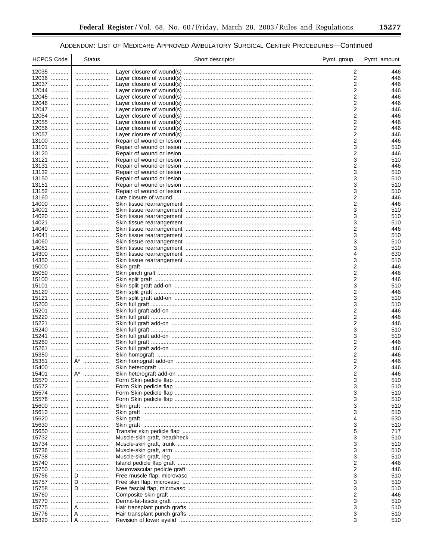▀

| <b>HCPCS Code</b>   | <b>Status</b> | Short descriptor | Pymt. group | Pymt. amount |
|---------------------|---------------|------------------|-------------|--------------|
| 12035               |               |                  | 2           | 446          |
| 12036               |               |                  | 2           | 446          |
| 12037               |               |                  | 2           | 446          |
| 12044               |               |                  | 2           | 446          |
| 12045               |               |                  | 2           | 446          |
| 12046               |               |                  | 2           | 446          |
| 12047               |               |                  | 2           | 446          |
| 12054               |               |                  | 2           | 446          |
| 12055               |               |                  | 2           | 446          |
| 12056               |               |                  | 2           | 446          |
| 12057<br>13100      |               |                  | 2<br>2      | 446<br>446   |
| 13101               |               |                  | 3           | 510          |
| 13120               |               |                  | 2           | 446          |
| 13121               |               |                  | 3           | 510          |
| 13131               |               |                  | 2           | 446          |
| 13132               |               |                  | 3           | 510          |
| 13150               |               |                  | 3           | 510          |
| 13151               |               |                  | 3           | 510          |
| 13152               |               |                  | 3           | 510          |
| 13160               |               |                  | 2           | 446          |
| 14000               |               |                  | 2           | 446          |
| 14001<br>14020      |               |                  | 3<br>3      | 510<br>510   |
| 14021               |               |                  | 3           | 510          |
| 14040               |               |                  | 2           | 446          |
| 14041               |               |                  | 3           | 510          |
| 14060               |               |                  | 3           | 510          |
| 14061               |               |                  | 3           | 510          |
| 14300               |               |                  | 4           | 630          |
| 14350               |               |                  | 3           | 510          |
| 15000               |               |                  | 2           | 446          |
| 15050               |               |                  | 2           | 446          |
| 15100<br>15101      |               |                  | 2           | 446          |
| 15120               |               |                  | 3<br>2      | 510<br>446   |
| 15121               |               |                  | 3           | 510          |
| 15200               |               |                  | 3           | 510          |
| 15201               |               |                  | 2           | 446          |
| 15220               |               |                  | 2           | 446          |
| 15221               |               |                  | 2           | 446          |
| 15240               |               |                  | 3           | 510          |
| 15241               |               |                  | 3           | 510          |
| 15260<br>15261      |               |                  | 2<br>2      | 446<br>446   |
| 15350               |               |                  | 2           | 446          |
| 15351               | A*            |                  | 2           | 446          |
| 15400               |               |                  | 2           | 446          |
| 15401               | A*            |                  |             | 446          |
| 15570               |               |                  | 3           | 510          |
| 15572<br>.          |               |                  | 3           | 510          |
| 15574               |               |                  | 3           | 510          |
| 15576               |               |                  | 3           | 510          |
| 15600               |               |                  | 3           | 510          |
| 15610<br>15620      |               |                  | 3<br>4      | 510          |
| 15630               | <br>          |                  | 3           | 630<br>510   |
| 15650               |               |                  | 5           | 717          |
| 15732               |               |                  | 3           | 510          |
| 15734               |               |                  | 3           | 510          |
| 15736               |               |                  | 3           | 510          |
| 15738               |               |                  | 3           | 510          |
| 15740               |               |                  | 2           | 446          |
| 15750               |               |                  | 2           | 446          |
| 15756               | D             |                  | 3           | 510          |
| 15757               | D             |                  | 3           | 510          |
| 15758<br>.<br>15760 | D             |                  | 3<br>2      | 510<br>446   |
| 15770               |               |                  | 3           | 510          |
| 15775               | A             |                  | 3           | 510          |
| 15776<br>.          | A             |                  | 3           | 510          |
| 15820               | A             |                  | 3           | 510          |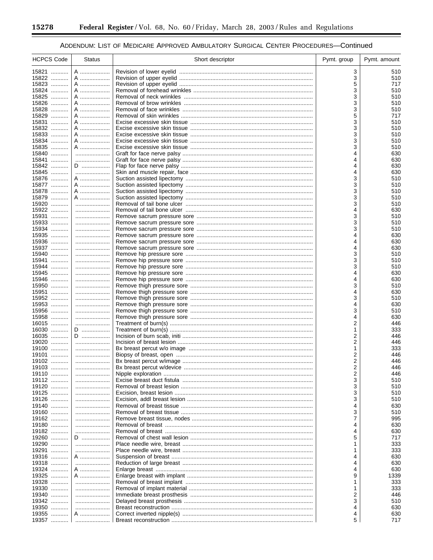۰

## ADDENDUM: LIST OF MEDICARE APPROVED AMBULATORY SURGICAL CENTER PROCEDURES-Continued

| <b>HCPCS Code</b> | <b>Status</b> | Short descriptor | Pymt. group | Pymt. amount |
|-------------------|---------------|------------------|-------------|--------------|
| 15821             | A             |                  | 3           | 510          |
| 15822             | A             |                  | 3           | 510          |
| 15823             | A             |                  | 5           | 717          |
| 15824<br>15825    | A<br>A        |                  | 3<br>3      | 510<br>510   |
| 15826             | A             |                  | 3           | 510          |
| 15828             | A             |                  | 3           | 510          |
| 15829             | A             |                  | 5           | 717          |
| 15831             | A             |                  | 3           | 510          |
| 15832             | A             |                  | 3           | 510          |
| 15833             | A             |                  | 3           | 510          |
| 15834<br>15835    | A<br>A        |                  | 3<br>3      | 510<br>510   |
| 15840             |               |                  | 4           | 630          |
| 15841             |               |                  | 4           | 630          |
| 15842             | D             |                  | 4           | 630          |
| 15845             |               |                  | 4           | 630          |
| 15876             | A             |                  | 3           | 510          |
| 15877<br>15878    | A<br>A        |                  | 3<br>3      | 510<br>510   |
| 15879             | A             |                  | 3           | 510          |
| 15920             |               |                  | 3           | 510          |
| 15922             |               |                  | 4           | 630          |
| 15931             |               |                  | 3           | 510          |
| 15933             |               |                  | 3           | 510          |
| 15934<br>15935    |               |                  | 3<br>4      | 510<br>630   |
| 15936             |               |                  | 4           | 630          |
| 15937             |               |                  | 4           | 630          |
| 15940             |               |                  | 3           | 510          |
| 15941             |               |                  | 3           | 510          |
| 15944<br>15945    |               |                  | 3<br>4      | 510<br>630   |
| 15946             |               |                  | 4           | 630          |
| 15950             |               |                  | 3           | 510          |
| 15951             |               |                  | 4           | 630          |
| 15952             |               |                  | 3           | 510          |
| 15953             |               |                  | 4           | 630          |
| 15956<br>15958    |               |                  | 3<br>4      | 510<br>630   |
| 16015             |               |                  | 2           | 446          |
| 16030             | D             |                  | 1           | 333          |
| 16035             | D             |                  | 2           | 446          |
| 19020             |               |                  | 2           | 446          |
| 19100<br>19101    |               |                  | 1<br>2      | 333<br>446   |
| 19102             |               |                  | 2           | 446          |
| 19103             |               |                  | 2           | 446          |
| 19110             |               |                  | 2           | 446          |
| 19112             |               |                  | 3           | 510          |
| 19120             |               |                  | 3           | 510          |
| 19125<br>19126    |               |                  | 3<br>3      | 510<br>510   |
| 19140             |               |                  | 4           | 630          |
| 19160             |               |                  | 3           | 510          |
| 19162             |               |                  | 7           | 995          |
| 19180             |               |                  | 4           | 630          |
| 19182<br>19260    | D             |                  | 4           | 630<br>717   |
| 19290             |               |                  |             | 333          |
| 19291             |               |                  |             | 333          |
| 19316             | A             |                  |             | 630          |
| 19318             |               |                  | 4           | 630          |
| 19324             | A             |                  | 4           | 630          |
| 19325<br>19328    | A             |                  | 9<br>1      | 1339<br>333  |
| 19330             | <br>          |                  | 1           | 333          |
| 19340             |               |                  | 2           | 446          |
| 19342             |               |                  | 3           | 510          |
| 19350             |               |                  | 4           | 630          |
| 19355             | A             |                  | 4           | 630          |
| 19357             |               |                  | 5           | 717          |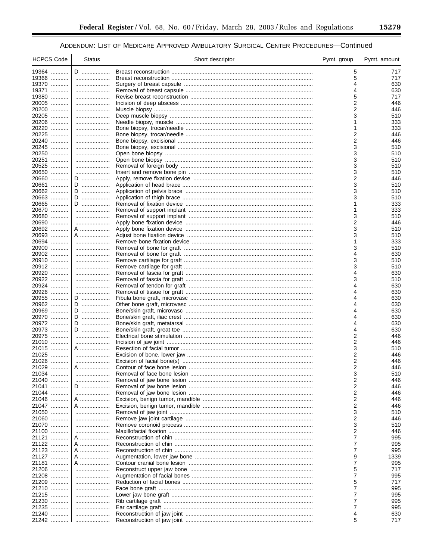| <b>HCPCS Code</b> | Status | Short descriptor | Pymt. group | Pymt. amount |
|-------------------|--------|------------------|-------------|--------------|
| 19364             | D      |                  | 5           | 717          |
| 19366             |        |                  | 5           | 717          |
| 19370             |        |                  | 4           | 630          |
| 19371             |        |                  | 4           | 630          |
| 19380             |        |                  | 5           | 717          |
| 20005             |        |                  | 2           | 446          |
| 20200             |        |                  | 2           | 446          |
| 20205             |        |                  | 3           | 510          |
| 20206             |        |                  | 1           | 333          |
| 20220             |        |                  | 1           | 333          |
| 20225             |        |                  | 2           | 446          |
| 20240             |        |                  | 2           | 446          |
| 20245             |        |                  | 3           | 510          |
| 20250<br>20251    |        |                  | 3<br>3      | 510          |
| 20525             |        |                  | 3           | 510<br>510   |
| 20650             |        |                  | 3           | 510          |
| 20660             | D      |                  | 2           | 446          |
| 20661             | D      |                  | 3           | 510          |
| 20662             | D      |                  | 3           | 510          |
| 20663             | D      |                  | 3           | 510          |
| 20665             | D      |                  | 1           | 333          |
| 20670             |        |                  | 1           | 333          |
| 20680             |        |                  | 3           | 510          |
| 20690             |        |                  | 2           | 446          |
| 20692             | A      |                  | 3           | 510          |
| 20693             | A      |                  | 3           | 510          |
| 20694             |        |                  | 1           | 333          |
| 20900             |        |                  | 3           | 510          |
| 20902             |        |                  | 4           | 630          |
| 20910             |        |                  | 3           | 510          |
| 20912             |        |                  | 3           | 510          |
| 20920             |        |                  | 4           | 630          |
| 20922<br>20924    |        |                  | 3           | 510          |
| 20926             |        |                  | 4<br>4      | 630<br>630   |
| 20955             | D      |                  | 4           | 630          |
| 20962             | D      |                  | 4           | 630          |
| 20969             | D      |                  |             | 630          |
| 20970             | D      |                  | 4           | 630          |
| 20972             | D      |                  | 4           | 630          |
| 20973             | D      |                  | 4           | 630          |
| 20975             |        |                  | 2           | 446          |
| 21010             |        |                  | 2           | 446          |
| 21015             | A      |                  | 3           | 510          |
| 21025             |        |                  | 2           | 446          |
| 21026             |        |                  | 2           | 446          |
| 21029             | A      |                  | 2           | 446          |
| 21034             |        |                  | 3           | 510          |
| 21040             |        |                  | 2           | 446          |
| 21041             | D      |                  | 2           | 446          |
| 21044             |        |                  | 2           | 446          |
| 21046             | A      |                  | 2           | 446          |
| 21047<br>21050    | A      |                  | 2<br>3      | 446<br>510   |
| 21060             |        |                  | 2           | 446          |
| 21070             |        |                  | 3           | 510          |
| 21100             |        |                  | 2           | 446          |
| 21121             | A      |                  | 7           | 995          |
| 21122             | A      |                  | 7           | 995          |
| 21123             | A      |                  | 7           | 995          |
| 21127             | A      |                  | 9           | 1339         |
| 21181             | A      |                  | 7           | 995          |
| 21206             |        |                  | 5           | 717          |
| 21208             |        |                  | 7           | 995          |
| 21209             |        |                  | 5           | 717          |
| 21210             |        |                  | 7           | 995          |
| 21215             |        |                  | 7           | 995          |
| 21230             |        |                  | 7           | 995          |
| 21235             |        |                  | 7           | 995          |
| 21240             |        |                  | 4           | 630          |
| 21242             |        |                  | 5           | 717          |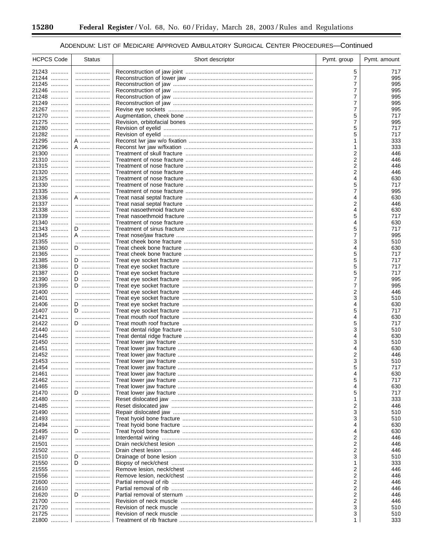-

۰

## ADDENDUM: LIST OF MEDICARE APPROVED AMBULATORY SURGICAL CENTER PROCEDURES-Continued

| <b>HCPCS Code</b> | <b>Status</b> | Short descriptor | Pymt. group | Pymt. amount |
|-------------------|---------------|------------------|-------------|--------------|
| 21243             |               |                  | 5           | 717          |
| 21244             |               |                  | 7           | 995          |
| 21245             |               |                  | 7           | 995          |
| 21246             |               |                  | 7           | 995          |
| 21248<br>21249    |               |                  | 7<br>7      | 995<br>995   |
| 21267             |               |                  | 7           | 995          |
| 21270             |               |                  | 5           | 717          |
| 21275             |               |                  | 7           | 995          |
| 21280             |               |                  | 5           | 717          |
| 21282<br>21295    | A             |                  | 5<br>1      | 717          |
| 21296             | A             |                  | 1           | 333<br>333   |
| 21300             |               |                  | 2           | 446          |
| 21310             |               |                  | 2           | 446          |
| 21315             |               |                  | 2           | 446          |
| 21320             |               |                  | 2           | 446          |
| 21325<br>21330    |               |                  | 4<br>5      | 630<br>717   |
| 21335             |               |                  | 7           | 995          |
| 21336             | A             |                  | 4           | 630          |
| 21337             |               |                  | 2           | 446          |
| 21338             |               |                  | 4           | 630          |
| 21339             |               |                  | 5           | 717          |
| 21340<br>21343    | D             |                  | 4<br>5      | 630<br>717   |
| 21345             | A             |                  | 7           | 995          |
| 21355             |               |                  | 3           | 510          |
| 21360             | D             |                  | 4           | 630          |
| 21365             |               |                  | 5           | 717          |
| 21385             | D             |                  | 5           | 717          |
| 21386<br>21387    | D<br>D        |                  | 5<br>5      | 717<br>717   |
| 21390             | D             |                  | 7           | 995          |
| 21395             | D             |                  | 7           | 995          |
| 21400             |               |                  | 2           | 446          |
| 21401             |               |                  | 3           | 510          |
| 21406<br>21407    | D<br>D        |                  | 4<br>5      | 630<br>717   |
| 21421             |               |                  | 4           | 630          |
| 21422             | D             |                  | 5           | 717          |
| 21440             |               |                  | 3           | 510          |
| 21445             |               |                  | 4           | 630          |
| 21450             |               |                  | 3           | 510          |
| 21451<br>21452    |               |                  | 4<br>2      | 630<br>446   |
| 21453             |               |                  | 3           | 510          |
| 21454             | .             |                  | 5           | 717          |
| 21461             |               |                  |             | 630          |
| 21462             |               |                  | 5           | 717          |
| 21465             |               |                  | 4           | 630          |
| 21470<br>21480    | D<br>         |                  | 5<br>1      | 717<br>333   |
| 21485             |               |                  | 2           | 446          |
| 21490             |               |                  | 3           | 510          |
| 21493             |               |                  | 3           | 510          |
| 21494             |               |                  | 4           | 630          |
| 21495             | D             |                  | 4           | 630          |
| 21497<br>21501    |               |                  | 2<br>2      | 446<br>446   |
| 21502             |               |                  | 2           | 446          |
| 21510             | D             |                  | 3           | 510          |
| 21550             | D             |                  | 1           | 333          |
| 21555             |               |                  | 2           | 446          |
| 21556             |               |                  | 2           | 446          |
| 21600<br>21610    |               |                  | 2<br>2      | 446<br>446   |
| 21620             | D             |                  | 2           | 446          |
| 21700             |               |                  | 2           | 446          |
| 21720             |               |                  | 3           | 510          |
| 21725             |               |                  | 3           | 510          |
| 21800             |               |                  | 1           | 333          |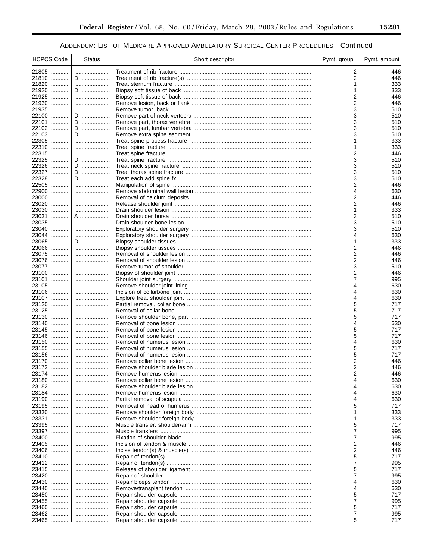| <b>HCPCS Code</b> | <b>Status</b> | Short descriptor | Pymt. group         | Pymt. amount |
|-------------------|---------------|------------------|---------------------|--------------|
| 21805             |               |                  | 2                   | 446          |
| 21810             | D             |                  | 2                   | 446          |
| 21820             |               |                  | 1                   | 333          |
| 21920             | D             |                  | 1                   | 333          |
| 21925             |               |                  | 2                   | 446          |
| 21930             |               |                  | 2                   | 446          |
| 21935             |               |                  | 3                   | 510          |
| 22100<br>22101    | D             |                  | 3<br>3              | 510<br>510   |
| 22102             | D<br>D        |                  | 3                   | 510          |
| 22103             | D             |                  | 3                   | 510          |
| 22305             |               |                  | 1                   | 333          |
| 22310             |               |                  | 1                   | 333          |
| 22315             |               |                  | $\overline{2}$      | 446          |
| 22325             | D             |                  | 3                   | 510          |
| 22326             | D             |                  | 3                   | 510          |
| 22327             | D             |                  | 3                   | 510          |
| 22328             | D             |                  | 3                   | 510          |
| 22505             |               |                  | 2                   | 446          |
| 22900<br>23000    |               |                  | 4<br>2              | 630<br>446   |
| 23020             |               |                  | 2                   | 446          |
| 23030             |               |                  | 1                   | 333          |
| 23031             | A             |                  | 3                   | 510          |
| 23035             |               |                  | 3                   | 510          |
| 23040             |               |                  | 3                   | 510          |
| 23044             |               |                  | 4                   | 630          |
| 23065             | D             |                  | 1                   | 333          |
| 23066             |               |                  | 2                   | 446          |
| 23075             |               |                  | 2                   | 446          |
| 23076<br>23077    |               |                  | 2<br>3              | 446<br>510   |
| 23100             |               |                  | $\overline{2}$      | 446          |
| 23101             |               |                  | $\overline{7}$      | 995          |
| 23105             |               |                  | 4                   | 630          |
| 23106             |               |                  | 4                   | 630          |
| 23107             |               |                  | 4                   | 630          |
| 23120             |               |                  | 5                   | 717          |
| 23125             |               |                  | 5                   | 717          |
| 23130             |               |                  | 5                   | 717          |
| 23140<br>23145    |               |                  | 4<br>5              | 630<br>717   |
| 23146             |               |                  | 5                   | 717          |
| 23150             |               |                  | 4                   | 630          |
| 23155             |               |                  | 5                   | 717          |
| 23156             |               |                  | 5                   | 717          |
| 23170             |               |                  | 2                   | 446          |
| 23172             |               |                  | 2                   | 446          |
| 23174             |               |                  | 2                   | 446          |
| 23180             |               |                  | 4<br>4              | 630          |
| 23182<br>23184    |               |                  |                     | 630          |
| 23190             | <br>          |                  | 4<br>4              | 630<br>630   |
| 23195             |               |                  | 5                   | 717          |
| 23330             |               |                  |                     | 333          |
| 23331             |               |                  | 1                   | 333          |
| 23395             |               |                  | 5                   | 717          |
| 23397             |               |                  | $\overline{7}$      | 995          |
| 23400             |               |                  | 7                   | 995          |
| 23405             |               |                  | 2                   | 446          |
| 23406             |               |                  | 2                   | 446          |
| 23410<br>23412    |               |                  | 5<br>$\overline{7}$ | 717<br>995   |
| 23415             |               |                  | 5                   | 717          |
| 23420             |               |                  | 7                   | 995          |
| 23430             |               |                  | 4                   | 630          |
| 23440             |               |                  | 4                   | 630          |
| 23450             |               |                  | 5                   | 717          |
| 23455             |               |                  | $\overline{7}$      | 995          |
| 23460             |               |                  | 5                   | 717          |
| 23462<br>23465    |               |                  | 7<br>5              | 995<br>717   |
|                   |               |                  |                     |              |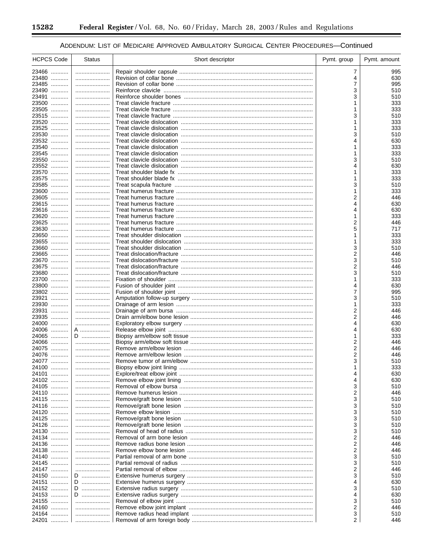۰

## ADDENDUM: LIST OF MEDICARE APPROVED AMBULATORY SURGICAL CENTER PROCEDURES-Continued

| <b>HCPCS Code</b>   | <b>Status</b> | Short descriptor | Pymt. group | Pymt. amount |
|---------------------|---------------|------------------|-------------|--------------|
| 23466               |               |                  | 7           | 995          |
| 23480               |               |                  | 4           | 630          |
| 23485<br>23490      |               |                  | 7<br>3      | 995<br>510   |
| 23491               |               |                  | 3           | 510          |
| 23500               |               |                  |             | 333          |
| 23505               |               |                  | 1           | 333          |
| 23515               |               |                  | 3           | 510          |
| 23520               |               |                  | 1           | 333          |
| 23525<br>23530      |               |                  | 1<br>3      | 333<br>510   |
| 23532               |               |                  | 4           | 630          |
| 23540               |               |                  | 1           | 333          |
| 23545               |               |                  |             | 333          |
| 23550               |               |                  | 3           | 510          |
| 23552<br>23570      |               |                  | 1           | 630<br>333   |
| 23575               |               |                  |             | 333          |
| 23585               |               |                  | 3           | 510          |
| 23600               |               |                  | 1           | 333          |
| 23605               |               |                  | 2           | 446          |
| 23615<br>23616      |               |                  | 4<br>4      | 630<br>630   |
| 23620               |               |                  | 1           | 333          |
| 23625               |               |                  | 2           | 446          |
| 23630               |               |                  | 5           | 717          |
| 23650               |               |                  | 1           | 333          |
| 23655               |               |                  |             | 333          |
| 23660<br>23665      |               |                  | 3<br>2      | 510<br>446   |
| 23670               |               |                  | 3           | 510          |
| 23675               |               |                  | 2           | 446          |
| 23680               |               |                  | 3           | 510          |
| 23700               |               |                  |             | 333          |
| 23800<br>23802      |               |                  | 4<br>7      | 630<br>995   |
| 23921               |               |                  | 3           | 510          |
| 23930               |               |                  | 1           | 333          |
| 23931               |               |                  | 2           | 446          |
| 23935               |               |                  | 2           | 446          |
| 24000<br>24006<br>. | <br>A ………………… |                  | 4<br>4      | 630<br>630   |
| 24065               | D             |                  | 1           | 333          |
| 24066               |               |                  | 2           | 446          |
| 24075               |               |                  | 2           | 446          |
| 24076               |               |                  | 2           | 446          |
| 24077               |               |                  | 3           | 510<br>333   |
| 24100<br>24101      |               |                  |             | 630          |
| 24102               |               |                  | 4           | 630          |
| 24105               |               |                  | 3           | 510          |
| 24110               |               |                  | 2           | 446          |
| 24115               |               |                  | 3<br>3      | 510          |
| 24116<br>24120      | <br>          |                  | 3           | 510<br>510   |
| 24125               |               |                  | 3           | 510          |
| 24126               |               |                  | 3           | 510          |
| 24130               |               |                  | 3           | 510          |
| 24134               |               |                  | 2           | 446          |
| 24136               |               |                  | 2<br>2      | 446          |
| 24138<br>24140      | <br>          |                  | 3           | 446<br>510   |
| 24145               |               |                  | 3           | 510          |
| 24147               |               |                  | 2           | 446          |
| 24150               | D             |                  | 3           | 510          |
| 24151               | D             |                  | 4           | 630          |
| 24152<br>24153      | D<br>D        |                  | 3<br>4      | 510<br>630   |
| 24155               |               |                  | 3           | 510          |
| 24160               |               |                  | 2           | 446          |
| 24164               |               |                  | 3           | 510          |
| 24201               |               |                  | 2           | 446          |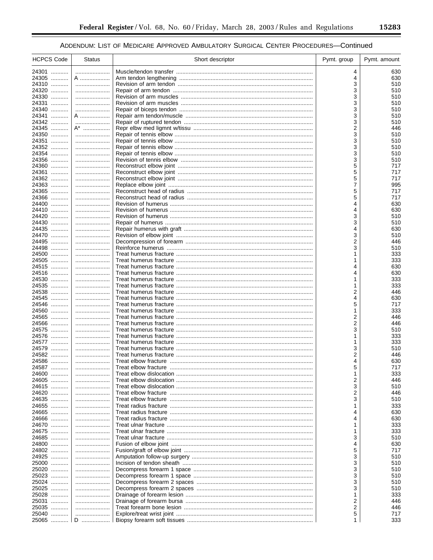| <b>HCPCS Code</b> | <b>Status</b> | Short descriptor | Pymt. group         | Pymt. amount |
|-------------------|---------------|------------------|---------------------|--------------|
| 24301             |               |                  | 4                   | 630          |
| 24305             | A             |                  | 4                   | 630          |
| 24310             |               |                  | 3                   | 510          |
| 24320             |               |                  | 3                   | 510          |
| 24330             |               |                  | 3                   | 510          |
| 24331             |               |                  | 3                   | 510          |
| 24340             |               |                  | 3                   | 510          |
| 24341<br>24342    | A             |                  | 3                   | 510          |
| 24345             | A*            |                  | 3<br>2              | 510<br>446   |
| 24350             |               |                  | 3                   | 510          |
| 24351             |               |                  | 3                   | 510          |
| 24352             |               |                  | 3                   | 510          |
| 24354             |               |                  | 3                   | 510          |
| 24356             |               |                  | 3                   | 510          |
| 24360             |               |                  | 5                   | 717          |
| 24361             |               |                  | 5                   | 717          |
| 24362             |               |                  | 5                   | 717          |
| 24363             |               |                  | 7                   | 995          |
| 24365<br>24366    |               |                  | 5<br>5              | 717<br>717   |
| 24400             |               |                  | 4                   | 630          |
| 24410             |               |                  | 4                   | 630          |
| 24420             |               |                  | 3                   | 510          |
| 24430             |               |                  | 3                   | 510          |
| 24435             |               |                  | 4                   | 630          |
| 24470             |               |                  | 3                   | 510          |
| 24495             |               |                  | 2                   | 446          |
| 24498             |               |                  | 3                   | 510          |
| 24500             |               |                  | 1                   | 333          |
| 24505<br>24515    |               |                  | 1<br>4              | 333<br>630   |
| 24516             |               |                  |                     | 630          |
| 24530             |               |                  | 1                   | 333          |
| 24535             |               |                  | 1                   | 333          |
| 24538             |               |                  | 2                   | 446          |
| 24545             |               |                  | 4                   | 630          |
| 24546             |               |                  | 5                   | 717          |
| 24560             |               |                  | 1                   | 333          |
| 24565<br>24566    |               |                  | 2<br>$\overline{2}$ | 446<br>446   |
| 24575             |               |                  | 3                   | 510          |
| 24576             |               |                  |                     | 333          |
| 24577             |               |                  | 1                   | 333          |
| 24579             |               |                  | 3                   | 510          |
| 24582             |               |                  | 2                   | 446          |
| 24586             |               |                  | 4                   | 630          |
| 24587             |               |                  | 5                   | 717          |
| 24600             |               |                  |                     | 333          |
| 24605<br>24615    |               |                  | 2                   | 446          |
| 24620             |               |                  | 3<br>2              | 510<br>446   |
| 24635             |               |                  | 3                   | 510          |
| 24655             |               |                  | 1                   | 333          |
| 24665             |               |                  | 4                   | 630          |
| 24666             |               |                  | 4                   | 630          |
| 24670             |               |                  | 1                   | 333          |
| 24675             |               |                  | 1                   | 333          |
| 24685             |               |                  | 3                   | 510          |
| 24800             |               |                  | 4                   | 630          |
| 24802<br>24925    |               |                  | 5<br>3              | 717<br>510   |
| 25000             |               |                  | 3                   | 510          |
| 25020             |               |                  | 3                   | 510          |
| 25023             |               |                  | 3                   | 510          |
| 25024             |               |                  | 3                   | 510          |
| 25025             |               |                  | 3                   | 510          |
| 25028             |               |                  | 1                   | 333          |
| 25031             |               |                  | 2                   | 446          |
| 25035             |               |                  | 2                   | 446          |
| 25040<br>25065    | D             |                  | 5<br>1              | 717<br>333   |
|                   |               |                  |                     |              |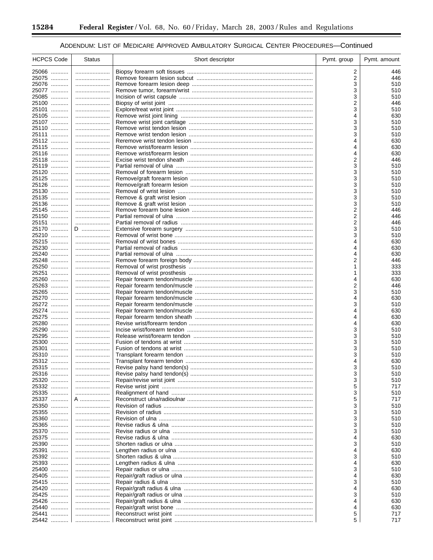۰

## ADDENDUM: LIST OF MEDICARE APPROVED AMBULATORY SURGICAL CENTER PROCEDURES-Continued

| <b>HCPCS Code</b> | <b>Status</b> | Short descriptor | Pymt. group | Pymt. amount |
|-------------------|---------------|------------------|-------------|--------------|
| 25066             |               |                  | 2           | 446          |
| 25075             |               |                  | 2           | 446          |
| 25076             |               |                  | 3           | 510          |
| 25077<br>25085    |               |                  | 3           | 510          |
| 25100             |               |                  | 3<br>2      | 510<br>446   |
| 25101             |               |                  | 3           | 510          |
| 25105             |               |                  | 4           | 630          |
| 25107             |               |                  | 3           | 510          |
| 25110             |               |                  | 3           | 510          |
| 25111             |               |                  | 3           | 510          |
| 25112             |               |                  | 4           | 630          |
| 25115             |               |                  | 4           | 630          |
| 25116             |               |                  | 4           | 630          |
| 25118<br>25119    |               |                  | 2<br>3      | 446<br>510   |
| 25120             |               |                  | 3           | 510          |
| 25125             |               |                  | 3           | 510          |
| 25126             |               |                  | 3           | 510          |
| 25130             |               |                  | 3           | 510          |
| 25135             |               |                  | 3           | 510          |
| 25136             |               |                  | 3           | 510          |
| 25145             |               |                  | 2           | 446          |
| 25150             |               |                  | 2           | 446          |
| 25151             |               |                  | 2           | 446          |
| 25170<br>25210    | D<br>         |                  | 3<br>3      | 510<br>510   |
| 25215             |               |                  | 4           | 630          |
| 25230             |               |                  | 4           | 630          |
| 25240             |               |                  | 4           | 630          |
| 25248             |               |                  | 2           | 446          |
| 25250             |               |                  |             | 333          |
| 25251             |               |                  | 1           | 333          |
| 25260             |               |                  | 4           | 630          |
| 25263             |               |                  | 2           | 446          |
| 25265             |               |                  | 3           | 510          |
| 25270<br>25272    |               |                  | 4<br>3      | 630<br>510   |
| 25274             |               |                  | 4           | 630          |
| 25275             |               |                  | 4           | 630          |
| 25280             |               |                  |             | 630          |
| 25290             |               |                  | 3           | 510          |
| 25295             |               |                  | 3           | 510          |
| 25300             |               |                  | 3           | 510          |
| 25301             |               |                  | 3           | 510          |
| 25310             |               |                  | 3           | 510          |
| 25312             |               |                  | 4           | 630          |
| 25315             |               |                  | 3           | 510          |
| 25316<br>25320    |               |                  | 3<br>3      | 510<br>510   |
| 25332             |               |                  | 5           | 717          |
| 25335             |               |                  | 3           | 510          |
| 25337             | A             |                  | 5           | 717          |
| 25350             |               |                  | 3           | 510          |
| 25355             |               |                  | 3           | 510          |
| 25360             |               |                  | 3           | 510          |
| 25365             |               |                  | 3           | 510          |
| 25370             |               |                  | 3           | 510          |
| 25375             |               |                  | 4           | 630          |
| 25390<br>25391    |               |                  | 3           | 510          |
| 25392             |               |                  | 4<br>3      | 630<br>510   |
| 25393             |               |                  | 4           | 630          |
| 25400             |               |                  | 3           | 510          |
| 25405             |               |                  | 4           | 630          |
| 25415             |               |                  | 3           | 510          |
| 25420             |               |                  | 4           | 630          |
| 25425             |               |                  | 3           | 510          |
| 25426             |               |                  | 4           | 630          |
| 25440             |               |                  | 4           | 630          |
| 25441             |               |                  | 5           | 717          |
| 25442             |               |                  | 5           | 717          |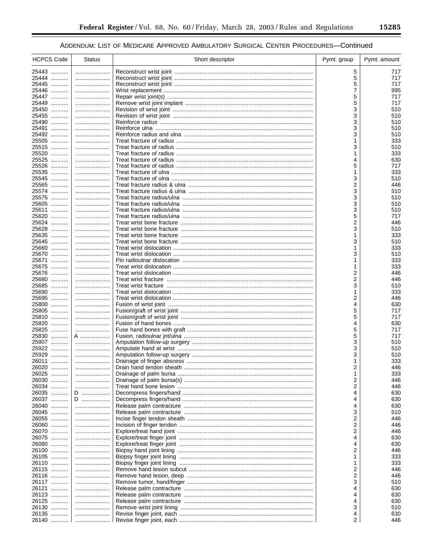| <b>HCPCS Code</b> | <b>Status</b> | Short descriptor | Pymt. group | Pymt. amount |
|-------------------|---------------|------------------|-------------|--------------|
| 25443             |               |                  | 5           | 717          |
| 25444             |               |                  | 5           | 717          |
| 25445             |               |                  | 5           | 717          |
| 25446             |               |                  | 7           | 995          |
| 25447             |               |                  | 5           | 717          |
| 25449             |               |                  | 5           | 717          |
| 25450             |               |                  | 3           | 510          |
| 25455             |               |                  | 3           | 510          |
| 25490<br>25491    |               |                  | 3<br>3      | 510<br>510   |
| 25492             |               |                  | 3           | 510          |
| 25505             |               |                  |             | 333          |
| 25515             |               |                  | 3           | 510          |
| 25520             |               |                  |             | 333          |
| 25525             |               |                  | 4           | 630          |
| 25526             |               |                  | 5           | 717          |
| 25535             |               |                  | 1           | 333          |
| 25545             |               |                  | 3           | 510          |
| 25565<br>25574    |               |                  | 2<br>3      | 446          |
| 25575             |               |                  | 3           | 510<br>510   |
| 25605             |               |                  | 3           | 510          |
| 25611             |               |                  | 3           | 510          |
| 25620             |               |                  | 5           | 717          |
| 25624             |               |                  | 2           | 446          |
| 25628             |               |                  | 3           | 510          |
| 25635             |               |                  | 1           | 333          |
| 25645             |               |                  | 3<br>1      | 510          |
| 25660<br>25670    |               |                  | 3           | 333<br>510   |
| 25671             |               |                  |             | 333          |
| 25675             |               |                  | 1           | 333          |
| 25676             |               |                  | 2           | 446          |
| 25680             |               |                  | 2           | 446          |
| 25685             |               |                  | 3           | 510          |
| 25690             |               |                  | 1           | 333          |
| 25695<br>25800    |               |                  | 2<br>4      | 446<br>630   |
| 25805             |               |                  | 5           | 717          |
| 25810             |               |                  | 5           | 717          |
| 25820             |               |                  | 4           | 630          |
| 25825             |               |                  | 5           | 717          |
| 25830             | A             |                  | 5           | 717          |
| 25907             |               |                  | 3           | 510          |
| 25922<br>25929    |               |                  | 3           | 510          |
| 26011             |               |                  | 3<br>1      | 510<br>333   |
| 26020             |               |                  | 2           | 446          |
| 26025             |               |                  |             | 333          |
| 26030<br>.        |               |                  | 2           | 446          |
| 26034             |               |                  | 2           | 446          |
| 26035             | D             |                  | 4           | 630          |
| 26037             | D             |                  | 4           | 630          |
| 26040             |               |                  | 4           | 630          |
| 26045<br>26055    |               |                  | 3<br>2      | 510<br>446   |
| 26060             |               |                  | 2           | 446          |
| 26070             |               |                  | 2           | 446          |
| 26075             |               |                  | 4           | 630          |
| 26080             |               |                  | 4           | 630          |
| 26100             |               |                  | 2           | 446          |
| 26105             |               |                  | 1           | 333          |
| 26110             |               |                  | 1           | 333          |
| 26115<br>26116    |               |                  | 2<br>2      | 446<br>446   |
| 26117             |               |                  | 3           | 510          |
| 26121             |               |                  | 4           | 630          |
| 26123             |               |                  | 4           | 630          |
| 26125             |               |                  | 4           | 630          |
| 26130             |               |                  | 3           | 510          |
| 26135             |               |                  | 4           | 630          |
| 26140             |               |                  | 2           | 446          |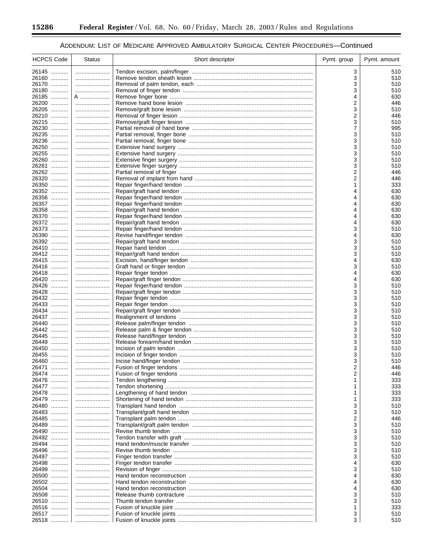-

۰

## ADDENDUM: LIST OF MEDICARE APPROVED AMBULATORY SURGICAL CENTER PROCEDURES-Continued

| <b>HCPCS Code</b> | <b>Status</b> | Short descriptor | Pymt. group | Pymt. amount |
|-------------------|---------------|------------------|-------------|--------------|
| 26145             |               |                  | 3           | 510          |
| 26160             |               |                  | 3           | 510          |
| 26170             |               |                  | 3           | 510          |
| 26180             |               |                  | 3           | 510          |
| 26185             | A             |                  | 4           | 630          |
| 26200             |               |                  | 2           | 446          |
| 26205<br>26210    |               |                  | 3           | 510<br>446   |
| 26215             |               |                  | 2<br>3      | 510          |
| 26230             |               |                  | 7           | 995          |
| 26235             |               |                  | 3           | 510          |
| 26236             |               |                  | 3           | 510          |
| 26250             |               |                  | 3           | 510          |
| 26255             |               |                  | 3           | 510          |
| 26260             |               |                  | 3           | 510          |
| 26261             |               |                  | 3           | 510          |
| 26262             |               |                  | 2           | 446          |
| 26320             |               |                  | 2           | 446          |
| 26350<br>26352    |               |                  | 1<br>4      | 333<br>630   |
| 26356             |               |                  | 4           | 630          |
| 26357             |               |                  | 4           | 630          |
| 26358             |               |                  | 4           | 630          |
| 26370             |               |                  |             | 630          |
| 26372             |               |                  | 4           | 630          |
| 26373             |               |                  | 3           | 510          |
| 26390             |               |                  | 4           | 630          |
| 26392             |               |                  | 3           | 510          |
| 26410<br>26412    |               |                  | 3<br>3      | 510<br>510   |
| 26415             |               |                  | 4           | 630          |
| 26416             |               |                  | 3           | 510          |
| 26418             |               |                  | 4           | 630          |
| 26420             |               |                  | 4           | 630          |
| 26426             |               |                  | 3           | 510          |
| 26428             |               |                  | 3           | 510          |
| 26432             |               |                  | 3           | 510          |
| 26433<br>26434    |               |                  | 3<br>3      | 510<br>510   |
| 26437             |               |                  | 3           | 510          |
| 26440             |               |                  | 3           | 510          |
| 26442             |               |                  | 3           | 510          |
| 26445             |               |                  | 3           | 510          |
| 26449             |               |                  | 3           | 510          |
| 26450             |               |                  | 3           | 510          |
| 26455             |               |                  | 3           | 510          |
| 26460             |               |                  | 3           | 510          |
| 26471<br>26474    | .             |                  | 2<br>2      | 446<br>446   |
| 26476             |               |                  |             | 333          |
| 26477             |               |                  |             | 333          |
| 26478             |               |                  |             | 333          |
| 26479             |               |                  |             | 333          |
| 26480             |               |                  | 3           | 510          |
| 26483             |               |                  | 3           | 510          |
| 26485<br>.        |               |                  | 2           | 446          |
| 26489             |               |                  | 3           | 510          |
| 26490<br>26492    |               |                  | 3<br>3      | 510          |
| 26494             |               |                  | 3           | 510<br>510   |
| 26496             |               |                  | 3           | 510          |
| 26497             |               |                  | 3           | 510          |
| 26498             |               |                  | 4           | 630          |
| 26499             |               |                  | 3           | 510          |
| 26500             |               |                  | 4           | 630          |
| 26502             |               |                  | 4           | 630          |
| 26504             |               |                  | 4           | 630          |
| 26508<br>26510    | <br>          |                  | 3<br>3      | 510<br>510   |
| 26516             |               |                  |             | 333          |
| 26517             |               |                  | 3           | 510          |
| 26518             |               |                  | 3           | 510          |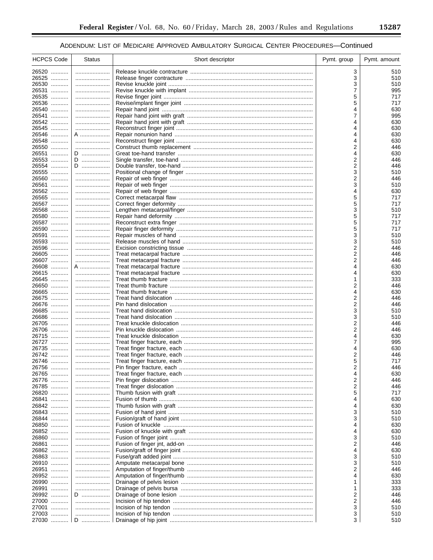$\equiv$ 

| <b>HCPCS Code</b> | <b>Status</b> | Short descriptor | Pymt. group | Pymt. amount |
|-------------------|---------------|------------------|-------------|--------------|
| 26520             |               |                  | 3           | 510          |
| 26525             |               |                  | 3           | 510          |
| 26530             |               |                  | 3           | 510          |
| 26531             |               |                  | 7           | 995          |
| 26535             |               |                  | 5           | 717          |
| 26536             |               |                  | 5           | 717          |
| 26540             |               |                  | 4           | 630          |
| 26541             |               |                  | 7           | 995          |
| 26542             |               |                  | 4           | 630          |
| 26545             |               |                  | 4           | 630          |
| 26546             | A             |                  | 4           | 630          |
| 26548             |               |                  | 4           | 630          |
| 26550             |               |                  | 2           | 446          |
| 26551             | D             |                  | 4           | 630          |
| 26553             | D             |                  | 2           | 446          |
| 26554             | D             |                  | 2           | 446          |
| 26555             |               |                  | 3           | 510          |
| 26560             |               |                  | 2           | 446          |
| 26561             |               |                  | 3           | 510          |
| 26562<br>26565    |               |                  | 4<br>5      | 630<br>717   |
| 26567             |               |                  | 5           | 717          |
| 26568             |               |                  | 3           | 510          |
| 26580             |               |                  | 5           | 717          |
| 26587             |               |                  | 5           | 717          |
| 26590             |               |                  | 5           | 717          |
| 26591             |               |                  | 3           | 510          |
| 26593             |               |                  | 3           | 510          |
| 26596             |               |                  | 2           | 446          |
| 26605             |               |                  | 2           | 446          |
| 26607             |               |                  | 2           | 446          |
| 26608             | A             |                  | 4           | 630          |
| 26615             |               |                  | 4           | 630          |
| 26645             |               |                  | 1           | 333          |
| 26650             |               |                  | 2           | 446          |
| 26665             |               |                  | 4           | 630          |
| 26675             |               |                  | 2           | 446          |
| 26676             |               |                  | 2           | 446          |
| 26685             |               |                  | 3           | 510          |
| 26686             |               |                  | 3           | 510          |
| 26705<br>.        |               |                  | 2           | 446          |
| 26706             |               |                  | 2           | 446          |
| 26715             |               |                  | 4           | 630          |
| 26727             |               |                  | 7           | 995          |
| 26735<br>.        |               |                  | 4           | 630          |
| 26742             |               |                  | 2           | 446          |
| 26746             |               |                  | 5           | 717          |
| 26756             |               |                  | 2           | 446          |
| 26765             |               |                  |             | 630          |
| 26776             |               |                  | 2           | 446          |
| 26785<br>.        |               |                  | 2           | 446          |
| 26820             |               |                  | 5           | 717          |
| 26841             |               |                  | 4           | 630          |
| 26842             |               |                  | 4           | 630          |
| 26843             |               |                  | 3           | 510          |
| 26844             |               |                  | 3           | 510          |
| 26850             |               |                  | 4           | 630          |
| 26852             |               |                  | 4           | 630          |
| 26860             |               |                  | 3           | 510          |
| 26861             |               |                  | 2           | 446          |
| 26862             |               |                  | 4           | 630          |
| 26863             |               |                  | 3           | 510          |
| 26910             |               |                  | 3           | 510          |
| 26951             |               |                  | 2           | 446          |
| 26952             |               |                  | 4           | 630          |
| 26990<br>.        |               |                  |             | 333          |
| 26991<br>.        |               |                  | 1           | 333          |
| 26992             | D             |                  | 2           | 446          |
| 27000<br>.        |               |                  | 2           | 446          |
| 27001             |               |                  | 3           | 510          |
| 27003<br>.        |               |                  | 3           | 510          |
| 27030             | D             |                  | 3           | 510          |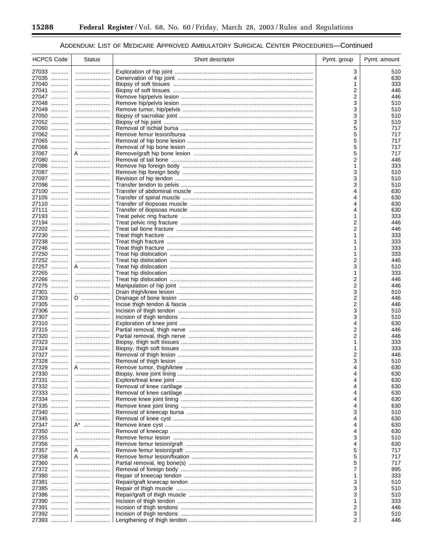۰

## ADDENDUM: LIST OF MEDICARE APPROVED AMBULATORY SURGICAL CENTER PROCEDURES-Continued

| <b>HCPCS Code</b>   | <b>Status</b> | Short descriptor | Pymt. group | Pymt. amount |
|---------------------|---------------|------------------|-------------|--------------|
| 27033               |               |                  | 3           | 510          |
| 27035               |               |                  | 4           | 630          |
| 27040               |               |                  | 1           | 333          |
| 27041               |               |                  | 2           | 446          |
| 27047<br>27048      |               |                  | 2<br>3      | 446<br>510   |
| 27049               |               |                  | 3           | 510          |
| 27050               |               |                  | 3           | 510          |
| 27052               |               |                  | 3           | 510          |
| 27060               |               |                  | 5           | 717          |
| 27062               |               |                  | 5           | 717          |
| 27065               |               |                  | 5           | 717          |
| 27066<br>27067      | A             |                  | 5<br>5      | 717<br>717   |
| 27080               |               |                  | 2           | 446          |
| 27086               |               |                  | 1           | 333          |
| 27087               |               |                  | 3           | 510          |
| 27097               |               |                  | 3           | 510          |
| 27098               |               |                  | 3           | 510          |
| 27100               |               |                  | 4           | 630          |
| 27105               |               |                  | 4           | 630          |
| 27110<br>27111      |               |                  | 4<br>4      | 630<br>630   |
| 27193               |               |                  | 1           | 333          |
| 27194               |               |                  | 2           | 446          |
| 27202               |               |                  | 2           | 446          |
| 27230               |               |                  | 1           | 333          |
| 27238               |               |                  |             | 333          |
| 27246               |               |                  | 1           | 333          |
| 27250<br>27252      |               |                  | 1           | 333          |
| 27257               | <br>A         |                  | 2<br>3      | 446<br>510   |
| 27265               |               |                  | 1           | 333          |
| 27266               |               |                  | 2           | 446          |
| 27275               |               |                  | 2           | 446          |
| 27301               |               |                  | 3           | 510          |
| 27303               | D             |                  | 2           | 446          |
| 27305<br>.          |               |                  | 2           | 446          |
| 27306<br>27307      |               |                  | 3<br>3      | 510<br>510   |
| 27310               |               |                  | 4           | 630          |
| 27315               |               |                  | 2           | 446          |
| 27320               |               |                  | 2           | 446          |
| 27323               |               |                  | 1           | 333          |
| 27324               |               |                  | 1           | 333          |
| 27327               |               |                  | 2           | 446          |
| 27328<br>27329      | A             |                  | 3<br>4      | 510<br>630   |
| 27330               |               |                  |             | 630          |
| 27331<br>.          |               |                  |             | 630          |
| 27332               |               |                  |             | 630          |
| 27333               |               |                  | 4           | 630          |
| 27334               |               |                  |             | 630          |
| 27335               |               |                  |             | 630          |
| 27340<br>.          |               |                  | 3           | 510          |
| 27345<br>.<br>27347 | <br>A* ……………… |                  | 4           | 630<br>630   |
| 27350               |               |                  | 4           | 630          |
| 27355               |               |                  | 3           | 510          |
| 27356<br>.          |               |                  | 4           | 630          |
| 27357               | A             |                  | 5           | 717          |
| 27358               | A             |                  | 5           | 717          |
| 27360<br>.          |               |                  | 5           | 717          |
| 27372<br>.          |               |                  | 7           | 995          |
| 27380<br>.<br>27381 |               |                  | 3           | 333<br>510   |
| 27385               |               |                  | 3           | 510          |
| 27386<br>.          |               |                  | 3           | 510          |
| 27390               |               |                  | 1           | 333          |
| 27391               |               |                  | 2           | 446          |
| 27392               |               |                  | 3           | 510          |
| 27393  l            |               |                  | 2           | 446          |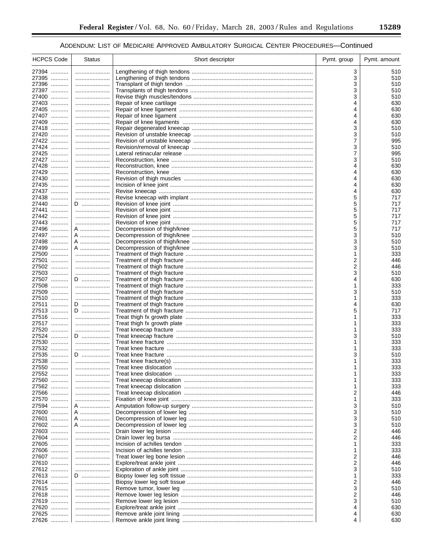| <b>HCPCS Code</b> | <b>Status</b>  | Short descriptor | Pymt. group    | Pymt. amount |
|-------------------|----------------|------------------|----------------|--------------|
| 27394             |                |                  | 3              | 510          |
| 27395             |                |                  | 3              | 510          |
| 27396             |                |                  | 3              | 510          |
| 27397             |                |                  | 3              | 510          |
| 27400             |                |                  | 3              | 510          |
| 27403<br>27405    |                |                  | 4<br>4         | 630<br>630   |
| 27407             |                |                  | 4              | 630          |
| 27409             |                |                  | 4              | 630          |
| 27418             |                |                  | 3              | 510          |
| 27420             |                |                  | 3              | 510          |
| 27422             |                |                  | $\overline{7}$ | 995          |
| 27424             |                |                  | 3              | 510          |
| 27425             |                |                  | $\overline{7}$ | 995          |
| 27427<br>27428    |                |                  | 3<br>4         | 510<br>630   |
| 27429             |                |                  | 4              | 630          |
| 27430             |                |                  | 4              | 630          |
| 27435             |                |                  | 4              | 630          |
| 27437             |                |                  | 4              | 630          |
| 27438             |                |                  | 5              | 717          |
| 27440             | D              |                  | 5              | 717          |
| 27441             |                |                  | 5              | 717          |
| 27442             |                |                  | 5              | 717          |
| 27443             |                |                  | 5              | 717          |
| 27496<br>27497    | A<br>A ………………… |                  | 5<br>3         | 717<br>510   |
| 27498             | A              |                  | 3              | 510          |
| 27499             | A …………………      |                  | 3              | 510          |
| 27500             |                |                  | 1              | 333          |
| 27501             |                |                  | 2              | 446          |
| 27502             |                |                  | 2              | 446          |
| 27503             |                |                  | 3              | 510          |
| 27507             | D              |                  | 4              | 630          |
| 27508             |                |                  | 1              | 333          |
| 27509<br>27510    |                |                  | 3              | 510          |
| 27511             | D              |                  | 1<br>4         | 333<br>630   |
| 27513             | D              |                  | 5              | 717          |
| 27516             |                |                  | 1              | 333          |
| 27517             |                |                  | 1              | 333          |
| 27520             |                |                  | 1              | 333          |
| 27524             | D              |                  | 3              | 510          |
| 27530             |                |                  | 1              | 333          |
| 27532             |                |                  | 1              | 333          |
| 27535<br>27538    | $D$            |                  | 3              | 510<br>333   |
| 27550             |                |                  | 1              | 333          |
| 27552             |                |                  |                | 333          |
| 27560             |                |                  | 1              | 333          |
| 27562             |                |                  | 1              | 333          |
| 27566             |                |                  | 2              | 446          |
| 27570             |                |                  | 1              | 333          |
| 27594             | A              |                  | 3              | 510          |
| 27600             | A              |                  | 3              | 510          |
| 27601             | A              |                  | 3              | 510          |
| 27602<br>27603    | A              |                  | 3<br>2         | 510<br>446   |
| 27604             |                |                  | 2              | 446          |
| 27605             |                |                  | 1              | 333          |
| 27606             |                |                  | 1              | 333          |
| 27607             |                |                  | 2              | 446          |
| 27610             |                |                  | 2              | 446          |
| 27612             |                |                  | 3              | 510          |
| 27613             | D              |                  | 1              | 333          |
| 27614             |                |                  | 2              | 446          |
| 27615             |                |                  | 3              | 510          |
| 27618             |                |                  | 2              | 446          |
| 27619<br>27620    |                |                  | 3<br>4         | 510<br>630   |
| 27625             |                |                  | 4              | 630          |
| 27626             |                |                  | 4              | 630          |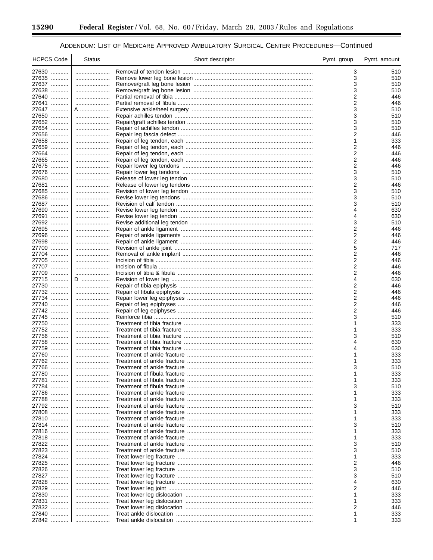۰

## ADDENDUM: LIST OF MEDICARE APPROVED AMBULATORY SURGICAL CENTER PROCEDURES-Continued

| <b>HCPCS Code</b> | <b>Status</b> | Short descriptor | Pymt. group | Pymt. amount |
|-------------------|---------------|------------------|-------------|--------------|
| 27630             |               |                  | 3           | 510          |
| 27635             |               |                  | 3           | 510          |
| 27637             |               |                  | 3           | 510          |
| 27638             |               |                  | 3           | 510          |
| 27640             |               |                  | 2           | 446          |
| 27641             |               |                  | 2           | 446          |
| 27647<br>27650    | A<br>         |                  | 3<br>3      | 510<br>510   |
| 27652             |               |                  | 3           | 510          |
| 27654             |               |                  | 3           | 510          |
| 27656             |               |                  | 2           | 446          |
| 27658             |               |                  | 1           | 333          |
| 27659             |               |                  | 2           | 446          |
| 27664             |               |                  | 2           | 446          |
| 27665             |               |                  | 2           | 446          |
| 27675             |               |                  | 2           | 446          |
| 27676<br>27680    |               |                  | 3<br>3      | 510<br>510   |
| 27681             |               |                  | 2           | 446          |
| 27685             |               |                  | 3           | 510          |
| 27686             |               |                  | 3           | 510          |
| 27687             |               |                  | 3           | 510          |
| 27690             |               |                  | 4           | 630          |
| 27691             |               |                  |             | 630          |
| 27692             |               |                  | 3           | 510          |
| 27695             |               |                  | 2           | 446          |
| 27696             |               |                  | 2           | 446          |
| 27698<br>27700    |               |                  | 2           | 446          |
| 27704             |               |                  | 5<br>2      | 717<br>446   |
| 27705             |               |                  | 2           | 446          |
| 27707             |               |                  | 2           | 446          |
| 27709             |               |                  | 2           | 446          |
| 27715             | D             |                  | 4           | 630          |
| 27730             |               |                  | 2           | 446          |
| 27732             |               |                  | 2           | 446          |
| 27734             |               |                  | 2           | 446          |
| 27740             |               |                  | 2           | 446          |
| 27742             |               |                  | 2           | 446          |
| 27745<br>27750    |               |                  | 3           | 510<br>333   |
| 27752             |               |                  |             | 333          |
| 27756             |               |                  | 3           | 510          |
| 27758             |               |                  | 4           | 630          |
| 27759             |               |                  | 4           | 630          |
| 27760             |               |                  |             | 333          |
| 27762             |               |                  |             | 333          |
| 27766             | .             |                  | 3           | 510          |
| 27780             |               |                  |             | 333          |
| 27781             |               |                  |             | 333          |
| 27784<br>27786    |               |                  | 3           | 510<br>333   |
| 27788             |               |                  |             | 333          |
| 27792             |               |                  | 3           | 510          |
| 27808             |               |                  |             | 333          |
| 27810             |               |                  |             | 333          |
| 27814             |               |                  | 3           | 510          |
| 27816             |               |                  |             | 333          |
| 27818             |               |                  |             | 333          |
| 27822             |               |                  | 3           | 510          |
| 27823             |               |                  | 3           | 510          |
| 27824             |               |                  |             | 333          |
| 27825             |               |                  | 2           | 446          |
| 27826             |               |                  | 3           | 510          |
| 27827             |               |                  | 3           | 510          |
| 27828<br>27829    |               |                  | 4<br>2      | 630<br>446   |
| 27830             |               |                  |             | 333          |
| 27831             |               |                  |             | 333          |
| 27832             |               |                  | 2           | 446          |
| 27840             |               |                  |             | 333          |
| 27842             |               |                  |             | 333          |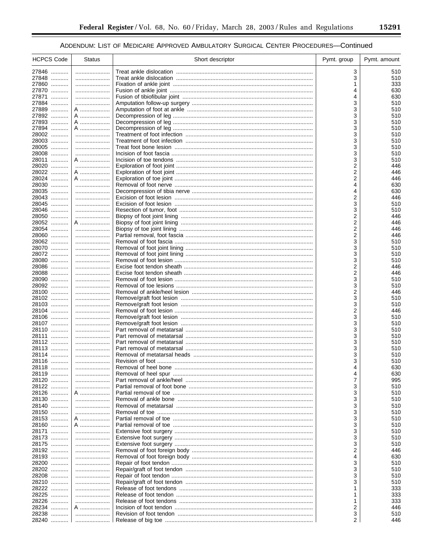$\equiv$ 

| <b>HCPCS Code</b> | <b>Status</b> | Short descriptor | Pymt. group | Pymt. amount |
|-------------------|---------------|------------------|-------------|--------------|
| 27846             |               |                  | 3           | 510          |
| 27848             |               |                  | 3           | 510          |
| 27860             |               |                  |             | 333          |
| 27870             |               |                  | 4           | 630          |
| 27871             |               |                  | 4           | 630          |
| 27884             |               |                  | 3           | 510          |
| 27889             | A             |                  | 3           | 510          |
| 27892<br>27893    | A<br>A        |                  | 3<br>3      | 510<br>510   |
| 27894             | A             |                  | 3           | 510          |
| 28002             |               |                  | 3           | 510          |
| 28003             |               |                  | 3           | 510          |
| 28005             |               |                  | 3           | 510          |
| 28008             |               |                  | 3           | 510          |
| 28011             | A             |                  | 3           | 510          |
| 28020             |               |                  | 2           | 446          |
| 28022             | A             |                  | 2           | 446          |
| 28024             | A             |                  | 2           | 446          |
| 28030<br>28035    |               |                  | 4<br>4      | 630          |
| 28043             |               |                  | 2           | 630<br>446   |
| 28045             |               |                  | 3           | 510          |
| 28046             |               |                  | 3           | 510          |
| 28050             |               |                  | 2           | 446          |
| 28052             | A             |                  | 2           | 446          |
| 28054             |               |                  | 2           | 446          |
| 28060             |               |                  | 2           | 446          |
| 28062             |               |                  | 3           | 510          |
| 28070             |               |                  | 3           | 510          |
| 28072<br>28080    |               |                  | 3<br>3      | 510<br>510   |
| 28086             |               |                  | 2           | 446          |
| 28088             |               |                  | 2           | 446          |
| 28090             |               |                  | 3           | 510          |
| 28092             |               |                  | 3           | 510          |
| 28100             |               |                  | 2           | 446          |
| 28102             |               |                  | 3           | 510          |
| 28103             |               |                  | 3           | 510          |
| 28104<br>28106    |               |                  | 2<br>3      | 446<br>510   |
| 28107             |               |                  | 3           | 510          |
| 28110             |               |                  | 3           | 510          |
| 28111             |               |                  | 3           | 510          |
| 28112             |               |                  | 3           | 510          |
| 28113             |               |                  | 3           | 510          |
| 28114             |               |                  | 3           | 510          |
| 28116             |               |                  | 3           | 510          |
| 28118             |               |                  | 4           | 630          |
| 28119<br>28120    |               |                  | 7           | 630<br>995   |
| 28122             |               |                  | 3           | 510          |
| 28126             | A             |                  | 3           | 510          |
| 28130             |               |                  | 3           | 510          |
| 28140             |               |                  | 3           | 510          |
| 28150             |               |                  | 3           | 510          |
| 28153             | A             |                  | 3           | 510          |
| 28160             | A             |                  | 3           | 510          |
| 28171             |               |                  | 3           | 510          |
| 28173             |               |                  | 3           | 510          |
| 28175<br>28192    |               |                  | 3<br>2      | 510<br>446   |
| 28193             |               |                  | 4           | 630          |
| 28200             |               |                  | 3           | 510          |
| 28202             |               |                  | 3           | 510          |
| 28208             |               |                  | 3           | 510          |
| 28210             |               |                  | 3           | 510          |
| 28222             |               |                  |             | 333          |
| 28225             |               |                  | 1           | 333          |
| 28226<br>28234    |               |                  | 1           | 333          |
| 28238             | A             |                  | 2<br>3      | 446<br>510   |
| 28240             |               |                  | 2           | 446          |
|                   |               |                  |             |              |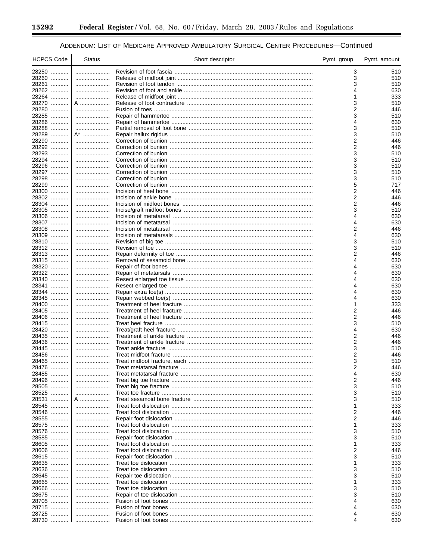۰

## ADDENDUM: LIST OF MEDICARE APPROVED AMBULATORY SURGICAL CENTER PROCEDURES-Continued

| <b>HCPCS Code</b> | <b>Status</b> | Short descriptor | Pymt. group | Pymt. amount |
|-------------------|---------------|------------------|-------------|--------------|
| 28250             |               |                  | 3           | 510          |
| 28260             |               |                  | 3           | 510          |
| 28261             |               |                  | 3           | 510          |
| 28262<br>28264    |               |                  | 4           | 630<br>333   |
| 28270             | A             |                  | 3           | 510          |
| 28280             |               |                  | 2           | 446          |
| 28285             |               |                  | 3           | 510          |
| 28286             |               |                  | 4           | 630          |
| 28288             |               |                  | 3           | 510          |
| 28289<br>28290    | A*<br>        |                  | 3<br>2      | 510<br>446   |
| 28292             |               |                  | 2           | 446          |
| 28293             |               |                  | 3           | 510          |
| 28294             |               |                  | 3           | 510          |
| 28296             |               |                  | 3           | 510          |
| 28297             |               |                  | 3           | 510          |
| 28298<br>28299    |               |                  | 3<br>5      | 510<br>717   |
| 28300             |               |                  | 2           | 446          |
| 28302             |               |                  | 2           | 446          |
| 28304             |               |                  | 2           | 446          |
| 28305             |               |                  | 3           | 510          |
| 28306             |               |                  | 4           | 630          |
| 28307<br>28308    |               |                  | 4<br>2      | 630<br>446   |
| 28309             |               |                  | 4           | 630          |
| 28310             |               |                  | 3           | 510          |
| 28312             |               |                  | 3           | 510          |
| 28313             |               |                  | 2           | 446          |
| 28315<br>28320    |               |                  | 4<br>4      | 630<br>630   |
| 28322             |               |                  |             | 630          |
| 28340             |               |                  | 4           | 630          |
| 28341             |               |                  |             | 630          |
| 28344             |               |                  | 4           | 630          |
| 28345             |               |                  | 4           | 630          |
| 28400<br>28405    |               |                  | 1<br>2      | 333<br>446   |
| 28406             |               |                  | 2           | 446          |
| 28415             |               |                  | 3           | 510          |
| 28420             |               |                  | 4           | 630          |
| 28435             |               |                  | 2           | 446          |
| 28436<br>28445    |               |                  | 2           | 446          |
| 28456             |               |                  | 3<br>2      | 510<br>446   |
| 28465             |               |                  | 3           | 510          |
| 28476             |               |                  | 2           | 446          |
| 28485             |               |                  | 4           | 630          |
| 28496             |               |                  | 2           | 446          |
| 28505<br>28525    |               |                  | 3<br>3      | 510<br>510   |
| 28531             | A             |                  | 3           | 510          |
| 28545             |               |                  | 1           | 333          |
| 28546             |               |                  | 2           | 446          |
| 28555             |               |                  | 2           | 446          |
| 28575             |               |                  | 1           | 333          |
| 28576<br>28585    |               |                  | 3<br>3      | 510<br>510   |
| 28605             |               |                  | 1           | 333          |
| 28606             |               |                  | 2           | 446          |
| 28615             |               |                  | 3           | 510          |
| 28635             |               |                  | 1           | 333          |
| 28636             |               |                  | 3<br>3      | 510<br>510   |
| 28645<br>28665    |               |                  |             | 333          |
| 28666             |               |                  | 3           | 510          |
| 28675             |               |                  | 3           | 510          |
| 28705             |               |                  | 4           | 630          |
| 28715             |               |                  | 4           | 630          |
| 28725<br>28730    |               |                  | 4<br>4      | 630<br>630   |
|                   |               |                  |             |              |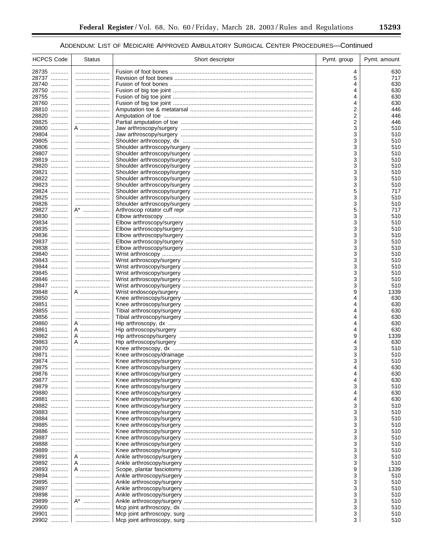| <b>HCPCS Code</b>        | <b>Status</b> | Short descriptor | Pymt. group | Pymt. amount |
|--------------------------|---------------|------------------|-------------|--------------|
| 28735                    |               |                  | 4           | 630          |
| 28737                    |               |                  | 5           | 717          |
| 28740                    |               |                  | 4           | 630          |
| 28750                    |               |                  | 4           | 630          |
| 28755                    |               |                  | 4           | 630          |
| 28760                    |               |                  | 4           | 630          |
| 28810<br>28820           |               |                  | 2           | 446<br>446   |
| 28825                    | <br>          |                  | 2<br>2      | 446          |
| 29800                    | A             |                  | 3           | 510          |
| 29804                    |               |                  | 3           | 510          |
| 29805                    |               |                  | 3           | 510          |
| 29806                    |               |                  | 3           | 510          |
| 29807                    |               |                  | 3           | 510          |
| 29819                    |               |                  | 3           | 510          |
| 29820                    |               |                  | 3           | 510          |
| 29821                    |               |                  | 3           | 510          |
| 29822                    |               |                  | 3           | 510          |
| 29823<br>29824           |               |                  | 3<br>5      | 510<br>717   |
| 29825                    |               |                  | 3           | 510          |
| 29826                    |               |                  | 3           | 510          |
| 29827                    | A*            |                  | 5           | 717          |
| 29830                    |               |                  | 3           | 510          |
| 29834                    |               |                  | 3           | 510          |
| 29835                    |               |                  | 3           | 510          |
| 29836                    |               |                  | 3           | 510          |
| 29837                    |               |                  | 3           | 510          |
| 29838                    |               |                  | 3           | 510          |
| 29840<br>29843           |               |                  | 3<br>3      | 510<br>510   |
| 29844                    |               |                  | 3           | 510          |
| 29845                    |               |                  | 3           | 510          |
| 29846                    |               |                  | 3           | 510          |
| 29847                    |               |                  | 3           | 510          |
| 29848                    | A             |                  | 9           | 1339         |
| 29850                    |               |                  | 4           | 630          |
| 29851                    |               |                  | 4           | 630          |
| 29855                    |               |                  |             | 630          |
| 29856<br>29860           | A             |                  | 4<br>4      | 630<br>630   |
| 29861<br>.               | A             |                  | 4           | 630          |
| 29862                    | A             |                  | 9           | 1339         |
| 29863                    | A             |                  | 4           | 630          |
| 29870                    |               |                  | 3           | 510          |
| 29871<br>.               |               |                  | 3           | 510          |
| 29874                    |               |                  | 3           | 510          |
| 29875                    |               |                  | 4           | 630          |
| 29876                    |               |                  |             | 630          |
| 29877<br>.<br>29879<br>. |               |                  | 3           | 630<br>510   |
| 29880                    |               |                  | 4           | 630          |
| 29881<br>.               |               |                  | 4           | 630          |
| 29882                    |               |                  | 3           | 510          |
| 29883                    |               |                  | 3           | 510          |
| 29884<br>.               |               |                  | 3           | 510          |
| 29885                    |               |                  | 3           | 510          |
| 29886                    |               |                  | 3           | 510          |
| 29887                    |               |                  | 3           | 510          |
| 29888                    |               |                  | 3           | 510          |
| 29889                    |               |                  | 3           | 510          |
| 29891<br>.<br>29892      | A<br>A        |                  | 3<br>3      | 510<br>510   |
| 29893                    | A             |                  | 9           | 1339         |
| 29894<br>.               |               |                  | 3           | 510          |
| 29895                    |               |                  | 3           | 510          |
| 29897                    |               |                  | 3           | 510          |
| 29898<br>.               |               |                  | 3           | 510          |
| 29899                    | A*            |                  | 3           | 510          |
| 29900                    |               |                  | 3           | 510          |
| 29901<br>.               |               |                  | 3           | 510          |
| 29902                    |               |                  | 3           | 510          |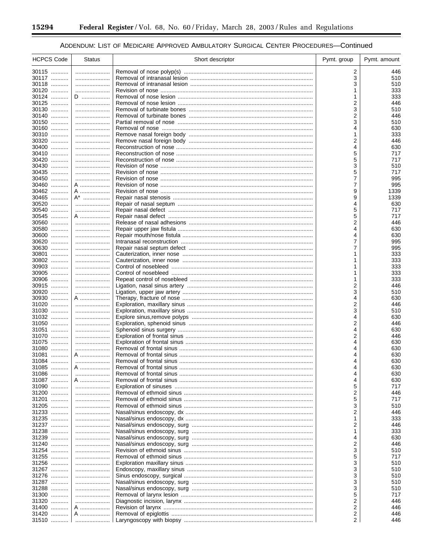۰

## ADDENDUM: LIST OF MEDICARE APPROVED AMBULATORY SURGICAL CENTER PROCEDURES-Continued

| <b>HCPCS Code</b> | <b>Status</b> | Short descriptor | Pymt. group | Pymt. amount |
|-------------------|---------------|------------------|-------------|--------------|
| 30115             |               |                  | 2           | 446          |
| 30117             |               |                  | 3           | 510          |
| 30118             |               |                  | 3           | 510          |
| 30120<br>30124    | D             |                  | 1           | 333<br>333   |
| 30125             |               |                  | 2           | 446          |
| 30130             |               |                  | 3           | 510          |
| 30140             |               |                  | 2           | 446          |
| 30150             |               |                  | 3           | 510          |
| 30160<br>30310    |               |                  | 4<br>1      | 630<br>333   |
| 30320             |               |                  | 2           | 446          |
| 30400             |               |                  | 4           | 630          |
| 30410             |               |                  | 5           | 717          |
| 30420<br>30430    |               |                  | 5<br>3      | 717          |
| 30435             |               |                  | 5           | 510<br>717   |
| 30450             |               |                  | 7           | 995          |
| 30460             | A             |                  | 7           | 995          |
| 30462             | A             |                  | 9           | 1339         |
| 30465<br>30520    | A*            |                  | 9<br>4      | 1339<br>630  |
| 30540             |               |                  | 5           | 717          |
| 30545             | A             |                  | 5           | 717          |
| 30560             |               |                  | 2           | 446          |
| 30580             |               |                  | 4           | 630          |
| 30600<br>30620    |               |                  | 4<br>7      | 630<br>995   |
| 30630             |               |                  | 7           | 995          |
| 30801             |               |                  |             | 333          |
| 30802             |               |                  |             | 333          |
| 30903             |               |                  |             | 333          |
| 30905<br>30906    |               |                  |             | 333<br>333   |
| 30915             |               |                  | 1<br>2      | 446          |
| 30920             |               |                  | 3           | 510          |
| 30930             | A             |                  | 4           | 630          |
| 31020             |               |                  | 2           | 446          |
| 31030<br>31032    |               |                  | 3<br>4      | 510<br>630   |
| 31050             |               |                  | 2           | 446          |
| 31051             |               |                  | 4           | 630          |
| 31070             |               |                  | 2           | 446          |
| 31075             |               |                  | 4           | 630          |
| 31080<br>31081    | A             |                  | 4           | 630<br>630   |
| 31084             |               |                  | 4           | 630          |
| 31085             | A             |                  | 4           | 630          |
| 31086             |               |                  | 4           | 630          |
| 31087             | A             |                  | 4           | 630          |
| 31090             |               |                  | 5<br>2      | 717<br>446   |
| 31200<br>31201    |               |                  | 5           | 717          |
| 31205             |               |                  | 3           | 510          |
| 31233             |               |                  | 2           | 446          |
| 31235             |               |                  | 1           | 333          |
| 31237<br>31238    |               |                  | 2<br>1      | 446<br>333   |
| 31239             |               |                  | 4           | 630          |
| 31240             |               |                  | 2           | 446          |
| 31254             |               |                  | 3           | 510          |
| 31255             |               |                  | 5           | 717          |
| 31256             |               |                  | 3           | 510          |
| 31267<br>31276    |               |                  | 3<br>3      | 510<br>510   |
| 31287             |               |                  | 3           | 510          |
| 31288             |               |                  | 3           | 510          |
| 31300             |               |                  | 5           | 717          |
| 31320             |               |                  | 2           | 446          |
| 31400<br>31420    | A             |                  | 2<br>2      | 446<br>446   |
| 31510             | A             |                  | 2           | 446          |
|                   |               |                  |             |              |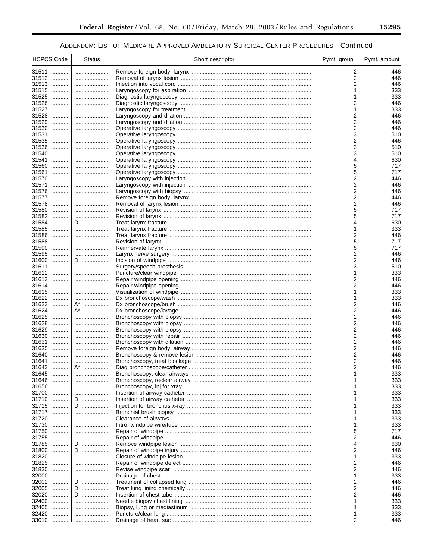| <b>HCPCS Code</b> | <b>Status</b> | Short descriptor | Pymt. group | Pymt. amount |
|-------------------|---------------|------------------|-------------|--------------|
| 31511             |               |                  | 2           | 446          |
| 31512             |               |                  | 2           | 446          |
| 31513             |               |                  | 2           | 446          |
| 31515             |               |                  | 1           | 333          |
| 31525             |               |                  | 1           | 333          |
| 31526             |               |                  | 2           | 446          |
| 31527             |               |                  | 1<br>2      | 333          |
| 31528<br>31529    |               |                  | 2           | 446<br>446   |
| 31530             |               |                  | 2           | 446          |
| 31531             |               |                  | 3           | 510          |
| 31535             |               |                  | 2           | 446          |
| 31536             |               |                  | 3           | 510          |
| 31540             |               |                  | 3           | 510          |
| 31541             |               |                  | 4           | 630          |
| 31560             |               |                  | 5           | 717          |
| 31561             |               |                  | 5           | 717          |
| 31570             |               |                  | 2           | 446          |
| 31571<br>31576    |               |                  | 2           | 446          |
| 31577             |               |                  | 2<br>2      | 446<br>446   |
| 31578             |               |                  | 2           | 446          |
| 31580             |               |                  | 5           | 717          |
| 31582             |               |                  | 5           | 717          |
| 31584             | D             |                  | 4           | 630          |
| 31585             |               |                  | 1           | 333          |
| 31586             |               |                  | 2           | 446          |
| 31588             |               |                  | 5           | 717          |
| 31590             |               |                  | 5           | 717          |
| 31595             |               |                  | 2           | 446          |
| 31600<br>31611    | D             |                  | 2<br>3      | 446<br>510   |
| 31612             |               |                  | 1           | 333          |
| 31613             |               |                  | 2           | 446          |
| 31614             |               |                  | 2           | 446          |
| 31615             |               |                  | 1           | 333          |
| 31622             |               |                  | 1           | 333          |
| 31623             | A*            |                  | 2           | 446          |
| 31624             | A*            |                  | 2           | 446          |
| 31625             |               |                  | 2           | 446          |
| 31628             |               |                  | 2           | 446          |
| 31629<br>31630    |               |                  | 2<br>2      | 446<br>446   |
| 31631             |               |                  | 2           | 446          |
| 31635             |               |                  | 2           | 446          |
| 31640             |               |                  | 2           | 446          |
| 31641             |               |                  | 2           | 446          |
| 31643             | A*            |                  | 2           | 446          |
| 31645             |               |                  |             | 333          |
| 31646             |               |                  |             | 333          |
| 31656             |               |                  |             | 333          |
| 31700             |               |                  |             | 333          |
| 31710             | D             |                  |             | 333          |
| 31715<br>31717    | D             |                  |             | 333<br>333   |
| 31720             |               |                  |             | 333          |
| 31730             |               |                  |             | 333          |
| 31750             |               |                  | 5           | 717          |
| 31755             |               |                  | 2           | 446          |
| 31785             | D             |                  | 4           | 630          |
| 31800             | D             |                  | 2           | 446          |
| 31820             |               |                  | 1           | 333          |
| 31825             |               |                  | 2           | 446          |
| 31830             |               |                  | 2           | 446          |
| 32000             |               |                  | 1           | 333          |
| 32002             | D             |                  | 2           | 446          |
| 32005<br>32020    | D             |                  | 2<br>2      | 446<br>446   |
| 32400             | D<br>         |                  |             | 333          |
| 32405             |               |                  | 1           | 333          |
| 32420             |               |                  | 1           | 333          |
| 33010             |               |                  | 2           | 446          |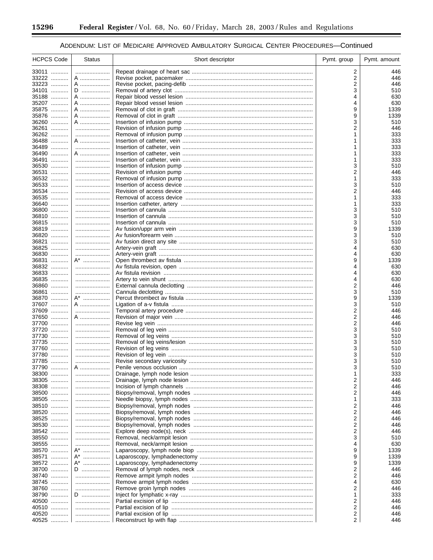۰

## ADDENDUM: LIST OF MEDICARE APPROVED AMBULATORY SURGICAL CENTER PROCEDURES-Continued

| 33011<br>2<br>33222<br>2<br>A<br>33223<br>2<br>A<br>34101<br>D<br>3<br>35188<br>A<br>630<br>35207<br>A<br>4<br>35875<br>A<br>9<br>35876<br>9<br>A<br>36260<br>A<br>3<br>36261<br>2<br><br>36262<br>36488<br>A<br>36489<br>333<br>36490<br>A<br>36491<br>1<br>36530<br>3<br>36531<br>2<br><br>36532<br>36533<br>3<br><br>36534<br>2<br>446<br>36535<br><br>1<br>36640<br>36800<br>3<br><br>36810<br>3<br>36815<br>3<br>36819<br>9<br>36820<br>3<br>510<br>36821<br>3<br>36825<br>4<br>36830<br>4<br>36831<br>A* ………………<br>9<br>36832<br>4<br>36833<br>4<br>36835<br>4<br>36860<br>2<br><br>36861<br>3<br><br>36870<br>A* ………………<br>9<br>37607<br>A …………………<br>3<br>37609<br>2<br><br>37650<br>2<br>A …………………<br>37700<br>2<br>446<br>37720<br>.<br>3<br>37730<br>3<br>37735<br>3<br>37760<br>3<br>37780<br>3<br>37785<br>3<br><br>37790<br>3<br>A<br>510<br>38300<br>38305<br>2<br>.<br><br>38308<br>2<br><br>38500<br>2<br><br>38505<br>1<br>38510<br>2<br>38520<br>2<br>446<br><br>38525<br>2<br>.<br>38530<br>2<br><br>38542<br>2<br><br>38550<br>3<br><br>38555<br>4<br>.<br><br>38570<br>A*<br>9<br>38571<br>A*<br>9<br>$A^*$<br>38572<br>9<br>38700<br>2<br>.<br>D<br>38740<br>2<br><br>38745<br>4<br>38760<br>2<br>38790<br>.<br>1<br>D<br>40500<br>2<br>40510<br>2<br>40520<br>2<br>40525<br>2 | <b>HCPCS Code</b> | <b>Status</b> | Short descriptor | Pymt. group | Pymt. amount |
|-------------------------------------------------------------------------------------------------------------------------------------------------------------------------------------------------------------------------------------------------------------------------------------------------------------------------------------------------------------------------------------------------------------------------------------------------------------------------------------------------------------------------------------------------------------------------------------------------------------------------------------------------------------------------------------------------------------------------------------------------------------------------------------------------------------------------------------------------------------------------------------------------------------------------------------------------------------------------------------------------------------------------------------------------------------------------------------------------------------------------------------------------------------------------------------------------------------------------------------------------------------------------------------------------------|-------------------|---------------|------------------|-------------|--------------|
|                                                                                                                                                                                                                                                                                                                                                                                                                                                                                                                                                                                                                                                                                                                                                                                                                                                                                                                                                                                                                                                                                                                                                                                                                                                                                                       |                   |               |                  |             | 446          |
|                                                                                                                                                                                                                                                                                                                                                                                                                                                                                                                                                                                                                                                                                                                                                                                                                                                                                                                                                                                                                                                                                                                                                                                                                                                                                                       |                   |               |                  |             | 446          |
|                                                                                                                                                                                                                                                                                                                                                                                                                                                                                                                                                                                                                                                                                                                                                                                                                                                                                                                                                                                                                                                                                                                                                                                                                                                                                                       |                   |               |                  |             | 446          |
|                                                                                                                                                                                                                                                                                                                                                                                                                                                                                                                                                                                                                                                                                                                                                                                                                                                                                                                                                                                                                                                                                                                                                                                                                                                                                                       |                   |               |                  |             | 510          |
|                                                                                                                                                                                                                                                                                                                                                                                                                                                                                                                                                                                                                                                                                                                                                                                                                                                                                                                                                                                                                                                                                                                                                                                                                                                                                                       |                   |               |                  |             | 630          |
|                                                                                                                                                                                                                                                                                                                                                                                                                                                                                                                                                                                                                                                                                                                                                                                                                                                                                                                                                                                                                                                                                                                                                                                                                                                                                                       |                   |               |                  |             | 1339         |
|                                                                                                                                                                                                                                                                                                                                                                                                                                                                                                                                                                                                                                                                                                                                                                                                                                                                                                                                                                                                                                                                                                                                                                                                                                                                                                       |                   |               |                  |             | 1339         |
|                                                                                                                                                                                                                                                                                                                                                                                                                                                                                                                                                                                                                                                                                                                                                                                                                                                                                                                                                                                                                                                                                                                                                                                                                                                                                                       |                   |               |                  |             | 510          |
|                                                                                                                                                                                                                                                                                                                                                                                                                                                                                                                                                                                                                                                                                                                                                                                                                                                                                                                                                                                                                                                                                                                                                                                                                                                                                                       |                   |               |                  |             | 446          |
|                                                                                                                                                                                                                                                                                                                                                                                                                                                                                                                                                                                                                                                                                                                                                                                                                                                                                                                                                                                                                                                                                                                                                                                                                                                                                                       |                   |               |                  |             | 333          |
|                                                                                                                                                                                                                                                                                                                                                                                                                                                                                                                                                                                                                                                                                                                                                                                                                                                                                                                                                                                                                                                                                                                                                                                                                                                                                                       |                   |               |                  |             | 333          |
|                                                                                                                                                                                                                                                                                                                                                                                                                                                                                                                                                                                                                                                                                                                                                                                                                                                                                                                                                                                                                                                                                                                                                                                                                                                                                                       |                   |               |                  |             | 333          |
|                                                                                                                                                                                                                                                                                                                                                                                                                                                                                                                                                                                                                                                                                                                                                                                                                                                                                                                                                                                                                                                                                                                                                                                                                                                                                                       |                   |               |                  |             | 333          |
|                                                                                                                                                                                                                                                                                                                                                                                                                                                                                                                                                                                                                                                                                                                                                                                                                                                                                                                                                                                                                                                                                                                                                                                                                                                                                                       |                   |               |                  |             | 510          |
|                                                                                                                                                                                                                                                                                                                                                                                                                                                                                                                                                                                                                                                                                                                                                                                                                                                                                                                                                                                                                                                                                                                                                                                                                                                                                                       |                   |               |                  |             | 446          |
|                                                                                                                                                                                                                                                                                                                                                                                                                                                                                                                                                                                                                                                                                                                                                                                                                                                                                                                                                                                                                                                                                                                                                                                                                                                                                                       |                   |               |                  |             | 333          |
|                                                                                                                                                                                                                                                                                                                                                                                                                                                                                                                                                                                                                                                                                                                                                                                                                                                                                                                                                                                                                                                                                                                                                                                                                                                                                                       |                   |               |                  |             | 510          |
|                                                                                                                                                                                                                                                                                                                                                                                                                                                                                                                                                                                                                                                                                                                                                                                                                                                                                                                                                                                                                                                                                                                                                                                                                                                                                                       |                   |               |                  |             | 333          |
|                                                                                                                                                                                                                                                                                                                                                                                                                                                                                                                                                                                                                                                                                                                                                                                                                                                                                                                                                                                                                                                                                                                                                                                                                                                                                                       |                   |               |                  |             | 333          |
|                                                                                                                                                                                                                                                                                                                                                                                                                                                                                                                                                                                                                                                                                                                                                                                                                                                                                                                                                                                                                                                                                                                                                                                                                                                                                                       |                   |               |                  |             | 510          |
|                                                                                                                                                                                                                                                                                                                                                                                                                                                                                                                                                                                                                                                                                                                                                                                                                                                                                                                                                                                                                                                                                                                                                                                                                                                                                                       |                   |               |                  |             | 510          |
|                                                                                                                                                                                                                                                                                                                                                                                                                                                                                                                                                                                                                                                                                                                                                                                                                                                                                                                                                                                                                                                                                                                                                                                                                                                                                                       |                   |               |                  |             | 510          |
|                                                                                                                                                                                                                                                                                                                                                                                                                                                                                                                                                                                                                                                                                                                                                                                                                                                                                                                                                                                                                                                                                                                                                                                                                                                                                                       |                   |               |                  |             | 1339         |
|                                                                                                                                                                                                                                                                                                                                                                                                                                                                                                                                                                                                                                                                                                                                                                                                                                                                                                                                                                                                                                                                                                                                                                                                                                                                                                       |                   |               |                  |             | 510          |
|                                                                                                                                                                                                                                                                                                                                                                                                                                                                                                                                                                                                                                                                                                                                                                                                                                                                                                                                                                                                                                                                                                                                                                                                                                                                                                       |                   |               |                  |             | 630          |
|                                                                                                                                                                                                                                                                                                                                                                                                                                                                                                                                                                                                                                                                                                                                                                                                                                                                                                                                                                                                                                                                                                                                                                                                                                                                                                       |                   |               |                  |             | 630          |
|                                                                                                                                                                                                                                                                                                                                                                                                                                                                                                                                                                                                                                                                                                                                                                                                                                                                                                                                                                                                                                                                                                                                                                                                                                                                                                       |                   |               |                  |             | 1339         |
|                                                                                                                                                                                                                                                                                                                                                                                                                                                                                                                                                                                                                                                                                                                                                                                                                                                                                                                                                                                                                                                                                                                                                                                                                                                                                                       |                   |               |                  |             | 630          |
|                                                                                                                                                                                                                                                                                                                                                                                                                                                                                                                                                                                                                                                                                                                                                                                                                                                                                                                                                                                                                                                                                                                                                                                                                                                                                                       |                   |               |                  |             | 630          |
|                                                                                                                                                                                                                                                                                                                                                                                                                                                                                                                                                                                                                                                                                                                                                                                                                                                                                                                                                                                                                                                                                                                                                                                                                                                                                                       |                   |               |                  |             | 630<br>446   |
|                                                                                                                                                                                                                                                                                                                                                                                                                                                                                                                                                                                                                                                                                                                                                                                                                                                                                                                                                                                                                                                                                                                                                                                                                                                                                                       |                   |               |                  |             | 510          |
|                                                                                                                                                                                                                                                                                                                                                                                                                                                                                                                                                                                                                                                                                                                                                                                                                                                                                                                                                                                                                                                                                                                                                                                                                                                                                                       |                   |               |                  |             | 1339         |
|                                                                                                                                                                                                                                                                                                                                                                                                                                                                                                                                                                                                                                                                                                                                                                                                                                                                                                                                                                                                                                                                                                                                                                                                                                                                                                       |                   |               |                  |             | 510          |
|                                                                                                                                                                                                                                                                                                                                                                                                                                                                                                                                                                                                                                                                                                                                                                                                                                                                                                                                                                                                                                                                                                                                                                                                                                                                                                       |                   |               |                  |             | 446          |
|                                                                                                                                                                                                                                                                                                                                                                                                                                                                                                                                                                                                                                                                                                                                                                                                                                                                                                                                                                                                                                                                                                                                                                                                                                                                                                       |                   |               |                  |             | 446          |
|                                                                                                                                                                                                                                                                                                                                                                                                                                                                                                                                                                                                                                                                                                                                                                                                                                                                                                                                                                                                                                                                                                                                                                                                                                                                                                       |                   |               |                  |             | 510          |
|                                                                                                                                                                                                                                                                                                                                                                                                                                                                                                                                                                                                                                                                                                                                                                                                                                                                                                                                                                                                                                                                                                                                                                                                                                                                                                       |                   |               |                  |             | 510          |
|                                                                                                                                                                                                                                                                                                                                                                                                                                                                                                                                                                                                                                                                                                                                                                                                                                                                                                                                                                                                                                                                                                                                                                                                                                                                                                       |                   |               |                  |             | 510          |
|                                                                                                                                                                                                                                                                                                                                                                                                                                                                                                                                                                                                                                                                                                                                                                                                                                                                                                                                                                                                                                                                                                                                                                                                                                                                                                       |                   |               |                  |             | 510          |
|                                                                                                                                                                                                                                                                                                                                                                                                                                                                                                                                                                                                                                                                                                                                                                                                                                                                                                                                                                                                                                                                                                                                                                                                                                                                                                       |                   |               |                  |             | 510          |
|                                                                                                                                                                                                                                                                                                                                                                                                                                                                                                                                                                                                                                                                                                                                                                                                                                                                                                                                                                                                                                                                                                                                                                                                                                                                                                       |                   |               |                  |             | 510          |
|                                                                                                                                                                                                                                                                                                                                                                                                                                                                                                                                                                                                                                                                                                                                                                                                                                                                                                                                                                                                                                                                                                                                                                                                                                                                                                       |                   |               |                  |             | 333          |
|                                                                                                                                                                                                                                                                                                                                                                                                                                                                                                                                                                                                                                                                                                                                                                                                                                                                                                                                                                                                                                                                                                                                                                                                                                                                                                       |                   |               |                  |             | 446          |
|                                                                                                                                                                                                                                                                                                                                                                                                                                                                                                                                                                                                                                                                                                                                                                                                                                                                                                                                                                                                                                                                                                                                                                                                                                                                                                       |                   |               |                  |             | 446          |
|                                                                                                                                                                                                                                                                                                                                                                                                                                                                                                                                                                                                                                                                                                                                                                                                                                                                                                                                                                                                                                                                                                                                                                                                                                                                                                       |                   |               |                  |             | 446          |
|                                                                                                                                                                                                                                                                                                                                                                                                                                                                                                                                                                                                                                                                                                                                                                                                                                                                                                                                                                                                                                                                                                                                                                                                                                                                                                       |                   |               |                  |             | 333          |
|                                                                                                                                                                                                                                                                                                                                                                                                                                                                                                                                                                                                                                                                                                                                                                                                                                                                                                                                                                                                                                                                                                                                                                                                                                                                                                       |                   |               |                  |             | 446          |
|                                                                                                                                                                                                                                                                                                                                                                                                                                                                                                                                                                                                                                                                                                                                                                                                                                                                                                                                                                                                                                                                                                                                                                                                                                                                                                       |                   |               |                  |             | 446          |
|                                                                                                                                                                                                                                                                                                                                                                                                                                                                                                                                                                                                                                                                                                                                                                                                                                                                                                                                                                                                                                                                                                                                                                                                                                                                                                       |                   |               |                  |             | 446          |
|                                                                                                                                                                                                                                                                                                                                                                                                                                                                                                                                                                                                                                                                                                                                                                                                                                                                                                                                                                                                                                                                                                                                                                                                                                                                                                       |                   |               |                  |             | 446          |
|                                                                                                                                                                                                                                                                                                                                                                                                                                                                                                                                                                                                                                                                                                                                                                                                                                                                                                                                                                                                                                                                                                                                                                                                                                                                                                       |                   |               |                  |             | 510          |
|                                                                                                                                                                                                                                                                                                                                                                                                                                                                                                                                                                                                                                                                                                                                                                                                                                                                                                                                                                                                                                                                                                                                                                                                                                                                                                       |                   |               |                  |             | 630          |
|                                                                                                                                                                                                                                                                                                                                                                                                                                                                                                                                                                                                                                                                                                                                                                                                                                                                                                                                                                                                                                                                                                                                                                                                                                                                                                       |                   |               |                  |             | 1339         |
|                                                                                                                                                                                                                                                                                                                                                                                                                                                                                                                                                                                                                                                                                                                                                                                                                                                                                                                                                                                                                                                                                                                                                                                                                                                                                                       |                   |               |                  |             | 1339<br>1339 |
|                                                                                                                                                                                                                                                                                                                                                                                                                                                                                                                                                                                                                                                                                                                                                                                                                                                                                                                                                                                                                                                                                                                                                                                                                                                                                                       |                   |               |                  |             | 446          |
|                                                                                                                                                                                                                                                                                                                                                                                                                                                                                                                                                                                                                                                                                                                                                                                                                                                                                                                                                                                                                                                                                                                                                                                                                                                                                                       |                   |               |                  |             | 446          |
|                                                                                                                                                                                                                                                                                                                                                                                                                                                                                                                                                                                                                                                                                                                                                                                                                                                                                                                                                                                                                                                                                                                                                                                                                                                                                                       |                   |               |                  |             | 630          |
|                                                                                                                                                                                                                                                                                                                                                                                                                                                                                                                                                                                                                                                                                                                                                                                                                                                                                                                                                                                                                                                                                                                                                                                                                                                                                                       |                   |               |                  |             | 446          |
|                                                                                                                                                                                                                                                                                                                                                                                                                                                                                                                                                                                                                                                                                                                                                                                                                                                                                                                                                                                                                                                                                                                                                                                                                                                                                                       |                   |               |                  |             | 333          |
|                                                                                                                                                                                                                                                                                                                                                                                                                                                                                                                                                                                                                                                                                                                                                                                                                                                                                                                                                                                                                                                                                                                                                                                                                                                                                                       |                   |               |                  |             | 446<br>446   |
|                                                                                                                                                                                                                                                                                                                                                                                                                                                                                                                                                                                                                                                                                                                                                                                                                                                                                                                                                                                                                                                                                                                                                                                                                                                                                                       |                   |               |                  |             | 446          |
|                                                                                                                                                                                                                                                                                                                                                                                                                                                                                                                                                                                                                                                                                                                                                                                                                                                                                                                                                                                                                                                                                                                                                                                                                                                                                                       |                   |               |                  |             | 446          |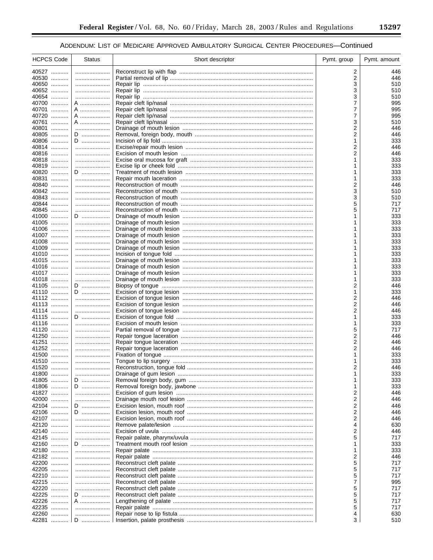| <b>HCPCS Code</b> | <b>Status</b> | Short descriptor | Pymt. group | Pymt. amount |
|-------------------|---------------|------------------|-------------|--------------|
| 40527             |               |                  | 2           | 446          |
| 40530             |               |                  | 2           | 446          |
| 40650             |               |                  | 3           | 510          |
| 40652<br>40654    |               |                  | 3<br>3      | 510          |
| 40700             | <br>A         |                  | 7           | 510<br>995   |
| 40701             | A             |                  | 7           | 995          |
| 40720             | A             |                  | 7           | 995          |
| 40761             | A             |                  | 3           | 510          |
| 40801             |               |                  | 2           | 446          |
| 40805             | D             |                  | 2           | 446          |
| 40806             | D             |                  | 1           | 333          |
| 40814<br>40816    |               |                  | 2<br>2      | 446          |
| 40818             |               |                  | 1           | 446<br>333   |
| 40819             |               |                  |             | 333          |
| 40820             | D             |                  | 1           | 333          |
| 40831             |               |                  | 1           | 333          |
| 40840             |               |                  | 2           | 446          |
| 40842             |               |                  | 3           | 510          |
| 40843             |               |                  | 3           | 510          |
| 40844<br>40845    |               |                  | 5<br>5      | 717<br>717   |
| 41000             | D             |                  |             | 333          |
| 41005             |               |                  | 1           | 333          |
| 41006             |               |                  |             | 333          |
| 41007             |               |                  |             | 333          |
| 41008             |               |                  |             | 333          |
| 41009             |               |                  |             | 333          |
| 41010             |               |                  |             | 333          |
| 41015             |               |                  |             | 333          |
| 41016<br>41017    |               |                  |             | 333<br>333   |
| 41018             |               |                  | 1           | 333          |
| 41105             | D             |                  | 2           | 446          |
| 41110             | D             |                  | 1           | 333          |
| 41112             |               |                  | 2           | 446          |
| 41113             |               |                  | 2           | 446          |
| 41114             |               |                  | 2           | 446          |
| 41115             | D             |                  | 1           | 333          |
| 41116<br>41120    |               |                  | 1<br>5      | 333<br>717   |
| 41250             |               |                  | 2           | 446          |
| 41251             |               |                  | 2           | 446          |
| 41252             |               |                  | 2           | 446          |
| 41500             |               |                  | 1           | 333          |
| 41510             |               |                  | 1           | 333          |
| 41520             |               |                  | 2           | 446          |
| 41800             |               |                  |             | 333          |
| 41805             | D             |                  |             | 333          |
| 41806<br>41827    | D<br>         |                  | 1<br>2      | 333<br>446   |
| 42000             |               |                  | 2           | 446          |
| 42104             | D             |                  | 2           | 446          |
| 42106             | D             |                  | 2           | 446          |
| 42107             |               |                  | 2           | 446          |
| 42120             |               |                  | 4           | 630          |
| 42140             |               |                  | 2           | 446          |
| 42145             |               |                  | 5           | 717          |
| 42160<br>42180    | D             |                  | 1<br>1      | 333<br>333   |
| 42182             |               |                  | 2           | 446          |
| 42200             |               |                  | 5           | 717          |
| 42205             |               |                  | 5           | 717          |
| 42210             |               |                  | 5           | 717          |
| 42215             |               |                  | 7           | 995          |
| 42220             |               |                  | 5           | 717          |
| 42225             | D             |                  | 5           | 717          |
| 42226             | A             |                  | 5           | 717          |
| 42235<br>42260    |               |                  | 5<br>4      | 717<br>630   |
| 42281             | D             |                  | 3           | 510          |
|                   |               |                  |             |              |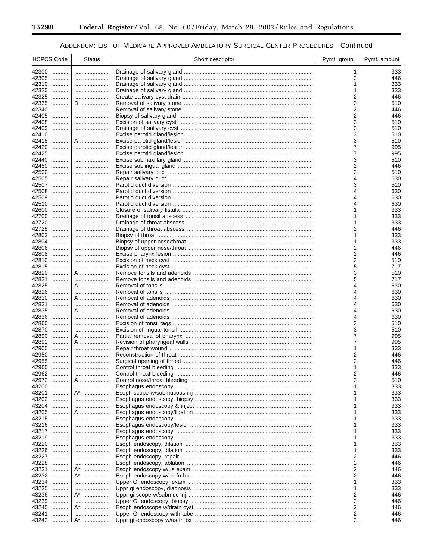۰

## ADDENDUM: LIST OF MEDICARE APPROVED AMBULATORY SURGICAL CENTER PROCEDURES-Continued

| <b>HCPCS Code</b> | <b>Status</b> | Short descriptor | Pymt. group | Pymt. amount |
|-------------------|---------------|------------------|-------------|--------------|
| 42300             |               |                  | 1           | 333          |
| 42305             |               |                  | 2           | 446          |
| 42310             |               |                  | 1           | 333          |
| 42320             |               |                  |             | 333          |
| 42325             |               |                  | 2           | 446          |
| 42335             | D             |                  | 3           | 510          |
| 42340             |               |                  | 2           | 446          |
| 42405<br>42408    |               |                  | 2<br>3      | 446          |
| 42409             |               |                  | 3           | 510<br>510   |
| 42410             |               |                  | 3           | 510          |
| 42415             | A             |                  | 3           | 510          |
| 42420             |               |                  | 7           | 995          |
| 42425             |               |                  | 7           | 995          |
| 42440             |               |                  | 3           | 510          |
| 42450             |               |                  | 2           | 446          |
| 42500             |               |                  | 3           | 510          |
| 42505             |               |                  | 4           | 630          |
| 42507             |               |                  | 3           | 510          |
| 42508<br>42509    |               |                  | 4<br>4      | 630<br>630   |
| 42510             |               |                  | 4           | 630          |
| 42600             |               |                  |             | 333          |
| 42700             |               |                  |             | 333          |
| 42720             |               |                  | 1           | 333          |
| 42725             |               |                  | 2           | 446          |
| 42802             |               |                  | 1           | 333          |
| 42804             |               |                  | 1           | 333          |
| 42806             |               |                  | 2           | 446          |
| 42808             |               |                  | 2           | 446          |
| 42810<br>42815    |               |                  | 3<br>5      | 510<br>717   |
| 42820             | A             |                  | 3           | 510          |
| 42821<br>.        |               |                  | 5           | 717          |
| 42825             | A             |                  | 4           | 630          |
| 42826             |               |                  | 4           | 630          |
| 42830             | A             |                  |             | 630          |
| 42831             |               |                  | 4           | 630          |
| 42835             | A             |                  |             | 630          |
| 42836             |               |                  | 4           | 630          |
| 42860<br>42870    |               |                  | 3<br>3      | 510<br>510   |
| 42890             | A             |                  | 7           | 995          |
| 42892             | A             |                  | 7           | 995          |
| 42900             |               |                  | 1           | 333          |
| 42950             |               |                  | 2           | 446          |
| 42955             |               |                  | 2           | 446          |
| 42960             |               |                  | 1           | 333          |
| 42962             |               |                  | 2           | 446          |
| 42972             | A             |                  | 3           | 510          |
| 43200<br>.        |               |                  |             | 333          |
| 43201             | A*            |                  | 1           | 333          |
| 43202<br>43204    | <br>          |                  |             | 333<br>333   |
| 43205             | A             |                  |             | 333          |
| 43215             |               |                  |             | 333          |
| 43216             |               |                  |             | 333          |
| 43217             |               |                  |             | 333          |
| 43219             |               |                  |             | 333          |
| 43220             |               |                  |             | 333          |
| 43226             |               |                  | 1           | 333          |
| 43227             |               |                  | 2           | 446          |
| 43228             |               |                  | 2           | 446          |
| 43231             | A*            |                  | 2           | 446          |
| 43232<br>43234    | A*            |                  | 2<br>1      | 446<br>333   |
| 43235             |               |                  | 1           | 333          |
| 43236             | A*            |                  | 2           | 446          |
| 43239             |               |                  | 2           | 446          |
| 43240             | A*            |                  | 2           | 446          |
| 43241             |               |                  | 2           | 446          |
| 43242             | A*            |                  | 2           | 446          |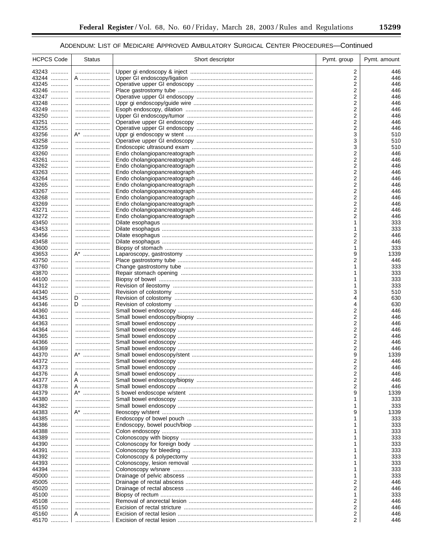| <b>HCPCS Code</b> | <b>Status</b> | Short descriptor | Pymt. group | Pymt. amount |
|-------------------|---------------|------------------|-------------|--------------|
| 43243             |               |                  | 2           | 446          |
| 43244             | A             |                  | 2           | 446          |
| 43245             |               |                  | 2           | 446          |
| 43246             |               |                  | 2           | 446          |
| 43247             |               |                  | 2           | 446          |
| 43248             |               |                  | 2           | 446          |
| 43249             |               |                  | 2           | 446          |
| 43250             |               |                  | 2           | 446          |
| 43251             |               |                  | 2           | 446          |
| 43255<br>43256    |               |                  | 2<br>3      | 446<br>510   |
| 43258             | A*            |                  | 3           | 510          |
| 43259             |               |                  | 3           | 510          |
| 43260             |               |                  | 2           | 446          |
| 43261             |               |                  | 2           | 446          |
| 43262             |               |                  | 2           | 446          |
| 43263             |               |                  | 2           | 446          |
| 43264             |               |                  | 2           | 446          |
| 43265             |               |                  | 2           | 446          |
| 43267             |               |                  | 2           | 446          |
| 43268             |               |                  | 2           | 446          |
| 43269             |               |                  | 2           | 446          |
| 43271<br>43272    |               |                  | 2<br>2      | 446<br>446   |
| 43450             |               |                  | 1           | 333          |
| 43453             |               |                  | 1           | 333          |
| 43456             |               |                  | 2           | 446          |
| 43458             |               |                  | 2           | 446          |
| 43600             |               |                  | 1           | 333          |
| 43653             | $A^*$         |                  | 9           | 1339         |
| 43750             |               |                  | 2           | 446          |
| 43760             |               |                  |             | 333          |
| 43870             |               |                  |             | 333          |
| 44100             |               |                  |             | 333          |
| 44312<br>44340    |               |                  | 3           | 333<br>510   |
| 44345             | D             |                  | 4           | 630          |
| 44346             | D             |                  | 4           | 630          |
| 44360             |               |                  | 2           | 446          |
| 44361             |               |                  | 2           | 446          |
| 44363             |               |                  | 2           | 446          |
| 44364             |               |                  | 2           | 446          |
| 44365             |               |                  | 2           | 446          |
| 44366             |               |                  | 2           | 446          |
| 44369<br>44370    | $A^*$         |                  | 2           | 446          |
| 44372             |               |                  | 9<br>2      | 1339<br>446  |
| 44373             |               |                  | 2           | 446          |
| 44376             | A             |                  | 2           | 446          |
| 44377             | A             |                  | 2           | 446          |
| 44378             | A             |                  | 2           | 446          |
| 44379             | A*            |                  | 9           | 1339         |
| 44380             |               |                  |             | 333          |
| 44382             |               |                  | 1           | 333          |
| 44383             | A*            |                  | 9           | 1339         |
| 44385             |               |                  | 1           | 333          |
| 44386             |               |                  |             | 333          |
| 44388<br>44389    |               |                  |             | 333          |
| 44390             |               |                  |             | 333<br>333   |
| 44391             |               |                  |             | 333          |
| 44392             |               |                  |             | 333          |
| 44393             |               |                  |             | 333          |
| 44394             |               |                  |             | 333          |
| 45000             |               |                  |             | 333          |
| 45005             |               |                  | 2           | 446          |
| 45020             |               |                  | 2           | 446          |
| 45100             |               |                  | 1           | 333          |
| 45108             |               |                  | 2           | 446          |
| 45150             |               |                  | 2           | 446          |
| 45160             | A             |                  | 2<br>2      | 446<br>446   |
| 45170             |               |                  |             |              |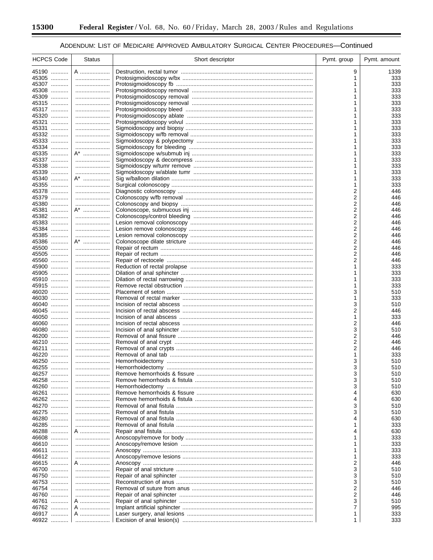۰

## ADDENDUM: LIST OF MEDICARE APPROVED AMBULATORY SURGICAL CENTER PROCEDURES-Continued

| <b>HCPCS Code</b> | <b>Status</b> | Short descriptor | Pymt. group | Pymt. amount |
|-------------------|---------------|------------------|-------------|--------------|
| 45190             | A             |                  | 9           | 1339         |
| 45305             |               |                  | 1           | 333          |
| 45307             |               |                  |             | 333          |
| 45308             |               |                  |             | 333          |
| 45309             |               |                  |             | 333          |
| 45315             |               |                  |             | 333          |
| 45317             |               |                  |             | 333          |
| 45320<br>45321    |               |                  |             | 333<br>333   |
| 45331             |               |                  |             | 333          |
| 45332             |               |                  |             | 333          |
| 45333             |               |                  |             | 333          |
| 45334             |               |                  |             | 333          |
| 45335             | A*            |                  |             | 333          |
| 45337             |               |                  |             | 333          |
| 45338             |               |                  |             | 333          |
| 45339             |               |                  |             | 333          |
| 45340             | A*            |                  |             | 333          |
| 45355             |               |                  |             | 333          |
| 45378<br>45379    |               |                  | 2<br>2      | 446<br>446   |
| 45380             |               |                  | 2           | 446          |
| 45381             | A*            |                  | 2           | 446          |
| 45382             |               |                  | 2           | 446          |
| 45383             |               |                  | 2           | 446          |
| 45384             |               |                  | 2           | 446          |
| 45385             |               |                  | 2           | 446          |
| 45386             | A*            |                  | 2           | 446          |
| 45500             |               |                  | 2           | 446          |
| 45505             |               |                  | 2           | 446          |
| 45560<br>45900    |               |                  | 2           | 446<br>333   |
| 45905             |               |                  | 1           | 333          |
| 45910             |               |                  |             | 333          |
| 45915             |               |                  | 1           | 333          |
| 46020             |               |                  | 3           | 510          |
| 46030             |               |                  | 1           | 333          |
| 46040             |               |                  | 3           | 510          |
| 46045             |               |                  | 2           | 446          |
| 46050<br>46060    |               |                  | 1<br>2      | 333<br>446   |
| 46080             |               |                  | 3           | 510          |
| 46200             |               |                  | 2           | 446          |
| 46210             |               |                  | 2           | 446          |
| 46211             |               |                  | 2           | 446          |
| 46220             |               |                  | 1           | 333          |
| 46250             |               |                  | 3           | 510          |
| 46255             | .             |                  | 3           | 510          |
| 46257<br>46258    |               |                  | 3<br>3      | 510<br>510   |
| 46260             | <br>          |                  | 3           | 510          |
| 46261             |               |                  | 4           | 630          |
| 46262             |               |                  | 4           | 630          |
| 46270             |               |                  | 3           | 510          |
| 46275             |               |                  | 3           | 510          |
| 46280             |               |                  |             | 630          |
| 46285             |               |                  |             | 333          |
| 46288             | A             |                  |             | 630          |
| 46608             |               |                  |             | 333          |
| 46610             |               |                  |             | 333          |
| 46611<br>46612    |               |                  |             | 333<br>333   |
| 46615             | A             |                  | 2           | 446          |
| 46700             |               |                  | 3           | 510          |
| 46750             |               |                  | 3           | 510          |
| 46753             |               |                  | 3           | 510          |
| 46754             |               |                  | 2           | 446          |
| 46760             |               |                  | 2           | 446          |
| 46761             | A             |                  | 3           | 510          |
| 46762             | A             |                  | 7           | 995          |
| 46917             | A             |                  |             | 333          |
| 46922             |               |                  |             | 333          |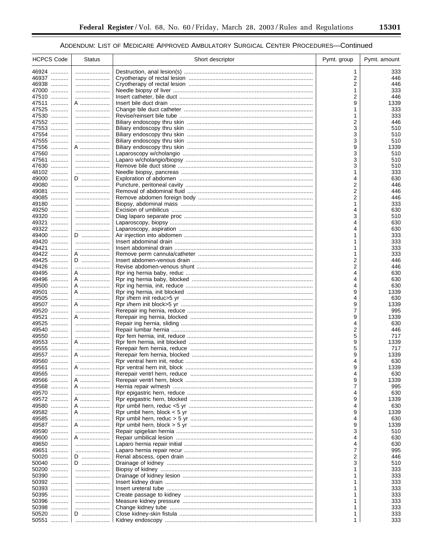| <b>HCPCS Code</b> | Status    | Short descriptor | Pymt. group | Pymt. amount |
|-------------------|-----------|------------------|-------------|--------------|
| 46924             |           |                  | 1           | 333          |
| 46937             |           |                  | 2           | 446          |
| 46938             |           |                  | 2           | 446          |
| 47000             |           |                  | 1           | 333          |
| 47510             |           |                  | 2           | 446          |
| 47511             | A         |                  | 9           | 1339         |
| 47525             |           |                  | 1           | 333          |
| 47530<br>47552    |           |                  | 2           | 333<br>446   |
| 47553             |           |                  | 3           | 510          |
| 47554             |           |                  | 3           | 510          |
| 47555             |           |                  | 3           | 510          |
| 47556             | A         |                  | 9           | 1339         |
| 47560             |           |                  | 3           | 510          |
| 47561             |           |                  | 3           | 510          |
| 47630             |           |                  | 3           | 510          |
| 48102             |           |                  | 1           | 333          |
| 49000             | D         |                  | 4           | 630          |
| 49080<br>49081    |           |                  | 2<br>2      | 446          |
| 49085             |           |                  | 2           | 446<br>446   |
| 49180             |           |                  |             | 333          |
| 49250             |           |                  | 4           | 630          |
| 49320             |           |                  | 3           | 510          |
| 49321             |           |                  | 4           | 630          |
| 49322             |           |                  | 4           | 630          |
| 49400             | D         |                  |             | 333          |
| 49420             |           |                  | 1           | 333          |
| 49421             |           |                  | 1           | 333          |
| 49422             | A         |                  | 1<br>2      | 333<br>446   |
| 49425<br>49426    | D         |                  | 2           | 446          |
| 49495             | A         |                  | 4           | 630          |
| 49496             | A         |                  | 4           | 630          |
| 49500             | A         |                  |             | 630          |
| 49501             | A         |                  | 9           | 1339         |
| 49505             |           |                  | 4           | 630          |
| 49507             | A         |                  | 9           | 1339         |
| 49520<br>49521    |           |                  | 7<br>9      | 995          |
| 49525             | A         |                  | 4           | 1339<br>630  |
| 49540             |           |                  | 2           | 446          |
| 49550             |           |                  | 5           | 717          |
| 49553             | A         |                  | 9           | 1339         |
| 49555             |           |                  | 5           | 717          |
| 49557             | A         |                  | 9           | 1339         |
| 49560             |           |                  | 4           | 630          |
| 49561             | A         |                  | 9           | 1339         |
| 49565             |           |                  |             | 630          |
| 49566<br>49568    | A<br>A    |                  | 9<br>7      | 1339<br>995  |
| 49570             |           |                  | 4           | 630          |
| 49572             | A         |                  | 9           | 1339         |
| 49580             | A         |                  | 4           | 630          |
| 49582             | A ………………… |                  | 9           | 1339         |
| 49585             |           |                  | 4           | 630          |
| 49587             | A         |                  | 9           | 1339         |
| 49590             |           |                  | 3           | 510          |
| 49600             | A         |                  | 4           | 630          |
| 49650             |           |                  | 4           | 630          |
| 49651             |           |                  | 7           | 995          |
| 50020<br>50040    | D<br>D    |                  | 2<br>3      | 446<br>510   |
| 50200             |           |                  | 1           | 333          |
| 50390             |           |                  |             | 333          |
| 50392             |           |                  | 1           | 333          |
| 50393             |           |                  | 1           | 333          |
| 50395             |           |                  | 1           | 333          |
| 50396             |           |                  | 1           | 333          |
| 50398             |           |                  | 1           | 333          |
| 50520             | D         |                  | 1           | 333          |
| 50551             |           |                  | 1           | 333          |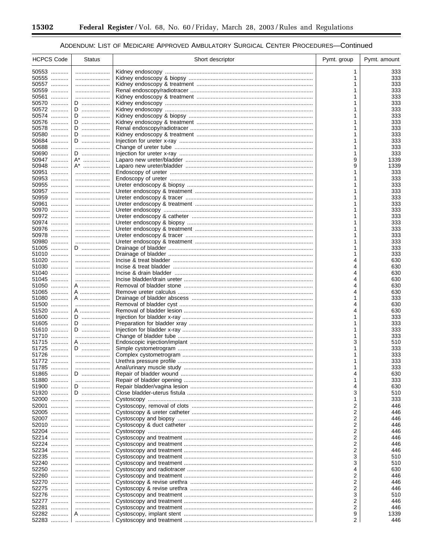-

۰

## ADDENDUM: LIST OF MEDICARE APPROVED AMBULATORY SURGICAL CENTER PROCEDURES-Continued

| <b>HCPCS Code</b> | <b>Status</b> | Short descriptor | Pymt. group | Pymt. amount |
|-------------------|---------------|------------------|-------------|--------------|
| 50553             |               |                  |             | 333          |
| 50555             |               |                  |             | 333          |
| 50557             |               |                  |             | 333          |
| 50559<br>50561    |               |                  |             | 333<br>333   |
| 50570             | D             |                  |             | 333          |
| 50572             | D             |                  |             | 333          |
| 50574             | D             |                  |             | 333          |
| 50576             | D             |                  |             | 333          |
| 50578             | D             |                  |             | 333          |
| 50580<br>50684    | D             |                  |             | 333          |
| 50688             | D             |                  |             | 333<br>333   |
| 50690             | D             |                  |             | 333          |
| 50947             | A*            |                  | 9           | 1339         |
| 50948             | A*            |                  | 9           | 1339         |
| 50951             |               |                  |             | 333          |
| 50953             |               |                  |             | 333          |
| 50955<br>50957    |               |                  |             | 333<br>333   |
| 50959             |               |                  |             | 333          |
| 50961             |               |                  |             | 333          |
| 50970             |               |                  |             | 333          |
| 50972             |               |                  |             | 333          |
| 50974             |               |                  |             | 333          |
| 50976<br>50978    |               |                  |             | 333<br>333   |
| 50980             |               |                  |             | 333          |
| 51005             | D             |                  |             | 333          |
| 51010             |               |                  |             | 333          |
| 51020             |               |                  |             | 630          |
| 51030             |               |                  |             | 630          |
| 51040             |               |                  |             | 630          |
| 51045<br>51050    | <br>A         |                  |             | 630<br>630   |
| 51065             | A             |                  |             | 630          |
| 51080             | A             |                  |             | 333          |
| 51500             |               |                  | 4           | 630          |
| 51520             | A …………………     |                  |             | 630          |
| 51600             | D             |                  |             | 333          |
| 51605<br>51610    | D<br>D        |                  |             | 333<br>333   |
| 51710             |               |                  |             | 333          |
| 51715             | A             |                  | 3           | 510          |
| 51725             | D             |                  |             | 333          |
| 51726             |               |                  |             | 333          |
| 51772             |               |                  |             | 333          |
| 51785             |               |                  |             | 333          |
| 51865<br>51880    | D<br>         |                  |             | 630<br>333   |
| 51900             | D             |                  | 4           | 630          |
| 51920             | D             |                  | 3           | 510          |
| 52000             |               |                  | 1           | 333          |
| 52001             |               |                  | 2           | 446          |
| 52005             |               |                  | 2           | 446          |
| 52007<br>52010    |               |                  | 2<br>2      | 446<br>446   |
| 52204             |               |                  | 2           | 446          |
| 52214             |               |                  | 2           | 446          |
| 52224             |               |                  | 2           | 446          |
| 52234             |               |                  | 2           | 446          |
| 52235             |               |                  | 3           | 510          |
| 52240<br>52250    | <br>          |                  | 3<br>4      | 510<br>630   |
| 52260             |               |                  | 2           | 446          |
| 52270             |               |                  | 2           | 446          |
| 52275             |               |                  | 2           | 446          |
| 52276             |               |                  | 3           | 510          |
| 52277             |               |                  | 2           | 446          |
| 52281             |               |                  | 2           | 446          |
| 52282<br>52283    | A             |                  | 9<br>2      | 1339<br>446  |
|                   |               |                  |             |              |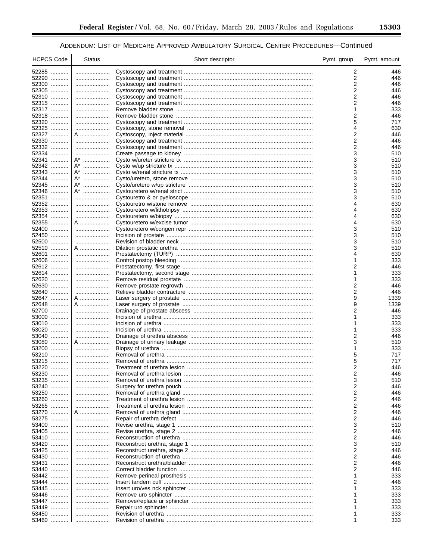| <b>HCPCS Code</b> | <b>Status</b> | Short descriptor | Pymt. group | Pymt. amount |
|-------------------|---------------|------------------|-------------|--------------|
| 52285             |               |                  | 2           | 446          |
| 52290             |               |                  | 2           | 446          |
| 52300             |               |                  | 2           | 446          |
| 52305             |               |                  | 2           | 446          |
| 52310             |               |                  | 2           | 446          |
| 52315             |               |                  | 2           | 446          |
| 52317             |               |                  | 1           | 333          |
| 52318             |               |                  | 2           | 446          |
| 52320             |               |                  | 5           | 717          |
| 52325             |               |                  | 4           | 630          |
| 52327<br>52330    | A             |                  | 2<br>2      | 446<br>446   |
| 52332             |               |                  | 2           | 446          |
| 52334             |               |                  | 3           | 510          |
| 52341             | A*            |                  | 3           | 510          |
| 52342             | A*            |                  | 3           | 510          |
| 52343             | A*            |                  | 3           | 510          |
| 52344             | A*            |                  | 3           | 510          |
| 52345             | A*            |                  | 3           | 510          |
| 52346             | A*            |                  | 3           | 510          |
| 52351             |               |                  | 3           | 510          |
| 52352             |               |                  | 4           | 630          |
| 52353             |               |                  | 4           | 630          |
| 52354             |               |                  | 4           | 630          |
| 52355             | A             |                  | 4           | 630          |
| 52400             |               |                  | 3           | 510          |
| 52450<br>52500    |               |                  | 3<br>3      | 510<br>510   |
| 52510             | A             |                  | 3           | 510          |
| 52601             |               |                  | 4           | 630          |
| 52606             |               |                  | 1           | 333          |
| 52612             |               |                  | 2           | 446          |
| 52614             |               |                  | 1           | 333          |
| 52620             |               |                  | 1           | 333          |
| 52630             |               |                  | 2           | 446          |
| 52640             |               |                  | 2           | 446          |
| 52647             | A             |                  | 9           | 1339         |
| 52648             | A             |                  | 9           | 1339         |
| 52700             |               |                  | 2           | 446          |
| 53000             |               |                  | 1           | 333          |
| 53010             |               |                  |             | 333          |
| 53020<br>53040    |               |                  | 1<br>2      | 333<br>446   |
| 53080             | A             |                  | 3           | 510          |
| 53200             |               |                  | 1           | 333          |
| 53210             |               |                  | 5           | 717          |
| 53215             |               |                  | 5           | 717          |
| 53220             |               |                  | 2           | 446          |
| 53230             |               |                  | 2           | 446          |
| 53235             |               |                  | 3           | 510          |
| 53240             |               |                  | 2           | 446          |
| 53250             |               |                  | 2           | 446          |
| 53260             |               |                  | 2           | 446          |
| 53265             |               |                  | 2           | 446          |
| 53270             | A             |                  | 2           | 446          |
| 53275             |               |                  | 2           | 446          |
| 53400<br>53405    |               |                  | 3<br>2      | 510<br>446   |
| 53410             |               |                  | 2           | 446          |
| 53420             |               |                  | 3           | 510          |
| 53425             |               |                  | 2           | 446          |
| 53430             |               |                  | 2           | 446          |
| 53431             |               |                  | 2           | 446          |
| 53440             |               |                  | 2           | 446          |
| 53442             |               |                  | 1           | 333          |
| 53444             |               |                  | 2           | 446          |
| 53445             |               |                  |             | 333          |
| 53446             |               |                  |             | 333          |
| 53447             |               |                  |             | 333          |
| 53449             |               |                  |             | 333          |
| 53450             |               |                  |             | 333          |
| 53460             |               |                  |             | 333          |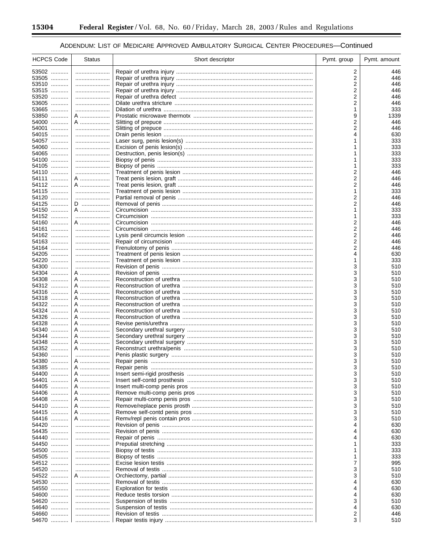-

۰

## ADDENDUM: LIST OF MEDICARE APPROVED AMBULATORY SURGICAL CENTER PROCEDURES-Continued

| <b>HCPCS Code</b> | <b>Status</b> | Short descriptor                                  | Pymt. group | Pymt. amount |
|-------------------|---------------|---------------------------------------------------|-------------|--------------|
| 53502             |               |                                                   | 2           | 446          |
| 53505             |               |                                                   | 2           | 446          |
| 53510             |               |                                                   | 2           | 446          |
| 53515<br>53520    |               |                                                   | 2<br>2      | 446<br>446   |
| 53605             |               |                                                   | 2           | 446          |
| 53665             |               |                                                   | 1           | 333          |
| 53850             | A …………………     |                                                   | 9           | 1339         |
| 54000             | A             |                                                   | 2           | 446          |
| 54001             |               |                                                   | 2           | 446          |
| 54015             |               |                                                   | 4           | 630          |
| 54057<br>54060    |               |                                                   |             | 333<br>333   |
| 54065             |               |                                                   |             | 333          |
| 54100             |               |                                                   |             | 333          |
| 54105             |               |                                                   |             | 333          |
| 54110             |               |                                                   | 2           | 446          |
| 54111<br>54112    | A             |                                                   | 2           | 446<br>446   |
| 54115             | A             |                                                   | 2<br>1      | 333          |
| 54120             |               |                                                   | 2           | 446          |
| 54125             | D             |                                                   | 2           | 446          |
| 54150             | A             |                                                   | 1           | 333          |
| 54152             |               |                                                   |             | 333          |
| 54160<br>54161    | A             |                                                   | 2<br>2      | 446<br>446   |
| 54162             |               |                                                   | 2           | 446          |
| 54163             |               |                                                   | 2           | 446          |
| 54164             |               |                                                   | 2           | 446          |
| 54205             |               |                                                   | 4           | 630          |
| 54220             |               |                                                   | 1           | 333          |
| 54300<br>54304    | A             |                                                   | 3<br>3      | 510<br>510   |
| 54308             | A             |                                                   | 3           | 510          |
| 54312             | A             |                                                   | 3           | 510          |
| 54316             | A             |                                                   | 3           | 510          |
| 54318             | A             |                                                   | 3           | 510          |
| 54322             | A             |                                                   | 3           | 510          |
| 54324<br>54326    | A<br>A        |                                                   | 3<br>3      | 510<br>510   |
| 54328             | A             |                                                   | 3           | 510          |
| 54340             | A             |                                                   | 3           | 510          |
| 54344             | A             |                                                   | 3           | 510          |
| 54348             | A             |                                                   | 3           | 510          |
| 54352<br>54360    | A             |                                                   | 3           | 510          |
| 54380             | A             |                                                   | 3<br>3      | 510<br>510   |
| 54385             | A             |                                                   | 3           | 510          |
| 54400             | A             |                                                   | 3           | 510          |
| 54401<br>.        | A             |                                                   | 3           | 510          |
| 54405             | A             |                                                   | 3           | 510          |
| 54406             | A             |                                                   | 3           | 510          |
| 54408<br>54410    | A<br>A        |                                                   | 3<br>3      | 510<br>510   |
| 54415             | A             |                                                   | 3           | 510          |
| 54416             | A             |                                                   | 3           | 510          |
| 54420             |               |                                                   |             | 630          |
| 54435             |               |                                                   |             | 630          |
| 54440             |               |                                                   |             | 630          |
| 54450<br>54500    |               |                                                   |             | 333          |
| 54505             |               | Biopsy of testis …………………………………………………………………………………… |             | 333<br>333   |
| 54512             |               |                                                   | 7           | 995          |
| 54520             |               |                                                   | 3           | 510          |
| 54522             | A             |                                                   | 3           | 510          |
| 54530             |               |                                                   | 4           | 630          |
| 54550             |               |                                                   |             | 630          |
| 54600<br>54620    | <br>          |                                                   | 4<br>3      | 630<br>510   |
| 54640             |               |                                                   | 4           | 630          |
| 54660             |               |                                                   | 2           | 446          |
| 54670             |               |                                                   | 3           | 510          |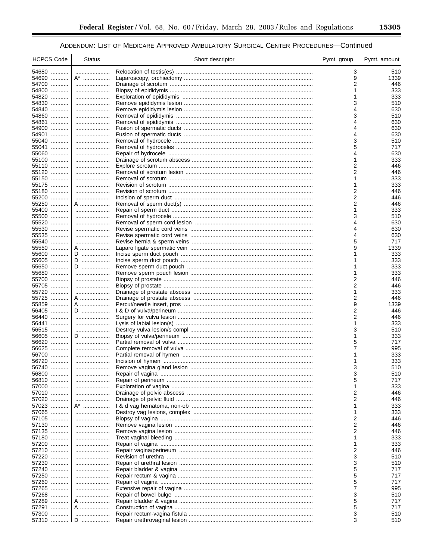| <b>HCPCS Code</b> | <b>Status</b> | Short descriptor | Pymt. group | Pymt. amount |
|-------------------|---------------|------------------|-------------|--------------|
| 54680             |               |                  | 3           | 510          |
| 54690             | A*            |                  | 9           | 1339         |
| 54700             |               |                  | 2           | 446          |
| 54800             |               |                  |             | 333          |
| 54820             |               |                  |             | 333          |
| 54830             |               |                  | 3           | 510          |
| 54840             |               |                  | 4           | 630          |
| 54860             |               |                  | 3           | 510          |
| 54861             |               |                  | 4           | 630          |
| 54900<br>54901    |               |                  | 4<br>4      | 630<br>630   |
| 55040             |               |                  | 3           | 510          |
| 55041             |               |                  | 5           | 717          |
| 55060             |               |                  | 4           | 630          |
| 55100             |               |                  | 1           | 333          |
| 55110             |               |                  | 2           | 446          |
| 55120             |               |                  | 2           | 446          |
| 55150             |               |                  |             | 333          |
| 55175             |               |                  | 1           | 333          |
| 55180             |               |                  | 2           | 446          |
| 55200<br>55250    | A             |                  | 2<br>2      | 446<br>446   |
| 55400             |               |                  | 1           | 333          |
| 55500             |               |                  | 3           | 510          |
| 55520             |               |                  | 4           | 630          |
| 55530             |               |                  | 4           | 630          |
| 55535             |               |                  | 4           | 630          |
| 55540             |               |                  | 5           | 717          |
| 55550             | A             |                  | 9           | 1339         |
| 55600             | D             |                  |             | 333          |
| 55605             | D             |                  |             | 333          |
| 55650             | D             |                  | 1           | 333          |
| 55680<br>55700    |               |                  | 1<br>2      | 333<br>446   |
| 55705             |               |                  | 2           | 446          |
| 55720             |               |                  | 1           | 333          |
| 55725             | A             |                  | 2           | 446          |
| 55859             | A             |                  | 9           | 1339         |
| 56405             | D             |                  | 2           | 446          |
| 56440             |               |                  | 2           | 446          |
| 56441             |               |                  | 1           | 333          |
| 56515             |               |                  | 3           | 510          |
| 56605<br>56620    | D             |                  | 1<br>5      | 333<br>717   |
| 56625             |               |                  | 7           | 995          |
| 56700             |               |                  |             | 333          |
| 56720             |               |                  | 1           | 333          |
| 56740             |               |                  | 3           | 510          |
| 56800             |               |                  | 3           | 510          |
| 56810             |               |                  | 5           | 717          |
| 57000             |               |                  | 1           | 333          |
| 57010             |               |                  | 2           | 446          |
| 57020             |               |                  | 2           | 446          |
| 57023<br>57065    | $A^*$         |                  | 1           | 333<br>333   |
| 57105             | <br>          |                  | 2           | 446          |
| 57130             |               |                  | 2           | 446          |
| 57135             |               |                  | 2           | 446          |
| 57180             |               |                  |             | 333          |
| 57200             |               |                  | 1           | 333          |
| 57210             |               |                  | 2           | 446          |
| 57220             |               |                  | 3           | 510          |
| 57230             |               |                  | 3           | 510          |
| 57240             |               |                  | 5           | 717          |
| 57250             |               |                  | 5           | 717          |
| 57260             |               |                  | 5           | 717          |
| 57265<br>57268    |               |                  | 7<br>3      | 995<br>510   |
| 57289             | <br>A         |                  | 5           | 717          |
| 57291             | A             |                  | 5           | 717          |
| 57300             |               |                  | 3           | 510          |
| 57310             | D             |                  | 3           | 510          |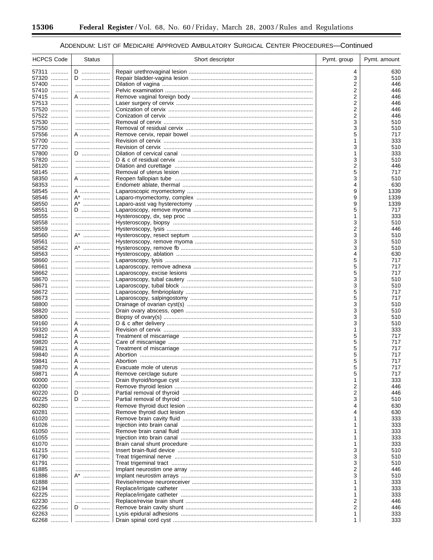-

۰

## ADDENDUM: LIST OF MEDICARE APPROVED AMBULATORY SURGICAL CENTER PROCEDURES-Continued

| <b>HCPCS Code</b> | <b>Status</b> | Short descriptor | Pymt. group | Pymt. amount |
|-------------------|---------------|------------------|-------------|--------------|
| 57311             | D             |                  | 4           | 630          |
| 57320             | D             |                  | 3           | 510          |
| 57400             |               |                  | 2           | 446          |
| 57410             |               |                  | 2           | 446          |
| 57415<br>57513    | A             |                  | 2<br>2      | 446<br>446   |
| 57520             |               |                  | 2           | 446          |
| 57522             |               |                  | 2           | 446          |
| 57530             |               |                  | 3           | 510          |
| 57550             |               |                  | 3           | 510          |
| 57556<br>57700    | A             |                  | 5<br>1      | 717<br>333   |
| 57720             |               |                  | 3           | 510          |
| 57800             | D             |                  | 1           | 333          |
| 57820             |               |                  | 3           | 510          |
| 58120             |               |                  | 2           | 446          |
| 58145             |               |                  | 5           | 717          |
| 58350<br>58353    | A             |                  | 3<br>4      | 510<br>630   |
| 58545             | A             |                  | 9           | 1339         |
| 58546             | A*            |                  | 9           | 1339         |
| 58550             | A*            |                  | 9           | 1339         |
| 58551             | D             |                  | 5           | 717          |
| 58555             |               |                  |             | 333          |
| 58558<br>58559    |               |                  | 3<br>2      | 510<br>446   |
| 58560             | $A^*$         |                  | 3           | 510          |
| 58561             |               |                  | 3           | 510          |
| 58562             | A*            |                  | 3           | 510          |
| 58563             |               |                  | 4           | 630          |
| 58660<br>58661    |               |                  | 5<br>5      | 717<br>717   |
| 58662             |               |                  | 5           | 717          |
| 58670             |               |                  | 3           | 510          |
| 58671             |               |                  | 3           | 510          |
| 58672             |               |                  | 5           | 717          |
| 58673             |               |                  | 5           | 717          |
| 58800<br>58820    |               |                  | 3<br>3      | 510<br>510   |
| 58900             |               |                  | 3           | 510          |
| 59160             | A             |                  | 3           | 510          |
| 59320             | A             |                  |             | 333          |
| 59812             | A             |                  | 5           | 717          |
| 59820<br>59821    | A<br>A        |                  | 5<br>5      | 717<br>717   |
| 59840             | A             |                  | 5           | 717          |
| 59841             | A             |                  | 5           | 717          |
| 59870<br>.        | A             |                  | 5           | 717          |
| 59871             | A             |                  | 5           | 717          |
| 60000             |               |                  |             | 333          |
| 60200<br>60220    | D             |                  | 2<br>2      | 446<br>446   |
| 60225             | D             |                  | 3           | 510          |
| 60280             |               |                  | 4           | 630          |
| 60281             |               |                  | 4           | 630          |
| 61020             |               |                  |             | 333          |
| 61026             |               |                  |             | 333          |
| 61050<br>61055    |               |                  |             | 333<br>333   |
| 61070             |               |                  |             | 333          |
| 61215             |               |                  | 3           | 510          |
| 61790             |               |                  | 3           | 510          |
| 61791             |               |                  | 3           | 510          |
| 61885<br>61886    | A*            |                  | 2<br>3      | 446<br>510   |
| 61888             |               |                  |             | 333          |
| 62194             |               |                  |             | 333          |
| 62225             |               |                  |             | 333          |
| 62230             |               |                  | 2           | 446          |
| 62256<br>62263    | D             |                  | 2<br>1      | 446<br>333   |
| 62268             |               |                  | 1.          | 333          |
|                   |               |                  |             |              |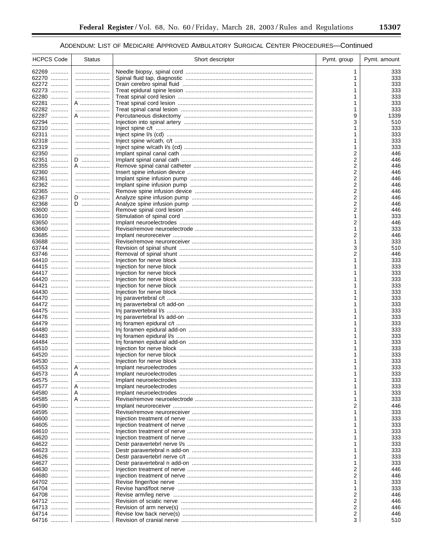| <b>HCPCS Code</b> | <b>Status</b> | Short descriptor | Pymt. group         | Pymt. amount |
|-------------------|---------------|------------------|---------------------|--------------|
| 62269             |               |                  | 1                   | 333          |
| 62270             |               |                  | 1                   | 333          |
| 62272             |               |                  | 1                   | 333          |
| 62273             |               |                  |                     | 333          |
| 62280             |               |                  | 1                   | 333          |
| 62281             | A             |                  |                     | 333          |
| 62282             |               |                  | 1                   | 333          |
| 62287<br>62294    | A             |                  | 9<br>3              | 1339<br>510  |
| 62310             |               |                  |                     | 333          |
| 62311             |               |                  | 1                   | 333          |
| 62318             |               |                  | 1                   | 333          |
| 62319             |               |                  | 1                   | 333          |
| 62350             |               |                  | 2                   | 446          |
| 62351             | D             |                  | 2                   | 446          |
| 62355             | A …………………     |                  | $\overline{2}$      | 446          |
| 62360<br>62361    |               |                  | 2<br>$\overline{2}$ | 446<br>446   |
| 62362             |               |                  | 2                   | 446          |
| 62365             |               |                  | $\overline{2}$      | 446          |
| 62367             | D             |                  | 2                   | 446          |
| 62368             | D             |                  | 2                   | 446          |
| 63600             |               |                  | 2                   | 446          |
| 63610             |               |                  | 1                   | 333          |
| 63650             |               |                  | 2                   | 446          |
| 63660             |               |                  | 1<br>2              | 333          |
| 63685<br>63688    |               |                  | 1                   | 446<br>333   |
| 63744             |               |                  | 3                   | 510          |
| 63746             |               |                  | $\overline{2}$      | 446          |
| 64410             |               |                  | 1                   | 333          |
| 64415             |               |                  | 1                   | 333          |
| 64417             |               |                  |                     | 333          |
| 64420             |               |                  | 1                   | 333          |
| 64421             |               |                  | 1                   | 333          |
| 64430<br>64470    |               |                  |                     | 333<br>333   |
| 64472             |               |                  |                     | 333          |
| 64475             |               |                  |                     | 333          |
| 64476             |               |                  |                     | 333          |
| 64479             |               |                  |                     | 333          |
| 64480             |               |                  | 1                   | 333          |
| 64483             |               |                  |                     | 333          |
| 64484<br>64510    |               |                  | 1<br>1              | 333<br>333   |
| 64520             |               |                  | 1                   | 333          |
| 64530             |               |                  | 1                   | 333          |
| 64553             | A             |                  | 1                   | 333          |
| 64573             | A …………………     |                  |                     | 333          |
| 64575<br>.        |               |                  |                     | 333          |
| 64577             | A             |                  |                     | 333          |
| 64580             | A             |                  | 1                   | 333          |
| 64585             | A             |                  | 1                   | 333          |
| 64590<br>64595    |               |                  | 2                   | 446<br>333   |
| 64600             |               |                  | 1                   | 333          |
| 64605             |               |                  |                     | 333          |
| 64610             |               |                  | 1                   | 333          |
| 64620             |               |                  |                     | 333          |
| 64622             |               |                  | 1                   | 333          |
| 64623             |               |                  |                     | 333          |
| 64626             |               |                  | 1                   | 333          |
| 64627<br>64630    |               |                  | 1                   | 333          |
| 64680             |               |                  | 2<br>2              | 446<br>446   |
| 64702             |               |                  | 1                   | 333          |
| 64704             |               |                  | 1                   | 333          |
| 64708             |               |                  | 2                   | 446          |
| 64712             |               |                  | 2                   | 446          |
| 64713             |               |                  | 2                   | 446          |
| 64714             |               |                  | 2                   | 446          |
| 64716             |               |                  | 3                   | 510          |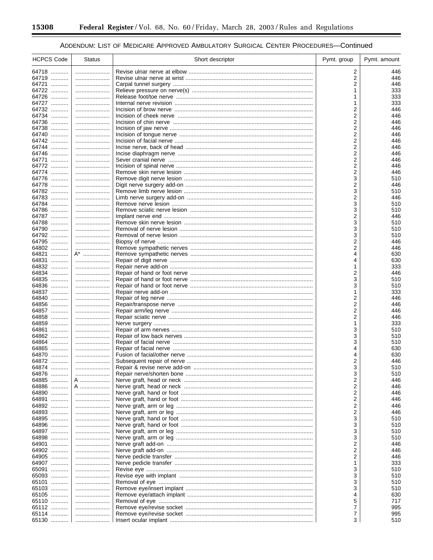۰

## ADDENDUM: LIST OF MEDICARE APPROVED AMBULATORY SURGICAL CENTER PROCEDURES-Continued

| <b>HCPCS Code</b> | <b>Status</b> | Short descriptor | Pymt. group | Pymt. amount |
|-------------------|---------------|------------------|-------------|--------------|
| 64718             |               |                  | 2           | 446          |
| 64719             |               |                  | 2           | 446          |
| 64721             |               |                  | 2           | 446          |
| 64722             |               |                  | 1           | 333          |
| 64726             |               |                  |             | 333          |
| 64727             |               |                  |             | 333          |
| 64732             |               |                  | 2           | 446          |
| 64734             |               |                  | 2           | 446          |
| 64736             |               |                  | 2           | 446          |
| 64738<br>64740    |               |                  | 2<br>2      | 446<br>446   |
| 64742             |               |                  | 2           | 446          |
| 64744             |               |                  | 2           | 446          |
| 64746             |               |                  | 2           | 446          |
| 64771             |               |                  | 2           | 446          |
| 64772             |               |                  | 2           | 446          |
| 64774             |               |                  | 2           | 446          |
| 64776             |               |                  | 3           | 510          |
| 64778             |               |                  | 2           | 446          |
| 64782             |               |                  | 3           | 510          |
| 64783<br>64784    |               |                  | 2<br>3      | 446<br>510   |
| 64786             |               |                  | 3           | 510          |
| 64787             |               |                  | 2           | 446          |
| 64788             |               |                  | 3           | 510          |
| 64790             |               |                  | 3           | 510          |
| 64792             |               |                  | 3           | 510          |
| 64795             |               |                  | 2           | 446          |
| 64802             |               |                  | 2           | 446          |
| 64821             | $A^*$         |                  | 4           | 630          |
| 64831             |               |                  | 4           | 630          |
| 64832<br>64834    |               |                  | 1<br>2      | 333<br>446   |
| 64835             |               |                  | 3           | 510          |
| 64836             |               |                  | 3           | 510          |
| 64837             |               |                  |             | 333          |
| 64840             |               |                  | 2           | 446          |
| 64856             |               |                  | 2           | 446          |
| 64857             |               |                  | 2           | 446          |
| 64858             |               |                  | 2           | 446          |
| 64859             |               |                  | 1           | 333          |
| 64861<br>64862    |               |                  | 3<br>3      | 510<br>510   |
| 64864             |               |                  | 3           | 510          |
| 64865             |               |                  | 4           | 630          |
| 64870             |               |                  | 4           | 630          |
| 64872             |               |                  | 2           | 446          |
| 64874             |               |                  | 3           | 510          |
| 64876             |               |                  | 3           | 510          |
| 64885             | A             |                  | 2           | 446          |
| 64886             | A             |                  | 2           | 446          |
| 64890             |               |                  | 2           | 446          |
| 64891             |               |                  | 2           | 446          |
| 64892<br>64893    |               |                  | 2<br>2      | 446<br>446   |
| 64895             |               |                  | 3           | 510          |
| 64896             |               |                  | 3           | 510          |
| 64897             |               |                  | 3           | 510          |
| 64898             |               |                  | 3           | 510          |
| 64901             |               |                  | 2           | 446          |
| 64902             |               |                  | 2           | 446          |
| 64905             |               |                  | 2           | 446          |
| 64907             |               |                  | 1           | 333          |
| 65091             |               |                  | 3           | 510          |
| 65093             |               |                  | 3           | 510          |
| 65101             |               |                  | 3           | 510          |
| 65103<br>65105    |               |                  | 3<br>4      | 510<br>630   |
| 65110             |               |                  | 5           | 717          |
| 65112             |               |                  | 7           | 995          |
| 65114             |               |                  | 7           | 995          |
| 65130             |               |                  | 3           | 510          |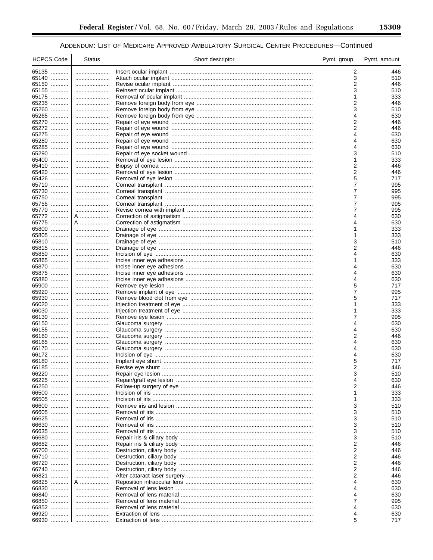| <b>HCPCS Code</b> | <b>Status</b> | Short descriptor | Pymt. group | Pymt. amount |
|-------------------|---------------|------------------|-------------|--------------|
| 65135             |               |                  | 2           | 446          |
| 65140             |               |                  | 3           | 510          |
| 65150             |               |                  | 2           | 446          |
| 65155             |               |                  | 3           | 510          |
| 65175             |               |                  |             | 333          |
| 65235             |               |                  | 2           | 446          |
| 65260             |               |                  | 3           | 510          |
| 65265             |               |                  | 4           | 630          |
| 65270<br>65272    |               |                  | 2<br>2      | 446<br>446   |
| 65275             | <br>          |                  | 4           | 630          |
| 65280             |               |                  | 4           | 630          |
| 65285             |               |                  | 4           | 630          |
| 65290             |               |                  | 3           | 510          |
| 65400             |               |                  | 1           | 333          |
| 65410             |               |                  | 2           | 446          |
| 65420             |               |                  | 2           | 446          |
| 65426             |               |                  | 5           | 717          |
| 65710             |               |                  | 7           | 995          |
| 65730<br>65750    |               |                  | 7<br>7      | 995<br>995   |
| 65755             |               |                  | 7           | 995          |
| 65770             |               |                  | 7           | 995          |
| 65772             | A             |                  | 4           | 630          |
| 65775             | A             |                  | 4           | 630          |
| 65800             |               |                  |             | 333          |
| 65805             |               |                  | 1           | 333          |
| 65810             |               |                  | 3           | 510          |
| 65815<br>65850    |               |                  | 2           | 446          |
| 65865             |               |                  | 4           | 630<br>333   |
| 65870             |               |                  | 4           | 630          |
| 65875             |               |                  | 4           | 630          |
| 65880             |               |                  | 4           | 630          |
| 65900             |               |                  | 5           | 717          |
| 65920             |               |                  | 7           | 995          |
| 65930             |               |                  | 5           | 717          |
| 66020<br>66030    |               |                  |             | 333<br>333   |
| 66130             |               |                  | 7           | 995          |
| 66150             |               |                  |             | 630          |
| 66155             |               |                  | 4           | 630          |
| 66160             |               |                  | 2           | 446          |
| 66165             |               |                  | 4           | 630          |
| 66170             |               |                  | 4           | 630          |
| 66172             |               |                  | 4           | 630          |
| 66180             |               |                  | 5<br>2      | 717          |
| 66185<br>66220    |               |                  |             | 446<br>510   |
| 66225             | <br>          |                  | 3           | 630          |
| 66250             |               |                  | 2           | 446          |
| 66500             |               |                  | 1           | 333          |
| 66505             |               |                  | 1           | 333          |
| 66600             |               |                  | 3           | 510          |
| 66605             |               |                  | 3           | 510          |
| 66625             |               |                  | 3           | 510          |
| 66630             |               |                  | 3           | 510          |
| 66635<br>66680    | <br>          |                  | 3<br>3      | 510<br>510   |
| 66682             |               |                  | 2           | 446          |
| 66700             |               |                  | 2           | 446          |
| 66710             |               |                  | 2           | 446          |
| 66720             |               |                  | 2           | 446          |
| 66740             |               |                  | 2           | 446          |
| 66821             |               |                  | 2           | 446          |
| 66825<br>66830    | A             |                  | 4           | 630          |
| 66840             |               |                  |             | 630<br>630   |
| 66850             |               |                  |             | 995          |
| 66852             |               |                  |             | 630          |
| 66920             |               |                  | 4           | 630          |
| 66930             |               |                  | 5           | 717          |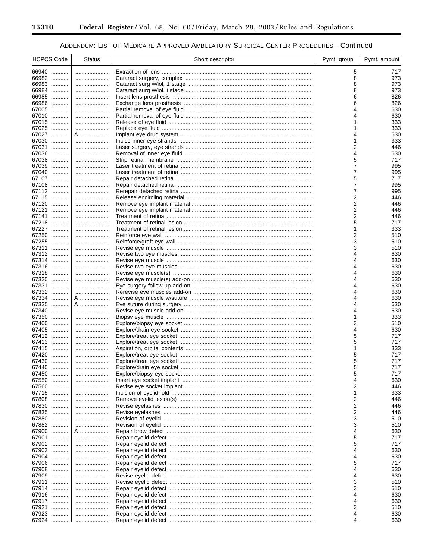-

۰

## ADDENDUM: LIST OF MEDICARE APPROVED AMBULATORY SURGICAL CENTER PROCEDURES-Continued

| <b>HCPCS Code</b> | <b>Status</b> | Short descriptor | Pymt. group | Pymt. amount |
|-------------------|---------------|------------------|-------------|--------------|
| 66940             |               |                  | 5           | 717          |
| 66982             |               |                  | 8           | 973          |
| 66983             |               |                  | 8           | 973          |
| 66984<br>66985    |               |                  | 8<br>6      | 973<br>826   |
| 66986             |               |                  | 6           | 826          |
| 67005             |               |                  | 4           | 630          |
| 67010             |               |                  |             | 630          |
| 67015             |               |                  |             | 333          |
| 67025<br>67027    | A             |                  | 4           | 333<br>630   |
| 67030             |               |                  | 1           | 333          |
| 67031             |               |                  | 2           | 446          |
| 67036             |               |                  | 4           | 630          |
| 67038             |               |                  | 5           | 717          |
| 67039<br>67040    | <br>          |                  | 7<br>7      | 995<br>995   |
| 67107             |               |                  | 5           | 717          |
| 67108             |               |                  | 7           | 995          |
| 67112             |               |                  | 7           | 995          |
| 67115<br>67120    |               |                  | 2<br>2      | 446<br>446   |
| 67121             |               |                  | 2           | 446          |
| 67141             |               |                  | 2           | 446          |
| 67218             |               |                  | 5           | 717          |
| 67227             |               |                  | 1           | 333          |
| 67250<br>67255    |               |                  | 3<br>3      | 510<br>510   |
| 67311             |               |                  | 3           | 510          |
| 67312             |               |                  | 4           | 630          |
| 67314             |               |                  | 4           | 630          |
| 67316             |               |                  |             | 630          |
| 67318<br>67320    |               |                  |             | 630<br>630   |
| 67331             |               |                  |             | 630          |
| 67332             |               |                  |             | 630          |
| 67334             | A             |                  |             | 630          |
| 67335             | A             |                  | 4           | 630          |
| 67340<br>67350    |               |                  | 4           | 630<br>333   |
| 67400             |               |                  | 3           | 510          |
| 67405             |               |                  | 4           | 630          |
| 67412             |               |                  | 5           | 717          |
| 67413             |               |                  | 5           | 717          |
| 67415<br>67420    |               |                  | 1<br>5      | 333<br>717   |
| 67430             |               |                  | 5           | 717          |
| 67440             |               |                  | 5           | 717          |
| 67450             |               |                  | 5           | 717          |
| 67550             |               |                  |             | 630          |
| 67560<br>67715    |               |                  | 2           | 446<br>333   |
| 67808             |               |                  | 2           | 446          |
| 67830             |               |                  | 2           | 446          |
| 67835             |               |                  | 2           | 446          |
| 67880             |               |                  | 3           | 510          |
| 67882<br>67900    | A             |                  | 3<br>4      | 510<br>630   |
| 67901             |               |                  | 5           | 717          |
| 67902             |               |                  | 5           | 717          |
| 67903             |               |                  | 4           | 630          |
| 67904             |               |                  |             | 630          |
| 67906<br>67908    |               |                  | 4           | 717<br>630   |
| 67909             |               |                  | 4           | 630          |
| 67911             |               |                  | 3           | 510          |
| 67914             |               |                  | 3           | 510          |
| 67916             |               |                  | 4           | 630          |
| 67917<br>67921    |               |                  | 4<br>3      | 630<br>510   |
| 67923             |               |                  | 4           | 630          |
| 67924             |               |                  | 4           | 630          |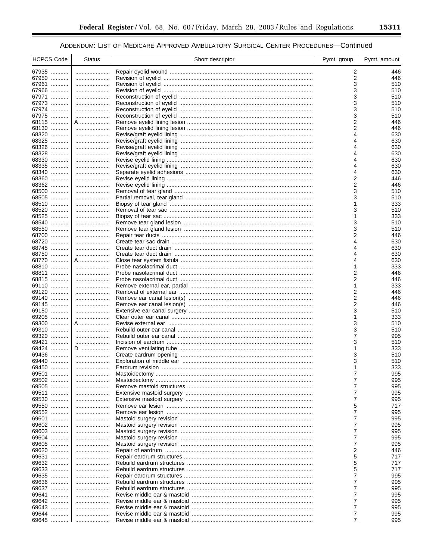| <b>HCPCS Code</b> | <b>Status</b> | Short descriptor | Pymt. group    | Pymt. amount |
|-------------------|---------------|------------------|----------------|--------------|
| 67935             |               |                  | 2              | 446          |
| 67950             |               |                  | 2              | 446          |
| 67961             |               |                  | 3              | 510          |
| 67966             |               |                  | 3              | 510          |
| 67971             |               |                  | 3              | 510          |
| 67973             |               |                  | 3              | 510          |
| 67974             |               |                  | 3              | 510          |
| 67975             |               |                  | 3              | 510          |
| 68115             | A             |                  | 2              | 446          |
| 68130             |               |                  | $\overline{2}$ | 446          |
| 68320             |               |                  | 4              | 630          |
| 68325             |               |                  | 4              | 630          |
| 68326             |               |                  | 4              | 630          |
| 68328             |               |                  | 4              | 630          |
| 68330             |               |                  | 4              | 630          |
| 68335             |               |                  | 4              | 630          |
| 68340             |               |                  | 4              | 630          |
| 68360             |               |                  | 2              | 446          |
| 68362             |               |                  | 2              | 446          |
| 68500             |               |                  | 3              | 510          |
| 68505             |               |                  | 3<br>1         | 510          |
| 68510<br>68520    |               |                  | 3              | 333          |
| 68525             |               |                  | 1              | 510<br>333   |
| 68540             |               |                  | 3              | 510          |
| 68550             | <br>          |                  | 3              | 510          |
| 68700             |               |                  | 2              | 446          |
| 68720             |               |                  | 4              | 630          |
| 68745             |               |                  | 4              | 630          |
| 68750             |               |                  | 4              | 630          |
| 68770             | A             |                  | 4              | 630          |
| 68810             |               |                  | 1              | 333          |
| 68811             |               |                  | 2              | 446          |
| 68815             |               |                  | 2              | 446          |
| 69110             |               |                  | 1              | 333          |
| 69120             |               |                  | 2              | 446          |
| 69140             |               |                  | 2              | 446          |
| 69145             |               |                  | 2              | 446          |
| 69150             | .             |                  | 3              | 510          |
| 69205             |               |                  | 1              | 333          |
| 69300             | A             |                  | 3              | 510          |
| 69310             |               |                  | 3              | 510          |
| 69320             |               |                  | 7              | 995          |
| 69421             |               |                  | 3              | 510          |
| 69424             | D             |                  | 1              | 333          |
| 69436             |               |                  | 3              | 510          |
| 69440             |               |                  | 3              | 510          |
| 69450             | $\ldots$      |                  |                | 333          |
| 69501             |               |                  |                | 995          |
| 69502             |               |                  | 7              | 995          |
| 69505             |               |                  | 7              | 995          |
| 69511             |               |                  | $\overline{7}$ | 995          |
| 69530             |               |                  | 7              | 995          |
| 69550             |               |                  | 5              | 717          |
| 69552             |               |                  | 7              | 995          |
| 69601             |               |                  | 7              | 995          |
| 69602             |               |                  | 7              | 995          |
| 69603             |               |                  | $\overline{7}$ | 995          |
| 69604             |               |                  | 7              | 995          |
| 69605             |               |                  | $\overline{7}$ | 995          |
| 69620             |               |                  | 2              | 446          |
| 69631             |               |                  | 5              | 717          |
| 69632             |               |                  | 5              | 717          |
| 69633<br>69635    |               |                  | 5<br>7         | 717          |
|                   |               |                  | $\overline{7}$ | 995          |
| 69636<br>69637    |               |                  | 7              | 995          |
| 69641             |               |                  | $\overline{7}$ | 995<br>995   |
| 69642             |               |                  | $\overline{7}$ | 995          |
| 69643             |               |                  | $\overline{7}$ | 995          |
| 69644             |               |                  | 7              | 995          |
| 69645             |               |                  | 7              | 995          |
|                   |               |                  |                |              |